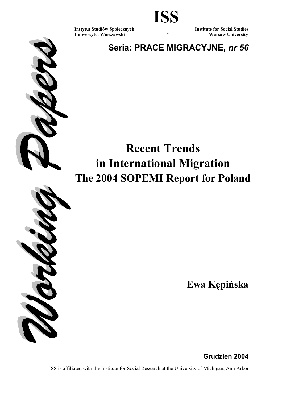Uniwersytet Warszawski \* \* Warsaw University

Instytut Studiów Społecznych Institute for Social Studies

Seria: PRACE MIGRACYJNE, nr 56

# Recent Trends in International Migration The 2004 SOPEMI Report for Poland



Ewa Kępińska

Grudzień 2004

\_\_\_\_\_\_\_\_\_\_\_\_\_\_\_\_\_\_\_\_\_\_\_\_\_\_\_\_\_\_\_\_\_\_\_\_\_\_\_\_\_\_\_\_\_\_\_\_\_\_\_\_\_\_\_\_\_ ISS is affiliated with the Institute for Social Research at the University of Michigan, Ann Arbor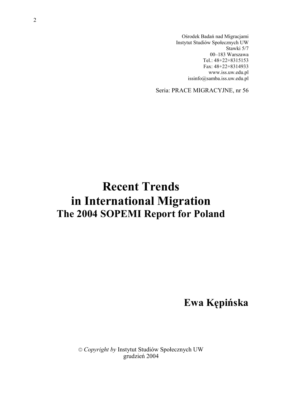Ośrodek Badań nad Migracjami Instytut Studiów Społecznych UW Stawki 5/7 00–183 Warszawa Tel.: 48+22+8315153 Fax: 48+22+8314933 www.iss.uw.edu.pl issinfo@samba.iss.uw.edu.pl

Seria: PRACE MIGRACYJNE, nr 56

## Recent Trends in International Migration The 2004 SOPEMI Report for Poland

Ewa Kępińska

© Copyright by Instytut Studiów Społecznych UW grudzień 2004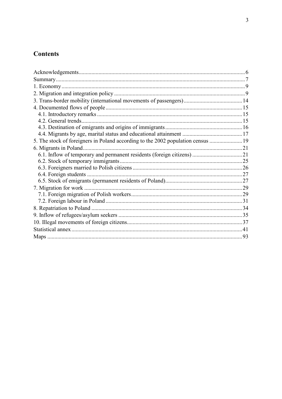### **Contents**

| 5. The stock of foreigners in Poland according to the 2002 population census  19 |  |
|----------------------------------------------------------------------------------|--|
|                                                                                  |  |
|                                                                                  |  |
|                                                                                  |  |
|                                                                                  |  |
|                                                                                  |  |
|                                                                                  |  |
|                                                                                  |  |
|                                                                                  |  |
|                                                                                  |  |
|                                                                                  |  |
|                                                                                  |  |
|                                                                                  |  |
|                                                                                  |  |
|                                                                                  |  |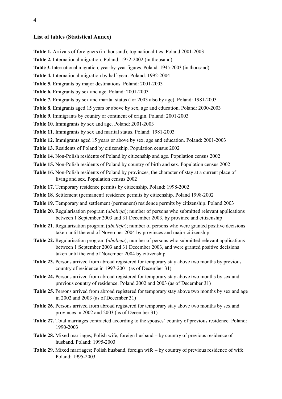#### List of tables (Statistical Annex)

- Table 1. Arrivals of foreigners (in thousand); top nationalities. Poland 2001-2003
- Table 2. International migration. Poland: 1952-2002 (in thousand)
- Table 3. International migration; year-by-year figures. Poland: 1945-2003 (in thousand)
- Table 4. International migration by half-year. Poland: 1992-2004
- Table 5. Emigrants by major destinations. Poland: 2001-2003
- Table 6. Emigrants by sex and age. Poland: 2001-2003
- Table 7. Emigrants by sex and marital status (for 2003 also by age). Poland: 1981-2003
- Table 8. Emigrants aged 15 years or above by sex, age and education. Poland: 2000-2003
- Table 9. Immigrants by country or continent of origin. Poland: 2001-2003
- Table 10. Immigrants by sex and age. Poland: 2001-2003
- Table 11. Immigrants by sex and marital status. Poland: 1981-2003
- Table 12. Immigrants aged 15 years or above by sex, age and education. Poland: 2001-2003
- Table 13. Residents of Poland by citizenship. Population census 2002
- Table 14. Non-Polish residents of Poland by citizenship and age. Population census 2002
- Table 15. Non-Polish residents of Poland by country of birth and sex. Population census 2002
- Table 16. Non-Polish residents of Poland by provinces, the character of stay at a current place of living and sex. Population census 2002
- Table 17. Temporary residence permits by citizenship. Poland: 1998-2002
- Table 18. Settlement (permanent) residence permits by citizenship. Poland 1998-2002
- Table 19. Temporary and settlement (permanent) residence permits by citizenship. Poland 2003
- Table 20. Regularisation program *(abolicia)*; number of persons who submitted relevant applications between 1 September 2003 and 31 December 2003, by province and citizenship
- Table 21. Regularisation program *(abolicja)*; number of persons who were granted positive decisions taken until the end of November 2004 by provinces and major citizenship
- Table 22. Regularisation program (*abolicja*); number of persons who submitted relevant applications between 1 September 2003 and 31 December 2003, and were granted positive decisions taken until the end of November 2004 by citizenship
- Table 23. Persons arrived from abroad registered for temporary stay above two months by previous country of residence in 1997-2001 (as of December 31)
- Table 24. Persons arrived from abroad registered for temporary stay above two months by sex and previous country of residence. Poland 2002 and 2003 (as of December 31)
- Table 25. Persons arrived from abroad registered for temporary stay above two months by sex and age in 2002 and 2003 (as of December 31)
- Table 26. Persons arrived from abroad registered for temporary stay above two months by sex and provinces in 2002 and 2003 (as of December 31)
- Table 27. Total marriages contracted according to the spouses' country of previous residence. Poland: 1990-2003
- Table 28. Mixed marriages; Polish wife, foreign husband by country of previous residence of husband. Poland: 1995-2003
- Table 29. Mixed marriages; Polish husband, foreign wife by country of previous residence of wife. Poland: 1995-2003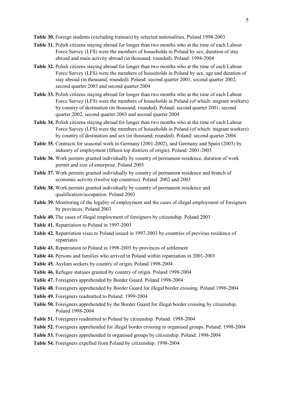Table 30. Foreign students (excluding trainees) by selected nationalities. Poland 1998-2003

- Table 31. Polish citizens staying abroad for longer than two months who at the time of each Labour Force Survey (LFS) were the members of households in Poland by sex, duration of stay abroad and main activity abroad (in thousand; rounded). Poland: 1994-2004
- Table 32. Polish citizens staying abroad for longer than two months who at the time of each Labour Force Survey (LFS) were the members of households in Poland by sex, age and duration of stay abroad (in thousand; rounded). Poland: second quarter 2001, second quarter 2002, second quarter 2003 and second quarter 2004
- Table 33. Polish citizens staying abroad for longer than two months who at the time of each Labour Force Survey (LFS) were the members of households in Poland (of which: migrant workers) by country of destination (in thousand; rounded). Poland: second quarter 2001, second quarter 2002, second quarter 2003 and second quarter 2004
- Table 34. Polish citizens staying abroad for longer than two months who at the time of each Labour Force Survey (LFS) were the members of households in Poland (of which: migrant workers) by country of destination and sex (in thousand; rounded). Poland: second quarter 2004
- Table 35. Contracts for seasonal work in Germany (2001-2002), and Germany and Spain (2003) by industry of employment (fifteen top districts of origin). Poland: 2001-2003
- Table 36. Work permits granted individually by country of permanent residence, duration of work permit and size of enterprise. Poland 2003
- Table 37. Work permits granted individually by country of permanent residence and branch of economic activity (twelve top countries). Poland: 2002 and 2003
- Table 38. Work permits granted individually by country of permanent residence and qualification/occupation. Poland 2003
- Table 39. Monitoring of the legality of employment and the cases of illegal employment of foreigners by provinces. Poland 2003
- Table 40. The cases of illegal employment of foreigners by citizenship. Poland 2003
- Table 41. Repatriation to Poland in 1997-2003
- Table 42. Repatriation visas to Poland issued in 1997-2003 by countries of previous residence of repatriates
- Table 43. Repatriation to Poland in 1998-2003 by provinces of settlement
- Table 44. Persons and families who arrived in Poland within repatriation in 2001-2003
- Table 45. Asylum seekers by country of origin. Poland 1998-2004
- Table 46. Refugee statuses granted by country of origin. Poland 1998-2004
- Table 47. Foreigners apprehended by Border Guard. Poland 1998-2004
- Table 48. Foreigners apprehended by Border Guard for illegal border crossing. Poland 1998-2004
- Table 49. Foreigners readmitted to Poland. 1999-2004
- Table 50. Foreigners apprehended by the Border Guard for illegal border crossing by citizenship. Poland 1998-2004
- Table 51. Foreigners readmitted to Poland by citizenship. Poland: 1998-2004
- Table 52. Foreigners apprehended for illegal border crossing in organised groups. Poland: 1998-2004
- Table 53. Foreigners apprehended in organised groups by citizenship. Poland: 1998-2004
- Table 54. Foreigners expelled from Poland by citizenship: 1998-2004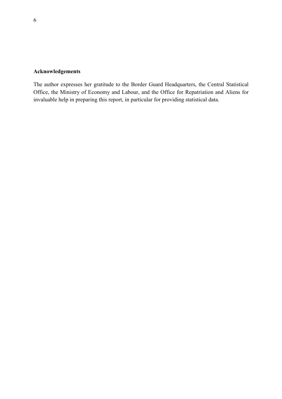### Acknowledgements

The author expresses her gratitude to the Border Guard Headquarters, the Central Statistical Office, the Ministry of Economy and Labour, and the Office for Repatriation and Aliens for invaluable help in preparing this report, in particular for providing statistical data.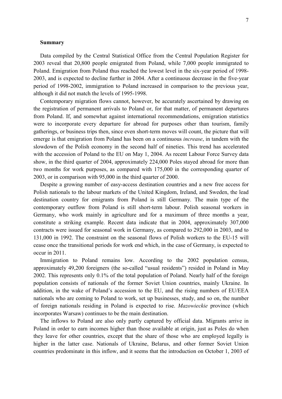#### Summary

Data compiled by the Central Statistical Office from the Central Population Register for 2003 reveal that 20,800 people emigrated from Poland, while 7,000 people immigrated to Poland. Emigration from Poland thus reached the lowest level in the six-year period of 1998- 2003, and is expected to decline further in 2004. After a continuous decrease in the five-year period of 1998-2002, immigration to Poland increased in comparison to the previous year, although it did not match the levels of 1995-1998.

Contemporary migration flows cannot, however, be accurately ascertained by drawing on the registration of permanent arrivals to Poland or, for that matter, of permanent departures from Poland. If, and somewhat against international recommendations, emigration statistics were to incorporate every departure for abroad for purposes other than tourism, family gatherings, or business trips then, since even short-term moves will count, the picture that will emerge is that emigration from Poland has been on a continuous increase, in tandem with the slowdown of the Polish economy in the second half of nineties. This trend has accelerated with the accession of Poland to the EU on May 1, 2004. As recent Labour Force Survey data show, in the third quarter of 2004, approximately 224,000 Poles stayed abroad for more than two months for work purposes, as compared with 175,000 in the corresponding quarter of 2003, or in comparison with 95,000 in the third quarter of 2000.

Despite a growing number of easy-access destination countries and a new free access for Polish nationals to the labour markets of the United Kingdom, Ireland, and Sweden, the lead destination country for emigrants from Poland is still Germany. The main type of the contemporary outflow from Poland is still short-term labour. Polish seasonal workers in Germany, who work mainly in agriculture and for a maximum of three months a year, constitute a striking example. Recent data indicate that in 2004, approximately 307,000 contracts were issued for seasonal work in Germany, as compared to 292,000 in 2003, and to 131,000 in 1992. The constraint on the seasonal flows of Polish workers to the EU-15 will cease once the transitional periods for work end which, in the case of Germany, is expected to occur in 2011.

Immigration to Poland remains low. According to the 2002 population census, approximately 49,200 foreigners (the so-called "usual residents") resided in Poland in May 2002. This represents only 0.1% of the total population of Poland. Nearly half of the foreign population consists of nationals of the former Soviet Union countries, mainly Ukraine. In addition, in the wake of Poland's accession to the EU, and the rising numbers of EU/EEA nationals who are coming to Poland to work, set up businesses, study, and so on, the number of foreign nationals residing in Poland is expected to rise. Mazowieckie province (which incorporates Warsaw) continues to be the main destination.

The inflows to Poland are also only partly captured by official data. Migrants arrive in Poland in order to earn incomes higher than those available at origin, just as Poles do when they leave for other countries, except that the share of those who are employed legally is higher in the latter case. Nationals of Ukraine, Belarus, and other former Soviet Union countries predominate in this inflow, and it seems that the introduction on October 1, 2003 of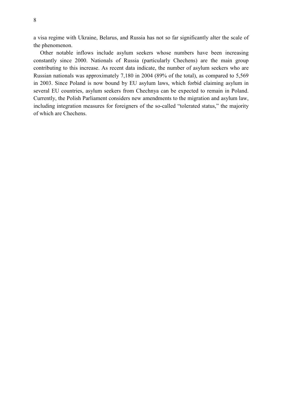a visa regime with Ukraine, Belarus, and Russia has not so far significantly alter the scale of the phenomenon.

Other notable inflows include asylum seekers whose numbers have been increasing constantly since 2000. Nationals of Russia (particularly Chechens) are the main group contributing to this increase. As recent data indicate, the number of asylum seekers who are Russian nationals was approximately 7,180 in 2004 (89% of the total), as compared to 5,569 in 2003. Since Poland is now bound by EU asylum laws, which forbid claiming asylum in several EU countries, asylum seekers from Chechnya can be expected to remain in Poland. Currently, the Polish Parliament considers new amendments to the migration and asylum law, including integration measures for foreigners of the so-called "tolerated status," the majority of which are Chechens.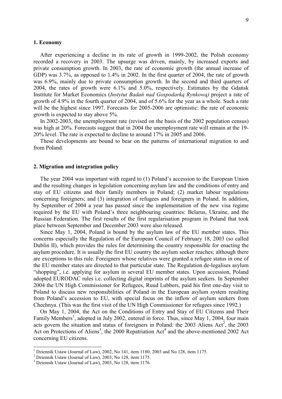#### 1. Economy

After experiencing a decline in its rate of growth in 1999-2002, the Polish economy recorded a recovery in 2003. The upsurge was driven, mainly, by increased exports and private consumption growth. In 2003, the rate of economic growth (the annual increase of GDP) was 3.7%, as opposed to 1.4% in 2002. In the first quarter of 2004, the rate of growth was 6.9%, mainly due to private consumption growth. In the second and third quarters of 2004, the rates of growth were 6.1% and 5.0%, respectively. Estimates by the Gdańsk Institute for Market Economics (Instytut Badań nad Gospodarką Rynkową) project a rate of growth of 4.9% in the fourth quarter of 2004, and of 5.6% for the year as a whole. Such a rate will be the highest since 1997. Forecasts for 2005-2006 are optimistic: the rate of economic growth is expected to stay above 5%.

In 2002-2003, the unemployment rate (revised on the basis of the 2002 population census) was high at 20%. Forecasts suggest that in 2004 the unemployment rate will remain at the 19- 20% level. The rate is expected to decline to around 17% in 2005 and 2006.

These developments are bound to bear on the patterns of international migration to and from Poland.

#### 2. Migration and integration policy

The year 2004 was important with regard to (1) Poland's accession to the European Union and the resulting changes in legislation concerning asylum law and the conditions of entry and stay of EU citizens and their family members in Poland; (2) market labour regulations concerning foreigners; and (3) integration of refugees and foreigners in Poland. In addition, by September of 2004 a year has passed since the implementation of the new visa regime required by the EU with Poland's three neighbouring countries: Belarus, Ukraine, and the Russian Federation. The first results of the first regularisation program in Poland that took place between September and December 2003 were also released.

Since May 1, 2004, Poland is bound by the asylum law of the EU member states. This concerns especially the Regulation of the European Council of February 18, 2003 (so called Dublin II), which provides the rules for determining the country responsible for enacting the asylum procedure. It is usually the first EU country the asylum seeker reaches; although there are exceptions to this rule. Foreigners whose relatives were granted a refugee status in one of the EU member states are directed to that particular state. The Regulation de-legalises asylum "shopping", i.e. applying for asylum in several EU member states. Upon accession, Poland adopted EURODAC rules i.e. collecting digital imprints of the asylum seekers. In September 2004 the UN High Commissioner for Refugees, Ruud Lubbers, paid his first one-day visit to Poland to discuss new responsibilities of Poland in the European asylum system resulting from Poland's accession to EU, with special focus on the inflow of asylum seekers from Chechnya. (This was the first visit of the UN High Commissioner for refugees since 1992.)

On May 1, 2004, the Act on the Conditions of Entry and Stay of EU Citizens and Their Family Members<sup>1</sup>, adopted in July 2002, entered in force. Thus, since May 1, 2004, four main acts govern the situation and status of foreigners in Poland: the  $2003$  Aliens Act<sup>2</sup>, the  $2003$ Act on Protections of Aliens<sup>3</sup>, the 2000 Repatriation Act<sup>4</sup> and the above-mentioned 2002 Act concerning EU citizens.

<sup>&</sup>lt;sup>1</sup> Dziennik Ustaw (Journal of Law), 2002, No 141, item 1180; 2003 and No 128, item 1175.

<sup>&</sup>lt;sup>2</sup> Dziennik Ustaw (Journal of Law), 2003, No 128, item 1175.

<sup>&</sup>lt;sup>3</sup> Dziennik Ustaw (Journal of Law), 2003, No 128, item 1176.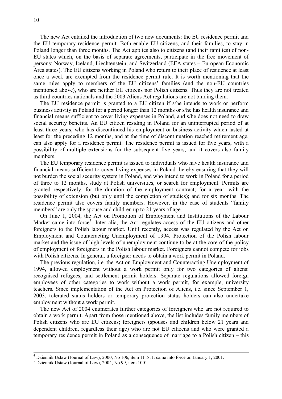The new Act entailed the introduction of two new documents: the EU residence permit and the EU temporary residence permit. Both enable EU citizens, and their families, to stay in Poland longer than three months. The Act applies also to citizens (and their families) of non-EU states which, on the basis of separate agreements, participate in the free movement of persons: Norway, Iceland, Liechtenstein, and Switzerland (EEA states – European Economic Area states). The EU citizens working in Poland who return to their place of residence at least once a week are exempted from the residence permit rule. It is worth mentioning that the same rules apply to members of the EU citizens' families (and the non-EU countries mentioned above), who are neither EU citizens nor Polish citizens. Thus they are not treated as third countries nationals and the 2003 Aliens Act regulations are not binding them.

The EU residence permit is granted to a EU citizen if s/he intends to work or perform business activity in Poland for a period longer than 12 months or s/he has health insurance and financial means sufficient to cover living expenses in Poland, and s/he does not need to draw social security benefits. An EU citizen residing in Poland for an uninterrupted period of at least three years, who has discontinued his employment or business activity which lasted at least for the preceding 12 months, and at the time of discontinuation reached retirement age, can also apply for a residence permit. The residence permit is issued for five years, with a possibility of multiple extensions for the subsequent five years, and it covers also family members.

The EU temporary residence permit is issued to individuals who have health insurance and financial means sufficient to cover living expenses in Poland thereby ensuring that they will not burden the social security system in Poland, and who intend to work in Poland for a period of three to 12 months, study at Polish universities, or search for employment. Permits are granted respectively, for the duration of the employment contract; for a year, with the possibility of extension (but only until the completion of studies); and for six months. The residence permit also covers family members. However, in the case of students "family members" are only the spouse and children up to 21 years of age.

On June 1, 2004, the Act on Promotion of Employment and Institutions of the Labour Market came into force<sup>5</sup>. Inter alia, the Act regulates access of the EU citizens and other foreigners to the Polish labour market. Until recently, access was regulated by the Act on Employment and Counteracting Unemployment of 1994. Protection of the Polish labour market and the issue of high levels of unemployment continue to be at the core of the policy of employment of foreigners in the Polish labour market. Foreigners cannot compete for jobs with Polish citizens. In general, a foreigner needs to obtain a work permit in Poland.

The previous regulation, i.e. the Act on Employment and Counteracting Unemployment of 1994, allowed employment without a work permit only for two categories of aliens: recognised refugees, and settlement permit holders. Separate regulations allowed foreign employees of other categories to work without a work permit, for example, university teachers. Since implementation of the Act on Protection of Aliens, i.e. since September 1, 2003, tolerated status holders or temporary protection status holders can also undertake employment without a work permit.

The new Act of 2004 enumerates further categories of foreigners who are not required to obtain a work permit. Apart from those mentioned above, the list includes family members of Polish citizens who are EU citizens; foreigners (spouses and children below 21 years and dependent children, regardless their age) who are not EU citizens and who were granted a temporary residence permit in Poland as a consequence of marriage to a Polish citizen – this

 4 Dziennik Ustaw (Journal of Law), 2000, No 106, item 1118. It came into force on January 1, 2001.

<sup>5</sup> Dziennik Ustaw (Journal of Law), 2004, No 99, item 1001.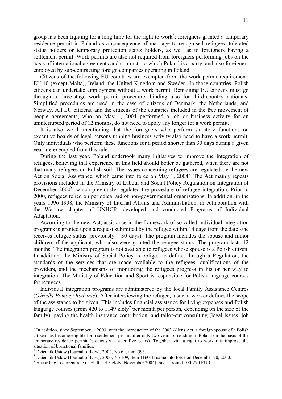group has been fighting for a long time for the right to work<sup>6</sup>; foreigners granted a temporary residence permit in Poland as a consequence of marriage to recognised refugees, tolerated status holders or temporary protection status holders, as well as to foreigners having a settlement permit. Work permits are also not required from foreigners performing jobs on the basis of international agreements and contracts to which Poland is a party, and also foreigners employed by sub-contracting foreign companies operating in Poland.

Citizens of the following EU countries are exempted from the work permit requirement: EU-10 (except Malta), Ireland, the United Kingdom and Sweden. In those countries, Polish citizens can undertake employment without a work permit. Remaining EU citizens must go through a three-stage work permit procedure, binding also for third-country nationals. Simplified procedures are used in the case of citizens of Denmark, the Netherlands, and Norway. All EU citizens, and the citizens of the countries included in the free movement of people agreements, who on May 1, 2004 performed a job or business activity for an uninterrupted period of 12 months, do not need to apply any longer for a work permit.

It is also worth mentioning that the foreigners who perform statutory functions on executive boards of legal persons running business activity also need to have a work permit. Only individuals who perform these functions for a period shorter than 30 days during a given year are exempted from this rule.

During the last year, Poland undertook many initiatives to improve the integration of refugees, believing that experience in this field should better be gathered, when there are not that many refugees on Polish soil. The issues concerning refugees are regulated by the new Act on Social Assistance, which came into force on May 1, 2004<sup>7</sup>. The Act mainly repeats provisions included in the Ministry of Labour and Social Policy Regulation on Integration of December 2000<sup>8</sup>, which previously regulated the procedure of refugee integration. Prior to 2000, refugees relied on periodical aid of non-governmental organisations. In addition, in the years 1996-1998, the Ministry of Internal Affairs and Administration, in collaboration with the Warsaw chapter of UNHCR, developed and conducted Programs of Individual Adaptation.

According to the new Act, assistance in the framework of so-called individual integration programs is granted upon a request submitted by the refugee within 14 days from the date s/he receives refugee status (previously  $-30$  days). The program includes the spouse and minor children of the applicant, who also were granted the refugee status. The program lasts 12 months. The integration program is not available to refugees whose spouse is a Polish citizen. In addition, the Ministry of Social Policy is obliged to define, through a Regulation, the standards of the services that are made available to the refugees, qualifications of the providers, and the mechanisms of monitoring the refugees progress in his or her way to integration. The Ministry of Education and Sport is responsible for Polish language courses for refugees.

Individual integration programs are administered by the local Family Assistance Centres (Ośrodki Pomocy Rodzinie). After interviewing the refugee, a social worker defines the scope of the assistance to be given. This includes financial assistance for living expenses and Polish language courses (from 420 to 1149 zloty<sup>9</sup> per month per person, depending on the size of the family), paying the health insurance contribution, and tailor-cut consulting (legal issues, job

 $\overline{a}$ 

 $<sup>6</sup>$  In addition, since September 1, 2003, with the introduction of the 2003 Aliens Act, a foreign spouse of a Polish</sup> citizen has become eligible for a settlement permit after only two years of residing in Poland on the basis of the temporary residence permit (previously – after five years). Together with a right to work this improve the situation of bi-national families.

<sup>7</sup> Dziennik Ustaw (Journal of Law), 2004, No 64, item 593.

<sup>8</sup> Dziennik Ustaw (Journal of Law), 2000, No 109, item 1160. It came into force on December 20, 2000.

<sup>&</sup>lt;sup>9</sup> According to current rate (1 EUR = 4.3 zloty; November 2004) this is around 100-270 EUR.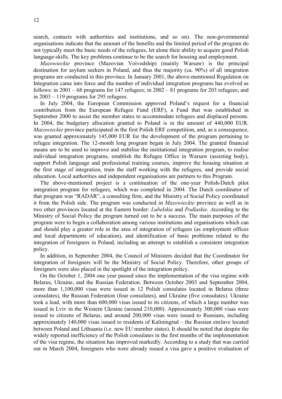search, contacts with authorities and institutions, and so on). The non-governmental organisations indicate that the amount of the benefits and the limited period of the program do not typically meet the basic needs of the refugees, let alone their ability to acquire good Polish language-skills. The key problems continue to be the search for housing and employment.

Mazowieckie province (Mazovian Voivodship) (mainly Warsaw) is the principal destination for asylum seekers in Poland, and thus the majority (ca. 90%) of all integration programs are conducted in this province. In January 2001, the above-mentioned Regulation on Integration came into force and the number of individual integration programs has evolved as follows: in  $2001 - 68$  programs for 147 refugees; in  $2002 - 81$  programs for 203 refugees; and in 2003 – 119 programs for 295 refugees.

In July 2004, the European Commission approved Poland's request for a financial contribution from the European Refugee Fund (ERF), a Fund that was established in September 2000 to assist the member states to accommodate refugees and displaced persons. In 2004, the budgetary allocation granted to Poland is in the amount of 440,000 EUR. Mazowieckie province participated in the first Polish ERF competition, and, as a consequence, was granted approximately 145,000 EUR for the development of the program pertaining to refugee integration. The 12-month long program began in July 2004. The granted financial means are to be used to improve and stabilise the institutional integration program, to realise individual integration programs, establish the Refugee Office in Warsaw (assisting body), support Polish language and professional training courses, improve the housing situation at the first stage of integration, train the staff working with the refugees, and provide social education. Local authorities and independent organisations are partners to this Program.

The above-mentioned project is a continuation of the one-year Polish-Dutch pilot integration program for refugees, which was completed in 2004. The Dutch coordinator of that program was "RADAR", a consulting firm, and the Ministry of Social Policy coordinated it from the Polish side. The program was conducted in Mazowieckie province as well as in two other provinces located at the Eastern border: Lubelskie and Podlaskie. According to the Ministry of Social Policy the program turned out to be a success. The main purposes of the program were to begin a collaboration among various institutions and organisations which can and should play a greater role in the area of integration of refugees (as employment offices and local departments of education), and identification of basic problems related to the integration of foreigners in Poland, including an attempt to establish a consistent integration policy.

In addition, in September 2004, the Council of Ministers decided that the Coordinator for integration of foreigners will be the Ministry of Social Policy. Therefore, other groups of foreigners were also placed in the spotlight of the integration policy.

On the October 1, 2004 one year passed since the implementation of the visa regime with Belarus, Ukraine, and the Russian Federation. Between October 2003 and September 2004, more than 1,100,000 visas were issued in 12 Polish consulates located in Belarus (three consulates), the Russian Federation (four consulates), and Ukraine (five consulates). Ukraine took a lead, with more than 600,000 visas issued to its citizens, of which a large number was issued in Lviv in the Western Ukraine (around 210,000). Approximately 300,000 visas were issued to citizens of Belarus, and around 200,000 visas were issued to Russians, including approximately 140,000 visas issued to residents of Kaliningrad – the Russian enclave located between Poland and Lithuania (i.e. new EU member states). It should be noted that despite the widely reported inefficiency of the Polish consulates in the first months of the implementation of the visa regime, the situation has improved markedly. According to a study that was carried out in March 2004, foreigners who were already issued a visa gave a positive evaluation of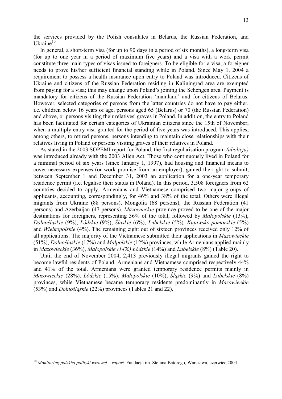the services provided by the Polish consulates in Belarus, the Russian Federation, and Ukraine<sup>10</sup>.

In general, a short-term visa (for up to 90 days in a period of six months), a long-term visa (for up to one year in a period of maximum five years) and a visa with a work permit constitute three main types of visas issued to foreigners. To be eligible for a visa, a foreigner needs to prove his/her sufficient financial standing while in Poland. Since May 1, 2004 a requirement to possess a health insurance upon entry to Poland was introduced. Citizens of Ukraine and citizens of the Russian Federation residing in Kaliningrad area are exempted from paying for a visa; this may change upon Poland's joining the Schengen area. Payment is mandatory for citizens of the Russian Federation 'mainland' and for citizens of Belarus. However, selected categories of persons from the latter countries do not have to pay either, i.e. children below 16 years of age, persons aged 65 (Belarus) or 70 (the Russian Federation) and above, or persons visiting their relatives' graves in Poland. In addition, the entry to Poland has been facilitated for certain categories of Ukrainian citizens since the 15th of November, when a multiply-entry visa granted for the period of five years was introduced. This applies, among others, to retired persons, persons intending to maintain close relationships with their relatives living in Poland or persons visiting graves of their relatives in Poland.

As stated in the 2003 SOPEMI report for Poland, the first regularisation program *(abolicia)* was introduced already with the 2003 Alien Act. Those who continuously lived in Poland for a minimal period of six years (since January 1, 1997), had housing and financial means to cover necessary expenses (or work promise from an employer), gained the right to submit, between September 1 and December 31, 2003 an application for a one-year temporary residence permit (i.e. legalise their status in Poland). In this period, 3,508 foreigners from 62 countries decided to apply. Armenians and Vietnamese comprised two major groups of applicants, accounting, correspondingly, for 46% and 38% of the total. Others were illegal migrants from Ukraine (88 persons), Mongolia (68 persons), the Russian Federation (41 persons) and Azerbaijan (47 persons). Mazowieckie province proved to be one of the major destinations for foreigners, representing 36% of the total, followed by Małopolskie (13%), Dolnośląskie (9%), Łódzkie (9%), Śląskie (6%), Lubelskie (5%), Kujawsko-pomorskie (5%) and Wielkopolskie (4%). The remaining eight out of sixteen provinces received only 12% of all applications. The majority of the Vietnamese submitted their applications in Mazowieckie (51%), Dolnośląskie (17%) and Małpolskie (12%) provinces, while Armenians applied mainly in Mazowieckie (36%), Małopolskie (14%) Łódzkie (14%) and Lubelskie (8%) (Table 20).

Until the end of November 2004, 2,413 previously illegal migrants gained the right to become lawful residents of Poland. Armenians and Vietnamese comprised respectively 44% and 41% of the total. Armenians were granted temporary residence permits mainly in Mazowieckie (28%), Łódzkie (15%), Małopolskie (10%), Śląskie (9%) and Lubelskie (8%) provinces, while Vietnamese became temporary residents predominantly in Mazowieckie (53%) and Dolnośląskie (22%) provinces (Tables 21 and 22).

 $\overline{a}$ 

 $10$  Monitoring polskiej polityki wizowej – raport. Fundacja im. Stefana Batorego, Warszawa, czerwiec 2004.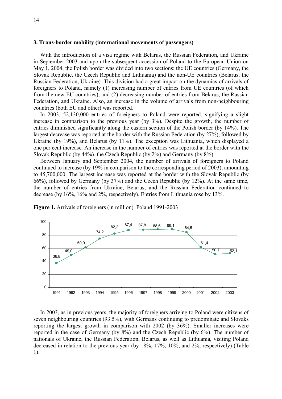#### 3. Trans-border mobility (international movements of passengers)

With the introduction of a visa regime with Belarus, the Russian Federation, and Ukraine in September 2003 and upon the subsequent accession of Poland to the European Union on May 1, 2004, the Polish border was divided into two sections: the UE countries (Germany, the Slovak Republic, the Czech Republic and Lithuania) and the non-UE countries (Belarus, the Russian Federation, Ukraine). This division had a great impact on the dynamics of arrivals of foreigners to Poland, namely (1) increasing number of entries from UE countries (of which from the new EU countries), and (2) decreasing number of entries from Belarus, the Russian Federation, and Ukraine. Also, an increase in the volume of arrivals from non-neighbouring countries (both EU and other) was reported.

In 2003, 52,130,000 entries of foreigners to Poland were reported, signifying a slight increase in comparison to the previous year (by 3%). Despite the growth, the number of entries diminished significantly along the eastern section of the Polish border (by 14%). The largest decrease was reported at the border with the Russian Federation (by 27%), followed by Ukraine (by 19%), and Belarus (by 11%). The exception was Lithuania, which displayed a one per cent increase. An increase in the number of entries was reported at the border with the Slovak Republic (by 44%), the Czech Republic (by 2%) and Germany (by 8%).

Between January and September 2004, the number of arrivals of foreigners to Poland continued to increase (by 19% in comparison to the corresponding period of 2003), amounting to 45,700,000. The largest increase was reported at the border with the Slovak Republic (by 66%), followed by Germany (by 37%) and the Czech Republic (by 12%). At the same time, the number of entries from Ukraine, Belarus, and the Russian Federation continued to decrease (by 16%, 16% and 2%, respectively). Entries from Lithuania rose by 13%.



Figure 1. Arrivals of foreigners (in million). Poland 1991-2003

In 2003, as in previous years, the majority of foreigners arriving to Poland were citizens of seven neighbouring countries (93.5%), with Germans continuing to predominate and Slovaks reporting the largest growth in comparison with 2002 (by 36%). Smaller increases were reported in the case of Germany (by 8%) and the Czech Republic (by 6%). The number of nationals of Ukraine, the Russian Federation, Belarus, as well as Lithuania, visiting Poland decreased in relation to the previous year (by 18%, 17%, 10%, and 2%, respectively) (Table 1).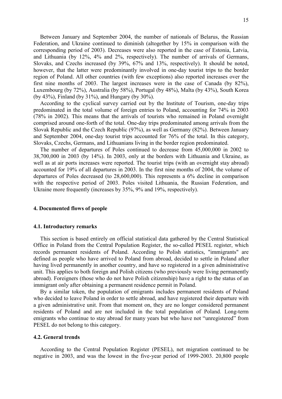Between January and September 2004, the number of nationals of Belarus, the Russian Federation, and Ukraine continued to diminish (altogether by 15% in comparison with the corresponding period of 2003). Decreases were also reported in the case of Estonia, Latvia, and Lithuania (by 12%, 4% and 2%, respectively). The number of arrivals of Germans, Slovaks, and Czechs increased (by 39%, 67% and 13%, respectively). It should be noted, however, that the latter were predominantly involved in one-day tourist trips to the border region of Poland. All other countries (with few exceptions) also reported increases over the first nine months of 2003. The largest increases were in the case of Canada (by 82%), Luxembourg (by 72%), Australia (by 58%), Portugal (by 48%), Malta (by 43%), South Korea (by 43%), Finland (by 31%), and Hungary (by 30%).

According to the cyclical survey carried out by the Institute of Tourism, one-day trips predominated in the total volume of foreign entries to Poland, accounting for 74% in 2003 (78% in 2002). This means that the arrivals of tourists who remained in Poland overnight comprised around one-forth of the total. One-day trips predominated among arrivals from the Slovak Republic and the Czech Republic (97%), as well as Germany (82%). Between January and September 2004, one-day tourist trips accounted for 76% of the total. In this category, Slovaks, Czechs, Germans, and Lithuanians living in the border region predominated.

The number of departures of Poles continued to decrease from 45,000,000 in 2002 to 38,700,000 in 2003 (by 14%). In 2003, only at the borders with Lithuania and Ukraine, as well as at air ports increases were reported. The tourist trips (with an overnight stay abroad) accounted for 19% of all departures in 2003. In the first nine months of 2004, the volume of departures of Poles decreased (to 28,600,000). This represents a 6% decline in comparison with the respective period of 2003. Poles visited Lithuania, the Russian Federation, and Ukraine more frequently (increases by 35%, 9% and 19%, respectively).

#### 4. Documented flows of people

#### 4.1. Introductory remarks

This section is based entirely on official statistical data gathered by the Central Statistical Office in Poland from the Central Population Register, the so-called PESEL register, which records permanent residents of Poland. According to Polish statistics, "immigrants" are defined as people who have arrived to Poland from abroad, decided to settle in Poland after having lived permanently in another country, and have so registered in a given administrative unit. This applies to both foreign and Polish citizens (who previously were living permanently abroad). Foreigners (those who do not have Polish citizenship) have a right to the status of an immigrant only after obtaining a permanent residence permit in Poland.

By a similar token, the population of emigrants includes permanent residents of Poland who decided to leave Poland in order to settle abroad, and have registered their departure with a given administrative unit. From that moment on, they are no longer considered permanent residents of Poland and are not included in the total population of Poland. Long-term emigrants who continue to stay abroad for many years but who have not "unregistered" from PESEL do not belong to this category.

#### 4.2. General trends

According to the Central Population Register (PESEL), net migration continued to be negative in 2003, and was the lowest in the five-year period of 1999-2003. 20,800 people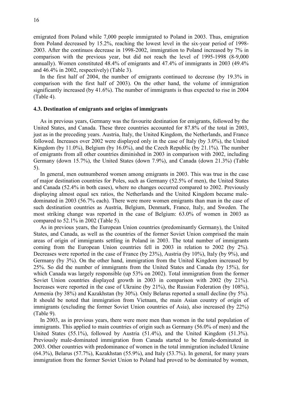emigrated from Poland while 7,000 people immigrated to Poland in 2003. Thus, emigration from Poland decreased by 15.2%, reaching the lowest level in the six-year period of 1998- 2003. After the continuos decrease in 1998-2002, immigration to Poland increased by 7% in comparison with the previous year, but did not reach the level of 1995-1998 (8-9,000 annually). Women constituted 48.4% of emigrants and 47.4% of immigrants in 2003 (49.4% and 46.4% in 2002, respectively) (Table 3).

In the first half of 2004, the number of emigrants continued to decrease (by 19.3% in comparison with the first half of 2003). On the other hand, the volume of immigration significantly increased (by 41.6%). The number of immigrants is thus expected to rise in 2004 (Table 4).

#### 4.3. Destination of emigrants and origins of immigrants

As in previous years, Germany was the favourite destination for emigrants, followed by the United States, and Canada. These three countries accounted for 87.8% of the total in 2003, just as in the preceding years. Austria, Italy, the United Kingdom, the Netherlands, and France followed. Increases over 2002 were displayed only in the case of Italy (by 3.0%), the United Kingdom (by 11.0%), Belgium (by 16.0%), and the Czech Republic (by 21.1%). The number of emigrants from all other countries diminished in 2003 in comparison with 2002, including Germany (down 15.7%), the United States (down 7.9%), and Canada (down 21.3%) (Table 5).

In general, men outnumbered women among emigrants in 2003. This was true in the case of major destination countries for Poles, such as Germany (52.5% of men), the United States and Canada (52.4% in both cases), where no changes occurred compared to 2002. Previously displaying almost equal sex ratios, the Netherlands and the United Kingdom became maledominated in 2003 (56.7% each). There were more women emigrants than man in the case of such destination countries as Austria, Belgium, Denmark, France, Italy, and Sweden. The most striking change was reported in the case of Belgium: 63.0% of women in 2003 as compared to 52.1% in 2002 (Table 5).

As in previous years, the European Union countries (predominantly Germany), the United States, and Canada, as well as the countries of the former Soviet Union comprised the main areas of origin of immigrants settling in Poland in 2003. The total number of immigrants coming from the European Union countries fell in 2003 in relation to 2002 (by 2%). Decreases were reported in the case of France (by 23%), Austria (by 10%), Italy (by 9%), and Germany (by 3%). On the other hand, immigration from the United Kingdom increased by 25%. So did the number of immigrants from the United States and Canada (by 15%), for which Canada was largely responsible (up 53% on 2002). Total immigration from the former Soviet Union countries displayed growth in 2003 in comparison with 2002 (by 21%). Increases were reported in the case of Ukraine (by 21%), the Russian Federation (by 108%), Armenia (by 38%) and Kazakhstan (by 30%). Only Belarus reported a small decline (by 5%). It should be noted that immigration from Vietnam, the main Asian country of origin of immigrants (excluding the former Soviet Union countries of Asia), also increased (by 22%) (Table 9).

In 2003, as in previous years, there were more men than women in the total population of immigrants. This applied to main countries of origin such as Germany (56.0% of men) and the United States (55.1%), followed by Austria (51.4%), and the United Kingdom (51.3%). Previously male-dominated immigration from Canada started to be female-dominated in 2003. Other countries with predominance of women in the total immigration included Ukraine  $(64.3\%)$ , Belarus  $(57.7\%)$ , Kazakhstan  $(55.9\%)$ , and Italy  $(53.7\%)$ . In general, for many years immigration from the former Soviet Union to Poland had proved to be dominated by women,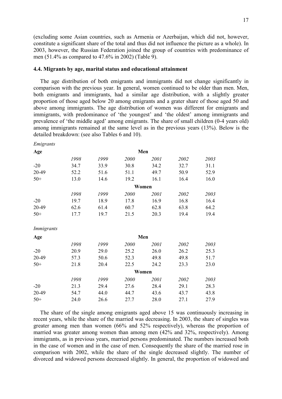(excluding some Asian countries, such as Armenia or Azerbaijan, which did not, however, constitute a significant share of the total and thus did not influence the picture as a whole). In 2003, however, the Russian Federation joined the group of countries with predominance of men (51.4% as compared to 47.6% in 2002) (Table 9).

#### 4.4. Migrants by age, marital status and educational attainment

The age distribution of both emigrants and immigrants did not change significantly in comparison with the previous year. In general, women continued to be older than men. Men, both emigrants and immigrants, had a similar age distribution, with a slightly greater proportion of those aged below 20 among emigrants and a grater share of those aged 50 and above among immigrants. The age distribution of women was different for emigrants and immigrants, with predominance of 'the youngest' and 'the oldest' among immigrants and prevalence of 'the middle aged' among emigrants. The share of small children (0-4 years old) among immigrants remained at the same level as in the previous years (13%). Below is the detailed breakdown: (see also Tables 6 and 10).

| Emigrants  |       |      |      |       |      |      |  |
|------------|-------|------|------|-------|------|------|--|
| Age        |       |      |      | Men   |      |      |  |
|            | 1998  | 1999 | 2000 | 2001  | 2002 | 2003 |  |
| $-20$      | 34.7  | 33.9 | 30.8 | 34.2  | 32.7 | 31.1 |  |
| 20-49      | 52.2  | 51.6 | 51.1 | 49.7  | 50.9 | 52.9 |  |
| $50+$      | 13.0  | 14.6 | 19.2 | 16.1  | 16.4 | 16.0 |  |
|            |       |      |      | Women |      |      |  |
|            | 1998  | 1999 | 2000 | 2001  | 2002 | 2003 |  |
| $-20$      | 19.7  | 18.9 | 17.8 | 16.9  | 16.8 | 16.4 |  |
| 20-49      | 62.6  | 61.4 | 60.7 | 62.8  | 63.8 | 64.2 |  |
| $50+$      | 17.7  | 19.7 | 21.5 | 20.3  | 19.4 | 19.4 |  |
| Immigrants |       |      |      |       |      |      |  |
| Age        | Men   |      |      |       |      |      |  |
|            | 1998  | 1999 | 2000 | 2001  | 2002 | 2003 |  |
| $-20$      | 20.9  | 29.0 | 25.2 | 26.0  | 26.2 | 25.3 |  |
| 20-49      | 57.3  | 50.6 | 52.3 | 49.8  | 49.8 | 51.7 |  |
| $50+$      | 21.8  | 20.4 | 22.5 | 24.2  | 23.3 | 23.0 |  |
|            | Women |      |      |       |      |      |  |
|            | 1998  | 1999 | 2000 | 2001  | 2002 | 2003 |  |
| $-20$      | 21.3  | 29.4 | 27.6 | 28.4  | 29.1 | 28.3 |  |
| 20-49      | 54.7  | 44.0 | 44.7 | 43.6  | 43.7 | 43.8 |  |
| $50+$      | 24.0  | 26.6 | 27.7 | 28.0  | 27.1 | 27.9 |  |

The share of the single among emigrants aged above 15 was continuously increasing in recent years, while the share of the married was decreasing. In 2003, the share of singles was greater among men than women (66% and 52% respectively), whereas the proportion of married was greater among women than among men (42% and 32%, respectively). Among immigrants, as in previous years, married persons predominated. The numbers increased both in the case of women and in the case of men. Consequently the share of the married rose in comparison with 2002, while the share of the single decreased slightly. The number of divorced and widowed persons decreased slightly. In general, the proportion of widowed and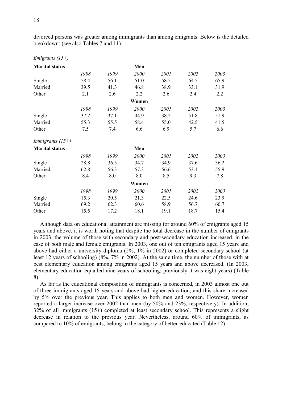divorced persons was greater among immigrants than among emigrants. Below is the detailed breakdown: (see also Tables 7 and 11).

| <b>Marital status</b>     |      |      | Men   |      |      |      |
|---------------------------|------|------|-------|------|------|------|
|                           | 1998 | 1999 | 2000  | 2001 | 2002 | 2003 |
| Single                    | 58.4 | 56.1 | 51.0  | 58.5 | 64.5 | 65.9 |
| Married                   | 39.5 | 41.3 | 46.8  | 38.9 | 33.1 | 31.9 |
| Other                     | 2.1  | 2.6  | 2.2   | 2.6  | 2.4  | 2.2  |
|                           |      |      | Women |      |      |      |
|                           | 1998 | 1999 | 2000  | 2001 | 2002 | 2003 |
| Single                    | 37.2 | 37.1 | 34.9  | 38.2 | 51.8 | 51.9 |
| Married                   | 55.3 | 55.5 | 58.4  | 55.0 | 42.5 | 41.5 |
| Other                     | 7.5  | 7.4  | 6.6   | 6.9  | 5.7  | 6.6  |
| <i>Immigrants</i> $(15+)$ |      |      |       |      |      |      |
| <b>Marital status</b>     |      |      | Men   |      |      |      |
|                           | 1998 | 1999 | 2000  | 2001 | 2002 | 2003 |
| Single                    | 28.8 | 36.5 | 34.7  | 34.9 | 37.6 | 36.2 |
| Married                   | 62.8 | 56.3 | 57.3  | 56.6 | 53.1 | 55.9 |
| Other                     | 8.4  | 8.0  | 8.0   | 8.5  | 9.3  | 7.8  |
|                           |      |      | Women |      |      |      |
|                           | 1998 | 1999 | 2000  | 2001 | 2002 | 2003 |
| Single                    | 15.3 | 20.5 | 21.3  | 22.5 | 24.6 | 23.9 |
| Married                   | 69.2 | 62.3 | 60.6  | 58.9 | 56.7 | 60.7 |
| Other                     | 15.5 | 17.2 | 18.1  | 19.1 | 18.7 | 15.4 |
|                           |      |      |       |      |      |      |

Although data on educational attainment are missing for around 60% of emigrants aged 15 years and above, it is worth noting that despite the total decrease in the number of emigrants in 2003, the volume of those with secondary and post-secondary education increased, in the case of both male and female emigrants. In 2003, one out of ten emigrants aged 15 years and above had either a university diploma (2%, 1% in 2002) or completed secondary school (at least 12 years of schooling) (8%, 7% in 2002). At the same time, the number of those with at best elementary education among emigrants aged 15 years and above decreased. (In 2003, elementary education equalled nine years of schooling; previously it was eight years) (Table 8).

As far as the educational composition of immigrants is concerned, in 2003 almost one out of three immigrants aged 15 years and above had higher education, and this share increased by 5% over the previous year. This applies to both men and women. However, women reported a larger increase over 2002 than men (by 50% and 23%, respectively). In addition, 32% of all immigrants (15+) completed at least secondary school. This represents a slight decrease in relation to the previous year. Nevertheless, around 60% of immigrants, as compared to 10% of emigrants, belong to the category of better-educated (Table 12).

Emigrants (15+)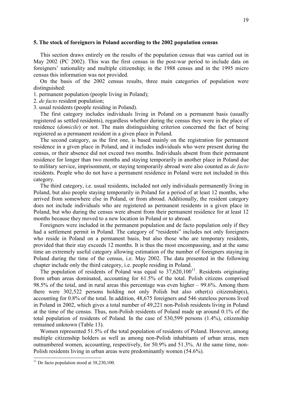#### 5. The stock of foreigners in Poland according to the 2002 population census

This section draws entirely on the results of the population census that was carried out in May 2002 (PC 2002). This was the first census in the post-war period to include data on foreigners' nationality and multiple citizenship; in the 1988 census and in the 1995 micro census this information was not provided.

On the basis of the 2002 census results, three main categories of population were distinguished:

1. permanent population (people living in Poland);

2. de facto resident population;

3. usual residents (people residing in Poland).

The first category includes individuals living in Poland on a permanent basis (usually registered as settled residents), regardless whether during the census they were in the place of residence (domicile) or not. The main distinguishing criterion concerned the fact of being registered as a permanent resident in a given place in Poland.

The second category, as the first one, is based mainly on the registration for permanent residence in a given place in Poland, and it includes individuals who were present during the census, or their absence did not exceed two months. Individuals absent from their permanent residence for longer than two months and staying temporarily in another place in Poland due to military service, imprisonment, or staying temporarily abroad were also counted as de facto residents. People who do not have a permanent residence in Poland were not included in this category.

The third category, i.e. usual residents, included not only individuals permanently living in Poland, but also people staying temporarily in Poland for a period of at least 12 months, who arrived from somewhere else in Poland, or from abroad. Additionally, the resident category does not include individuals who are registered as permanent residents in a given place in Poland, but who during the census were absent from their permanent residence for at least 12 months because they moved to a new location in Poland or to abroad.

Foreigners were included in the permanent population and de facto population only if they had a settlement permit in Poland. The category of "residents" includes not only foreigners who reside in Poland on a permanent basis, but also those who are temporary residents, provided that their stay exceeds 12 months. It is thus the most encompassing, and at the same time an extremely useful category allowing estimation of the number of foreigners staying in Poland during the time of the census, i.e. May 2002. The data presented in the following chapter include only the third category, i.e. people residing in Poland.

The population of residents of Poland was equal to  $37,620,100$ <sup>11</sup>. Residents originating from urban areas dominated, accounting for 61.5% of the total. Polish citizens comprised 98.5% of the total, and in rural areas this percentage was even higher – 99.6%. Among them there were 302,522 persons holding not only Polish but also other(s) citizenship(s), accounting for 0.8% of the total. In addition, 48,675 foreigners and 546 stateless persons lived in Poland in 2002, which gives a total number of 49,221 non-Polish residents living in Poland at the time of the census. Thus, non-Polish residents of Poland made up around 0.1% of the total population of residents of Poland. In the case of 530,599 persons (1.4%), citizenship remained unknown (Table 13).

Women represented 51.5% of the total population of residents of Poland. However, among multiple citizenship holders as well as among non-Polish inhabitants of urban areas, men outnumbered women, accounting, respectively, for 50.9% and 51.3%. At the same time, non-Polish residents living in urban areas were predominantly women (54.6%).

 $\overline{a}$ 

 $11$  De facto population stood at 38,230,100.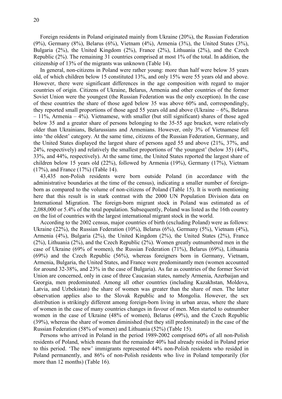Foreign residents in Poland originated mainly from Ukraine (20%), the Russian Federation (9%), Germany (8%), Belarus (6%), Vietnam (4%), Armenia (3%), the United States (3%), Bulgaria (2%), the United Kingdom (2%), France (2%), Lithuania (2%), and the Czech Republic (2%). The remaining 31 countries comprised at most 1% of the total. In addition, the citizenship of 13% of the migrants was unknown (Table 14).

In general, non-citizens in Poland were rather young: more than half were below 35 years old, of which children below 15 constituted 13%, and only 15% were 55 years old and above. However, there were significant differences in the age composition with regard to major countries of origin. Citizens of Ukraine, Belarus, Armenia and other countries of the former Soviet Union were the youngest (the Russian Federation was the only exception). In the case of these countries the share of those aged below 35 was above 60% and, correspondingly, they reported small proportions of those aged 55 years old and above (Ukraine  $-6\%$ , Belarus – 11%, Armenia – 4%). Vietnamese, with smaller (but still significant) shares of those aged below 35 and a greater share of persons belonging to the 35-55 age bracket, were relatively older than Ukrainians, Belarussians and Armenians. However, only 3% of Vietnamese fell into 'the oldest' category. At the same time, citizens of the Russian Federation, Germany, and the United States displayed the largest share of persons aged 55 and above (21%, 37%, and 24%, respectively) and relatively the smallest proportions of 'the youngest' (below 35) (44%, 33%, and 44%, respectively). At the same time, the United States reported the largest share of children below 15 years old (22%), followed by Armenia (19%), Germany (17%), Vietnam (17%), and France (17%) (Table 14).

43,435 non-Polish residents were born outside Poland (in accordance with the administrative boundaries at the time of the census), indicating a smaller number of foreignborn as compared to the volume of non-citizens of Poland (Table 15). It is worth mentioning here that this result is in stark contrast with the 2000 UN Population Division data on International Migration. The foreign-born migrant stock in Poland was estimated as of 2,088,000 or 5.4% of the total population. Subsequently, Poland was listed as the 16th country on the list of countries with the largest international migrant stock in the world.

According to the 2002 census, major countries of birth (excluding Poland) were as follows: Ukraine (22%), the Russian Federation (10%), Belarus (6%), Germany (5%), Vietnam (4%), Armenia (4%), Bulgaria (2%), the United Kingdom (2%), the United States (2%), France (2%), Lithuania (2%), and the Czech Republic (2%). Women greatly outnumbered men in the case of Ukraine (69% of women), the Russian Federation (71%), Belarus (69%), Lithuania (69%) and the Czech Republic (56%), whereas foreigners born in Germany, Vietnam, Armenia, Bulgaria, the United States, and France were predominantly men (women accounted for around 32-38%, and 23% in the case of Bulgaria). As far as countries of the former Soviet Union are concerned, only in case of three Caucasian states, namely Armenia, Azerbaijan and Georgia, men predominated. Among all other countries (including Kazakhstan, Moldova, Latvia, and Uzbekistan) the share of women was greater than the share of men. The latter observation applies also to the Slovak Republic and to Mongolia. However, the sex distribution is strikingly different among foreign-born living in urban areas, where the share of women in the case of many countries changes in favour of men. Men started to outnumber women in the case of Ukraine (48% of women), Belarus (49%), and the Czech Republic (39%), whereas the share of women diminished (but they still predominated) in the case of the Russian Federation (58% of women) and Lithuania (52%) (Table 15).

Persons who arrived in Poland in the period 1989-2002 comprised 60% of all non-Polish residents of Poland, which means that the remainder 40% had already resided in Poland prior to this period. 'The new' immigrants represented 44% non-Polish residents who resided in Poland permanently, and 86% of non-Polish residents who live in Poland temporarily (for more than 12 months) (Table 16).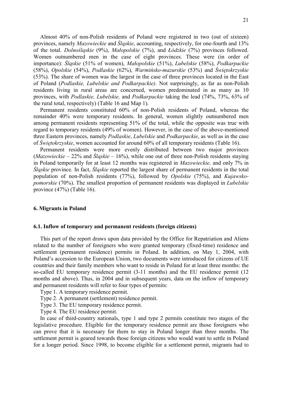Almost 40% of non-Polish residents of Poland were registered in two (out of sixteen) provinces, namely Mazowieckie and Śląskie, accounting, respectively, for one-fourth and 13% of the total. Dolnośląskie (9%), Małopolskie (7%), and Łódzkie (7%) provinces followed. Women outnumbered men in the case of eight provinces. These were (in order of importance): Śląskie (51% of women), Małopolskie (51%), Lubelskie (58%), Podkarpackie (58%), Opolskie (54%), Podlaskie (62%), Warmińsko-mazurskie (53%) and Świętokrzyskie (53%). The share of women was the largest in the case of three provinces located in the East of Poland (Podlaskie, Lubelskie and Podkarpackie). Not surprisingly, as far as non-Polish residents living in rural areas are concerned, women predominated in as many as 10 provinces, with Podlaskie, Lubelskie, and Podkarpackie taking the lead (74%, 73%, 63% of the rural total, respectively) (Table 16 and Map 1).

Permanent residents constituted 60% of non-Polish residents of Poland, whereas the remainder 40% were temporary residents. In general, women slightly outnumbered men among permanent residents representing 51% of the total, while the opposite was true with regard to temporary residents (49% of women). However, in the case of the above-mentioned three Eastern provinces, namely Podlaskie, Lubelskie and Podkarpackie, as well as in the case of Świętokrzyskie, women accounted for around 60% of all temporary residents (Table 16).

Permanent residents were more evenly distributed between two major provinces (*Mazowieckie – 22%* and *Śląskie – 16%*), while one out of three non-Polish residents staying in Poland temporarily for at least 12 months was registered in Mazowieckie, and only 7% in Śląskie province. In fact, Śląskie reported the largest share of permanent residents in the total population of non-Polish residents (77%), followed by Opolskie (75%), and Kujawskopomorskie (70%). The smallest proportion of permanent residents was displayed in Lubelskie province (47%) (Table 16).

#### 6. Migrants in Poland

#### 6.1. Inflow of temporary and permanent residents (foreign citizens)

This part of the report draws upon data provided by the Office for Repatriation and Aliens related to the number of foreigners who were granted temporary (fixed-time) residence and settlement (permanent residence) permits in Poland. In addition, on May 1, 2004, with Poland's accession to the European Union, two documents were introduced for citizens of UE countries and their family members who want to reside in Poland for at least three months: the so-called EU temporary residence permit (3-11 months) and the EU residence permit (12 months and above). Thus, in 2004 and in subsequent years, data on the inflow of temporary and permanent residents will refer to four types of permits:

- Type 1. A temporary residence permit.
- Type 2. A permanent (settlement) residence permit.
- Type 3. The EU temporary residence permit.
- Type 4. The EU residence permit.

In case of third-country nationals, type 1 and type 2 permits constitute two stages of the legislative procedure. Eligible for the temporary residence permit are those foreigners who can prove that it is necessary for them to stay in Poland longer than three months. The settlement permit is geared towards those foreign citizens who would want to settle in Poland for a longer period. Since 1998, to become eligible for a settlement permit, migrants had to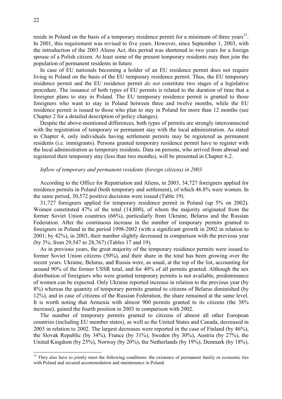reside in Poland on the basis of a temporary residence permit for a minimum of three years $^{12}$ . In 2001, this requirement was revised to five years. However, since September 1, 2003, with the introduction of the 2003 Aliens Act, this period was shortened to two years for a foreign spouse of a Polish citizen. At least some of the present temporary residents may then join the population of permanent residents in future.

In case of EU nationals becoming a holder of an EU residence permit does not require living in Poland on the basis of the EU temporary residence permit. Thus, the EU temporary residence permit and the EU residence permit do not constitute two stages of a legislative procedure. The issuance of both types of EU permits is related to the duration of time that a foreigner plans to stay in Poland. The EU temporary residence permit is granted to those foreigners who want to stay in Poland between three and twelve months, while the EU residence permit is issued to those who plan to stay in Poland for more than 12 months (see Chapter 2 for a detailed description of policy changes).

Despite the above-mentioned differences, both types of permits are strongly interconnected with the registration of temporary or permanent stay with the local administration. As stated in Chapter 4, only individuals having settlement permits may be registered as permanent residents (i.e. immigrants). Persons granted temporary residence permit have to register with the local administration as temporary residents. Data on persons, who arrived from abroad and registered their temporary stay (less than two months), will be presented in Chapter 6.2.

#### Inflow of temporary and permanent residents (foreign citizens) in 2003

According to the Office for Repatriation and Aliens, in 2003, 34,727 foreigners applied for residence permits in Poland (both temporary and settlement), of which 46.8% were women. In the same period, 30,572 positive decisions were issued (Table 19).

31,727 foreigners applied for temporary residence permit in Poland (up 5% on 2002). Women constituted 47% of the total (14,800), of whom the majority originated from the former Soviet Union countries (66%), particularly from Ukraine, Belarus and the Russian Federation. After the continuous increase in the number of temporary permits granted to foreigners in Poland in the period 1998-2002 (with a significant growth in 2002 in relation to 2001; by 42%), in 2003, their number slightly decreased in comparison with the previous year (by 3%; from 29,547 to 28,767) (Tables 17 and 19).

As in previous years, the great majority of the temporary residence permits were issued to former Soviet Union citizens (50%), and their share in the total has been growing over the recent years. Ukraine, Belarus, and Russia were, as usual, at the top of the list, accounting for around 90% of the former USSR total, and for 40% of all permits granted. Although the sex distribution of foreigners who were granted temporary permits is not available, predominance of women can be expected. Only Ukraine reported increase in relation to the previous year (by 8%) whereas the quantity of temporary permits granted to citizens of Belarus diminished (by 12%), and in case of citizens of the Russian Federation, the share remained at the same level. It is worth noting that Armenia with almost 900 permits granted to its citizens (the 38% increase), gained the fourth position in 2003 in comparison with 2002.

The number of temporary permits granted to citizens of almost all other European countries (including EU member states), as well as the United States and Canada, decreased in 2003 in relation to 2002. The largest decreases were reported in the case of Finland (by 46%), the Slovak Republic (by 34%), France (by 31%), Sweden (by 30%), Austria (by 27%), the United Kingdom (by 25%), Norway (by 20%), the Netherlands (by 19%), Denmark (by 18%),

 $\overline{a}$ 

 $12$  They also have to jointly meet the following conditions: the existence of permanent family or economic ties with Poland and secured accommodation and maintenance in Poland.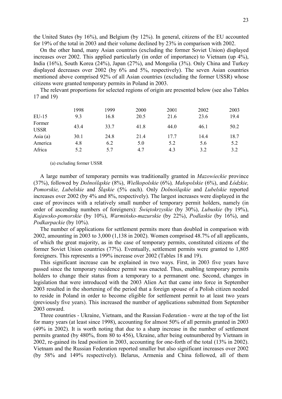the United States (by 16%), and Belgium (by 12%). In general, citizens of the EU accounted for 19% of the total in 2003 and their volume declined by 23% in comparison with 2002.

On the other hand, many Asian countries (excluding the former Soviet Union) displayed increases over 2002. This applied particularly (in order of importance) to Vietnam (up 4%), India (16%), South Korea (24%), Japan (27%), and Mongolia (3%). Only China and Turkey displayed decreases over 2002 (by 6% and 5%, respectively). The seven Asian countries mentioned above comprised 92% of all Asian countries (excluding the former USSR) whose citizens were granted temporary permits in Poland in 2003.

The relevant proportions for selected regions of origin are presented below (see also Tables 17 and 19)

|                       | 1998 | 1999 | 2000 | 2001 | 2002 | 2003 |
|-----------------------|------|------|------|------|------|------|
| $EU-15$               | 9.3  | 16.8 | 20.5 | 21.6 | 23.6 | 19.4 |
| Former<br><b>USSR</b> | 43.4 | 33.7 | 41.8 | 44.0 | 46.1 | 50.2 |
| Asia $(a)$            | 30.1 | 24.8 | 21.4 | 17.7 | 14.4 | 18.7 |
| America               | 4.8  | 6.2  | 5.0  | 5.2  | 5.6  | 5.2  |
| Africa                | 5.2  | 5.7  | 4.7  | 4.3  | 3.2  | 3.2  |

#### (a) excluding former USSR

A large number of temporary permits was traditionally granted in Mazowieckie province (37%), followed by Dolnośląskie (8%), Wielkopolskie (6%), Małopolskie (6%), and Łódzkie, Pomorskie, Lubelskie and Śląskie (5% each). Only Dolnośląskie and Lubelskie reported increases over 2002 (by 4% and 8%, respectively). The largest increases were displayed in the case of provinces with a relatively small number of temporary permit holders, namely (in order of ascending numbers of foreigners): Świętokrzyskie (by 30%), Lubuskie (by 19%), Kujawsko-pomorskie (by 10%), Warmińsko-mazurskie (by 22%), Podlaskie (by 16%), and Podkarpackie (by 10%).

The number of applications for settlement permits more than doubled in comparison with 2002, amounting in 2003 to 3,000 (1,138 in 2002). Women comprised 48.7% of all applicants, of which the great majority, as in the case of temporary permits, constituted citizens of the former Soviet Union countries (77%). Eventually, settlement permits were granted to 1,805 foreigners. This represents a 199% increase over 2002 (Tables 18 and 19).

This significant increase can be explained in two ways. First, in 2003 five years have passed since the temporary residence permit was enacted. Thus, enabling temporary permits holders to change their status from a temporary to a permanent one. Second, changes in legislation that were introduced with the 2003 Alien Act that came into force in September 2003 resulted in the shortening of the period that a foreign spouse of a Polish citizen needed to reside in Poland in order to become eligible for settlement permit to at least two years (previously five years). This increased the number of applications submitted from September 2003 onward.

Three countries - Ukraine, Vietnam, and the Russian Federation - were at the top of the list for many years (at least since 1998), accounting for almost 50% of all permits granted in 2003 (49% in 2002). It is worth noting that due to a sharp increase in the number of settlement permits granted (by 480%, from 80 to 456), Ukraine, after being outnumbered by Vietnam in 2002, re-gained its lead position in 2003, accounting for one-forth of the total (13% in 2002). Vietnam and the Russian Federation reported smaller but also significant increases over 2002 (by 58% and 149% respectively). Belarus, Armenia and China followed, all of them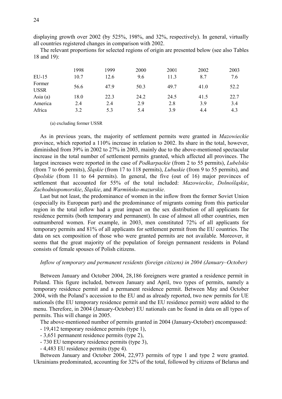displaying growth over 2002 (by 525%, 198%, and 32%, respectively). In general, virtually all countries registered changes in comparison with 2002.

The relevant proportions for selected regions of origin are presented below (see also Tables 18 and 19):

| $EU-15$               | 1998<br>10.7 | 1999<br>12.6 | 2000<br>9.6 | 2001<br>11.3 | 2002<br>8.7 | 2003<br>7.6 |
|-----------------------|--------------|--------------|-------------|--------------|-------------|-------------|
| Former<br><b>USSR</b> | 56.6         | 47.9         | 50.3        | 49.7         | 41.0        | 52.2        |
| Asia $(a)$            | 18.0         | 22.3         | 24.2        | 24.5         | 41.5        | 22.7        |
| America               | 2.4          | 2.4          | 2.9         | 2.8          | 3.9         | 3.4         |
| Africa                | 3.2          | 5.3          | 5.4         | 3.9          | 4.4         | 4.3         |

(a) excluding former USSR

As in previous years, the majority of settlement permits were granted in Mazowieckie province, which reported a 110% increase in relation to 2002. Its share in the total, however, diminished from 39% in 2002 to 27% in 2003, mainly due to the above-mentioned spectacular increase in the total number of settlement permits granted, which affected all provinces. The largest increases were reported in the case of Podkarpackie (from 2 to 55 permits), Lubelskie (from 7 to 66 permits), Śląskie (from 17 to 118 permits), Lubuskie (from 9 to 55 permits), and Opolskie (from 11 to 64 permits). In general, the five (out of 16) major provinces of settlement that accounted for 55% of the total included: Mazowieckie, Dolnośląskie, Zachodniopomorskie, Śląskie, and Warmińsko-mazurskie.

Last but not least, the predominance of women in the inflow from the former Soviet Union (especially its European part) and the predominance of migrants coming from this particular region in the total inflow had a great impact on the sex distribution of all applicants for residence permits (both temporary and permanent). In case of almost all other countries, men outnumbered women. For example, in 2003, men constituted 72% of all applicants for temporary permits and 81% of all applicants for settlement permit from the EU countries. The data on sex composition of those who were granted permits are not available. Moreover, it seems that the great majority of the population of foreign permanent residents in Poland consists of female spouses of Polish citizens.

#### Inflow of temporary and permanent residents (foreign citizens) in 2004 (January–October)

Between January and October 2004, 28,186 foreigners were granted a residence permit in Poland. This figure included, between January and April, two types of permits, namely a temporary residence permit and a permanent residence permit. Between May and October 2004, with the Poland's accession to the EU and as already reported, two new permits for UE nationals (the EU temporary residence permit and the EU residence permit) were added to the menu. Therefore, in 2004 (January-October) EU nationals can be found in data on all types of permits. This will change in 2005.

The above-mentioned number of permits granted in 2004 (January-October) encompassed:

- 19,412 temporary residence permits (type 1),

- 3,651 permanent residence permits (type 2),

- 730 EU temporary residence permits (type 3),

- 4,483 EU residence permits (type 4).

Between January and October 2004, 22,973 permits of type 1 and type 2 were granted. Ukrainians predominated, accounting for 32% of the total, followed by citizens of Belarus and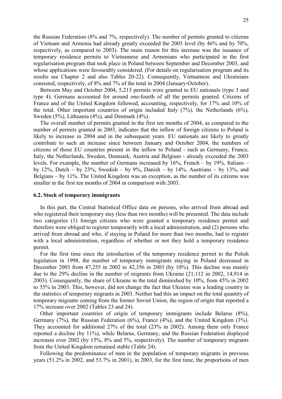the Russian Federation (8% and 7%, respectively). The number of permits granted to citizens of Vietnam and Armenia had already greatly exceeded the 2003 level (by 46% and by 70%, respectively, as compared to 2003). The main reason for this increase was the issuance of temporary residence permits to Vietnamese and Armenians who participated in the first regularisation program that took place in Poland between September and December 2003, and whose applications were favourably considered. (For details on regularisation program and its results see Chapter 2 and also Tables 20-22). Consequently, Vietnamese and Ukrainians consisted, respectively, of 8% and 7% of the total in 2004 (January-October).

Between May and October 2004, 5,213 permits were granted to EU nationals (type 3 and type 4). Germans accounted for around one-fourth of all the permits granted. Citizens of France and of the United Kingdom followed, accounting, respectively, for 17% and 10% of the total. Other important countries of origin included Italy (7%), the Netherlands (6%), Sweden (5%), Lithuania (4%), and Denmark (4%).

The overall number of permits granted in the first ten months of 2004, as compared to the number of permits granted in 2003, indicates that the inflow of foreign citizens to Poland is likely to increase in 2004 and in the subsequent years. EU nationals are likely to greatly contribute to such an increase since between January and October 2004, the numbers of citizens of those EU countries present in the inflow to Poland - such as Germany, France, Italy, the Netherlands, Sweden, Denmark, Austria and Belgium - already exceeded the 2003 levels. For example, the number of Germans increased by 16%, French – by 19%, Italians – by 12%, Dutch – by 23%, Swedish – by 9%, Danish – by 14%, Austrians – by 13%, and Belgians – by 11%. The United Kingdom was an exception, as the number of its citizens was smaller in the first ten months of 2004 in comparison with 2003.

#### 6.2. Stock of temporary immigrants

In this part, the Central Statistical Office data on persons, who arrived from abroad and who registered their temporary stay (less than two months) will be presented. The data include two categories (1) foreign citizens who were granted a temporary residence permit and therefore were obliged to register temporarily with a local administration, and (2) persons who arrived from abroad and who, if staying in Poland for more than two months, had to register with a local administration, regardless of whether or not they hold a temporary residence permit.

For the first time since the introduction of the temporary residence permit to the Polish legislation in 1998, the number of temporary immigrants staying in Poland decreased in December 2003 from 47,255 in 2002 to 42,356 in 2003 (by 10%). This decline was mainly due to the 29% decline in the number of migrants from Ukraine (21,112 in 2002, 14,914 in 2003). Consequently, the share of Ukraine in the total diminished by 10%, from 45% in 2002 to 35% in 2003. This, however, did not change the fact that Ukraine was a leading country in the statistics of temporary migrants in 2003. Neither had this an impact on the total quantity of temporary migrants coming from the former Soviet Union, the region of origin that reported a 17% increase over 2002 (Tables 23 and 24).

Other important countries of origin of temporary immigrants include Belarus (8%), Germany (7%), the Russian Federation (6%), France (4%), and the United Kingdom (3%). They accounted for additional 27% of the total (23% in 2002). Among them only France reported a decline (by 11%), while Belarus, Germany, and the Russian Federation displayed increases over 2002 (by 15%, 8% and 5%, respectively). The number of temporary migrants from the United Kingdom remained stable (Table 24).

Following the predominance of men in the population of temporary migrants in previous years (51.2% in 2002, and 53.7% in 2001), in 2003, for the first time, the proportions of men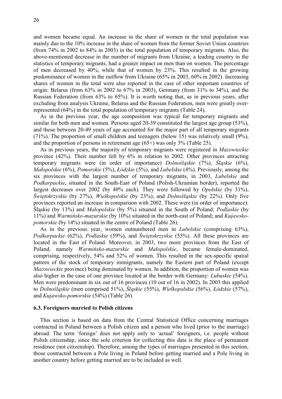and women became equal. An increase in the share of women in the total population was mainly due to the 10% increase in the share of women from the former Soviet Union countries (from 74% in 2002 to 84% in 2003) in the total population of temporary migrants. Also, the above-mentioned decrease in the number of migrants from Ukraine, a leading country in the statistics of temporary migrants, had a greater impact on men than on women. The percentage of men decreased by 40%, while that of women by 23%. This resulted in the growing predominance of women in the outflow from Ukraine (65% in 2003, 60% in 2002). Increasing shares of women in the total were also reported in the case of other important countries of origin: Belarus (from 63% in 2002 to 67% in 2003), Germany (from 31% to 34%), and the Russian Federation (from 63% to 65%). It is worth noting that, as in previous years, after excluding from analysis Ukraine, Belarus and the Russian Federation, men were greatly overrepresented (64%) in the total population of temporary migrants (Table 24).

As in the previous year, the age composition was typical for temporary migrants and similar for both men and women. Persons aged 20-39 constituted the largest age group (53%), and those between 20-49 years of age accounted for the major part of all temporary migrants (71%). The proportion of small children and teenagers (below 15) was relatively small (9%), and the proportion of persons in retirement age  $(65+)$  was only 3% (Table 25).

As in previous years, the majority of temporary migrants were registered in *Mazowieckie* province (42%). Their number fell by 6% in relation to 2002. Other provinces attracting temporary migrants were (in order of importance) Dolnośląskie (7%), Śląskie (6%), Małopolskie (6%), Pomorskie (5%), Łódzkie (5%), and Lubelskie (4%). Previously, among the six provinces with the largest number of temporary migrants, in 2003, Lubelskie and Podkarpackie, situated in the South-East of Poland (Polish-Ukrainian border), reported the largest decreases over 2002 (by 40% each). They were followed by Opolskie (by 31%), Świętokrzyskie (by 27%), Wielkopolskie (by 23%), and Dolnośląskie (by 22%). Only five provinces reported an increase in comparison with 2002. These were (in order of importance): Śląskie (by 13%) and Małopolskie (by 5%) situated in the South of Poland; Podlaskie (by 11%) and Warmińsko-mazurskie (by 10%) situated in the north-east of Poland; and Kujawskopomorskie (by 14%) situated in the centre of Poland (Table 26).

As in the previous year, women outnumbered men in *Lubelskie* (comprising 63%), Podkarpackie (62%), Podlaskie (59%), and Świętokrzyskie (55%). All these provinces are located in the East of Poland. Moreover, in 2003, two more provinces from the East of Poland, namely Warmińsko-mazurskie and Małopolskie, became female-dominated, comprising, respectively, 54% and 52% of women. This resulted in the sex-specific spatial pattern of the stock of temporary immigrants, namely the Eastern part of Poland (except Mazowieckie province) being dominated by women. In addition, the proportion of women was also higher in the case of one province located at the border with Germany: Lubuskie (54%). Men were predominant in six out of 16 provinces (10 out of 16 in 2002). In 2003 this applied to Dolnośląskie (men comprised 51%), Śląskie (55%), Wielkopolskie (56%), Łódzkie (57%), and Kujawsko-pomorskie (54%) (Table 26).

#### 6.3. Foreigners married to Polish citizens

This section is based on data from the Central Statistical Office concerning marriages contracted in Poland between a Polish citizen and a person who lived (prior to the marriage) abroad. The term 'foreign' does not apply only to 'actual' foreigners, i.e. people without Polish citizenship, since the sole criterion for collecting this data is the place of permanent residence (not citizenship). Therefore, among the types of marriages presented in this section, those contracted between a Pole living in Poland before getting married and a Pole living in another country before getting married are to be included as well.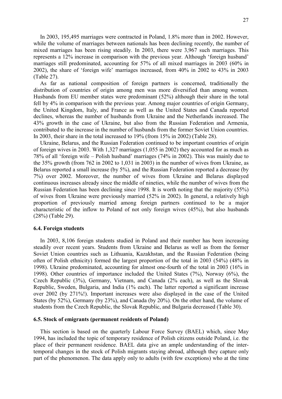In 2003, 195,495 marriages were contracted in Poland, 1.8% more than in 2002. However, while the volume of marriages between nationals has been declining recently, the number of mixed marriages has been rising steadily. In 2003, there were 3,967 such marriages. This represents a 12% increase in comparison with the previous year. Although 'foreign husband' marriages still predominated, accounting for 57% of all mixed marriages in 2003 (60% in 2002), the share of 'foreign wife' marriages increased, from 40% in 2002 to 43% in 2003 (Table 27).

As far as national composition of foreign partners is concerned, traditionally the distribution of countries of origin among men was more diversified than among women. Husbands from EU member states were predominant (52%) although their share in the total fell by 4% in comparison with the previous year. Among major countries of origin Germany, the United Kingdom, Italy, and France as well as the United States and Canada reported declines, whereas the number of husbands from Ukraine and the Netherlands increased. The 43% growth in the case of Ukraine, but also from the Russian Federation and Armenia, contributed to the increase in the number of husbands from the former Soviet Union countries. In 2003, their share in the total increased to 19% (from 15% in 2002) (Table 28).

Ukraine, Belarus, and the Russian Federation continued to be important countries of origin of foreign wives in 2003. With 1,327 marriages (1,055 in 2002) they accounted for as much as 78% of all 'foreign wife – Polish husband' marriages (74% in 2002). This was mainly due to the 35% growth (from 762 in 2002 to 1,031 in 2003) in the number of wives from Ukraine, as Belarus reported a small increase (by 5%), and the Russian Federation reported a decrease (by 7%) over 2002. Moreover, the number of wives from Ukraine and Belarus displayed continuous increases already since the middle of nineties, while the number of wives from the Russian Federation has been declining since 1998. It is worth noting that the majority (55%) of wives from Ukraine were previously married (52% in 2002). In general, a relatively high proportion of previously married among foreign partners continued to be a major characteristic of the inflow to Poland of not only foreign wives (45%), but also husbands (28%) (Table 29).

#### 6.4. Foreign students

In 2003, 8,106 foreign students studied in Poland and their number has been increasing steadily over recent years. Students from Ukraine and Belarus as well as from the former Soviet Union countries such as Lithuania, Kazakhstan, and the Russian Federation (being often of Polish ethnicity) formed the largest proportion of the total in 2003 (54%) (48% in 1998). Ukraine predominated, accounting for almost one-fourth of the total in 2003 (16% in 1998). Other countries of importance included the United States (7%), Norway (6%), the Czech Republic (3%), Germany, Vietnam, and Canada (2% each), as well as the Slovak Republic, Sweden, Bulgaria, and India (1% each). The latter reported a significant increase over 2002 (by 271%!). Important increases were also displayed in the case of the United States (by 52%), Germany (by 23%), and Canada (by 20%). On the other hand, the volume of students from the Czech Republic, the Slovak Republic, and Bulgaria decreased (Table 30).

#### 6.5. Stock of emigrants (permanent residents of Poland)

This section is based on the quarterly Labour Force Survey (BAEL) which, since May 1994, has included the topic of temporary residence of Polish citizens outside Poland, i.e. the place of their permanent residence. BAEL data give an ample understanding of the intertemporal changes in the stock of Polish migrants staying abroad, although they capture only part of the phenomenon. The data apply only to adults (with few exceptions) who at the time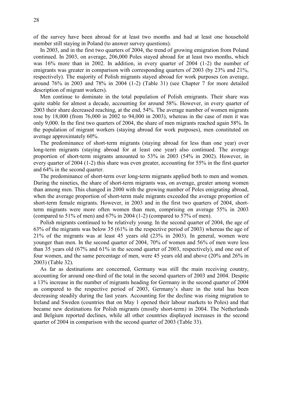28

of the survey have been abroad for at least two months and had at least one household member still staying in Poland (to answer survey questions).

In 2003, and in the first two quarters of 2004, the trend of growing emigration from Poland continued. In 2003, on average, 206,000 Poles stayed abroad for at least two months, which was 16% more than in 2002. In addition, in every quarter of 2004 (1-2) the number of emigrants was greater in comparison with corresponding quarters of 2003 (by 23% and 21%, respectively). The majority of Polish migrants stayed abroad for work purposes (on average, around 76% in 2003 and 78% in 2004 (1-2) (Table 31) (see Chapter 7 for more detailed description of migrant workers).

Men continue to dominate in the total population of Polish emigrants. Their share was quite stable for almost a decade, accounting for around 58%. However, in every quarter of 2003 their share decreased reaching, at the end, 54%. The average number of women migrants rose by 18,000 (from 76,000 in 2002 to 94,000 in 2003), whereas in the case of men it was only 9,000. In the first two quarters of 2004, the share of men migrants reached again 58%. In the population of migrant workers (staying abroad for work purposes), men constituted on average approximately 60%.

The predominance of short-term migrants (staying abroad for less than one year) over long-term migrants (staying abroad for at least one year) also continued. The average proportion of short-term migrants amounted to 53% in 2003 (54% in 2002). However, in every quarter of 2004 (1-2) this share was even greater, accounting for 55% in the first quarter and 64% in the second quarter.

The predominance of short-term over long-term migrants applied both to men and women. During the nineties, the share of short-term migrants was, on average, greater among women than among men. This changed in 2000 with the growing number of Poles emigrating abroad, when the average proportion of short-term male migrants exceeded the average proportion of short-term female migrants. However, in 2003 and in the first two quarters of 2004, shortterm migrants were more often women than men, comprising on average 55% in 2003 (compared to 51% of men) and 67% in 2004 (1-2) (compared to 57% of men).

Polish migrants continued to be relatively young. In the second quarter of 2004, the age of 63% of the migrants was below 35 (61% in the respective period of 2003) whereas the age of 21% of the migrants was at least 45 years old (23% in 2003). In general, women were younger than men. In the second quarter of 2004, 70% of women and 56% of men were less than 35 years old (67% and 61% in the second quarter of 2003, respectively), and one out of four women, and the same percentage of men, were 45 years old and above (20% and 26% in 2003) (Table 32).

As far as destinations are concerned, Germany was still the main receiving country, accounting for around one-third of the total in the second quarters of 2003 and 2004. Despite a 13% increase in the number of migrants heading for Germany in the second quarter of 2004 as compared to the respective period of 2003, Germany's share in the total has been decreasing steadily during the last years. Accounting for the decline was rising migration to Ireland and Sweden (countries that on May 1 opened their labour markets to Poles) and that became new destinations for Polish migrants (mostly short-term) in 2004. The Netherlands and Belgium reported declines, while all other countries displayed increases in the second quarter of 2004 in comparison with the second quarter of 2003 (Table 33).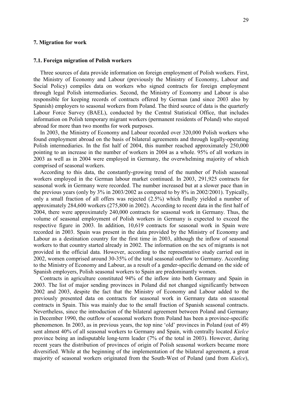#### 7. Migration for work

#### 7.1. Foreign migration of Polish workers

Three sources of data provide information on foreign employment of Polish workers. First, the Ministry of Economy and Labour (previously the Ministry of Economy, Labour and Social Policy) compiles data on workers who signed contracts for foreign employment through legal Polish intermediaries. Second, the Ministry of Economy and Labour is also responsible for keeping records of contracts offered by German (and since 2003 also by Spanish) employers to seasonal workers from Poland. The third source of data is the quarterly Labour Force Survey (BAEL), conducted by the Central Statistical Office, that includes information on Polish temporary migrant workers (permanent residents of Poland) who stayed abroad for more than two months for work purposes.

In 2003, the Ministry of Economy and Labour recorded over 320,000 Polish workers who found employment abroad on the basis of bilateral agreements and through legally-operating Polish intermediaries. In the fist half of 2004, this number reached approximately 250,000 pointing to an increase in the number of workers in 2004 as a whole. 95% of all workers in 2003 as well as in 2004 were employed in Germany, the overwhelming majority of which comprised of seasonal workers.

According to this data, the constantly-growing trend of the number of Polish seasonal workers employed in the German labour market continued. In 2003, 291,925 contracts for seasonal work in Germany were recorded. The number increased but at a slower pace than in the previous years (only by 3% in 2003/2002 as compared to by 8% in 2002/2001). Typically, only a small fraction of all offers was rejected (2.5%) which finally yielded a number of approximately 284,600 workers (275,800 in 2002). According to recent data in the first half of 2004, there were approximately 240,000 contracts for seasonal work in Germany. Thus, the volume of seasonal employment of Polish workers in Germany is expected to exceed the respective figure in 2003. In addition, 10,619 contracts for seasonal work in Spain were recorded in 2003. Spain was present in the data provided by the Ministry of Economy and Labour as a destination country for the first time in 2003, although the inflow of seasonal workers to that country started already in 2002. The information on the sex of migrants is not provided in the official data. However, according to the representative study carried out in 2002, women comprised around 30-35% of the total seasonal outflow to Germany. According to the Ministry of Economy and Labour, as a result of a gender-specific demand on the side of Spanish employers, Polish seasonal workers to Spain are predominantly women.

Contracts in agriculture constituted 94% of the inflow into both Germany and Spain in 2003. The list of major sending provinces in Poland did not changed significantly between 2002 and 2003, despite the fact that the Ministry of Economy and Labour added to the previously presented data on contracts for seasonal work in Germany data on seasonal contracts in Spain. This was mainly due to the small fraction of Spanish seasonal contracts. Nevertheless, since the introduction of the bilateral agreement between Poland and Germany in December 1990, the outflow of seasonal workers from Poland has been a province-specific phenomenon. In 2003, as in previous years, the top nine 'old' provinces in Poland (out of 49) sent almost 40% of all seasonal workers to Germany and Spain, with centrally located Kielce province being an indisputable long-term leader (7% of the total in 2003). However, during recent years the distribution of provinces of origin of Polish seasonal workers became more diversified. While at the beginning of the implementation of the bilateral agreement, a great majority of seasonal workers originated from the South-West of Poland (and from Kielce),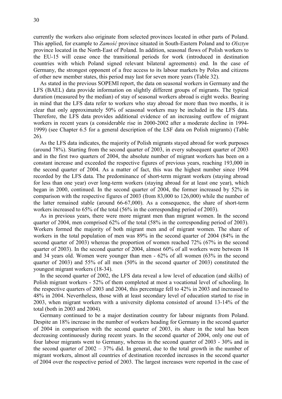currently the workers also originate from selected provinces located in other parts of Poland. This applied, for example to Zamość province situated in South-Eastern Poland and to Olsztyn province located in the North-East of Poland. In addition, seasonal flows of Polish workers to the EU-15 will cease once the transitional periods for work (introduced in destination countries with which Poland signed relevant bilateral agreements) end. In the case of Germany, the strongest opponent of a free access to its labour markets by Poles and citizens of other new member states, this period may last for seven more years (Table 32).

As stated in the previous SOPEMI report, the data on seasonal workers in Germany and the LFS (BAEL) data provide information on slightly different groups of migrants. The typical duration (measured by the median) of stay of seasonal workers abroad is eight weeks. Bearing in mind that the LFS data refer to workers who stay abroad for more than two months, it is clear that only approximately 50% of seasonal workers may be included in the LFS data. Therefore, the LFS data provides additional evidence of an increasing outflow of migrant workers in recent years (a considerable rise in 2000-2002 after a moderate decline in 1994- 1999) (see Chapter 6.5 for a general description of the LSF data on Polish migrants) (Table 26).

As the LFS data indicates, the majority of Polish migrants stayed abroad for work purposes (around 78%). Starting from the second quarter of 2003, in every subsequent quarter of 2003 and in the first two quarters of 2004, the absolute number of migrant workers has been on a constant increase and exceeded the respective figures of previous years, reaching 193,000 in the second quarter of 2004. As a matter of fact, this was the highest number since 1994 recorded by the LFS data. The predominance of short-term migrant workers (staying abroad for less than one year) over long-term workers (staying abroad for at least one year), which began in 2000, continued. In the second quarter of 2004, the former increased by 52% in comparison with the respective figures of 2003 (from 83,000 to 126,000) while the number of the latter remained stable (around 66-67,000). As a consequence, the share of short-term workers increased to 65% of the total (56% in the corresponding period of 2003).

As in previous years, there were more migrant men than migrant women. In the second quarter of 2004, men comprised 62% of the total (58% in the corresponding period of 2003). Workers formed the majority of both migrant men and of migrant women. The share of workers in the total population of men was 89% in the second quarter of 2004 (84% in the second quarter of 2003) whereas the proportion of women reached 72% (67% in the second quarter of 2003). In the second quarter of 2004, almost 60% of all workers were between 18 and 34 years old. Women were younger than men - 62% of all women (63% in the second quarter of 2003) and 55% of all men (50% in the second quarter of 2003) constituted the youngest migrant workers (18-34).

In the second quarter of 2002, the LFS data reveal a low level of education (and skills) of Polish migrant workers - 52% of them completed at most a vocational level of schooling. In the respective quarters of 2003 and 2004, this percentage fell to 42% in 2003 and increased to 48% in 2004. Nevertheless, those with at least secondary level of education started to rise in 2003, when migrant workers with a university diploma consisted of around 13-14% of the total (both in 2003 and 2004).

Germany continued to be a major destination country for labour migrants from Poland. Despite an 18% increase in the number of workers heading for Germany in the second quarter of 2004 in comparison with the second quarter of 2003, its share in the total has been decreasing continuously during recent years. In the second quarter of 2004, only one out of four labour migrants went to Germany, whereas in the second quarter of 2003 - 30% and in the second quarter of 2002 – 37% did. In general, due to the total growth in the number of migrant workers, almost all countries of destination recorded increases in the second quarter of 2004 over the respective period of 2003. The largest increases were reported in the case of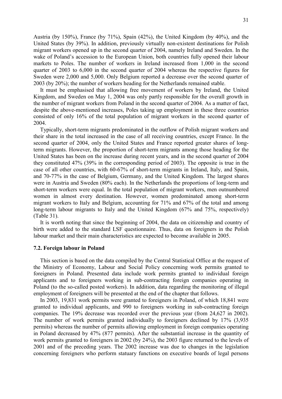Austria (by 150%), France (by 71%), Spain (42%), the United Kingdom (by 40%), and the United States (by 39%). In addition, previously virtually non-existent destinations for Polish migrant workers opened up in the second quarter of 2004, namely Ireland and Sweden. In the wake of Poland's accession to the European Union, both countries fully opened their labour markets to Poles. The number of workers in Ireland increased from 1,000 in the second quarter of 2003 to 6,000 in the second quarter of 2004 whereas the respective figures for Sweden were 2,000 and 5,000. Only Belgium reported a decrease over the second quarter of 2003 (by 20%); the number of workers heading for the Netherlands remained stable.

It must be emphasised that allowing free movement of workers by Ireland, the United Kingdom, and Sweden on May 1, 2004 was only partly responsible for the overall growth in the number of migrant workers from Poland in the second quarter of 2004. As a matter of fact, despite the above-mentioned increases, Poles taking up employment in these three countries consisted of only 16% of the total population of migrant workers in the second quarter of 2004.

Typically, short-term migrants predominated in the outflow of Polish migrant workers and their share in the total increased in the case of all receiving countries, except France. In the second quarter of 2004, only the United States and France reported greater shares of longterm migrants. However, the proportion of short-term migrants among those heading for the United States has been on the increase during recent years, and in the second quarter of 2004 they constituted 47% (39% in the corresponding period of 2003). The opposite is true in the case of all other countries, with 60-67% of short-term migrants in Ireland, Italy, and Spain, and 70-77% in the case of Belgium, Germany, and the United Kingdom. The largest shares were in Austria and Sweden (80% each). In the Netherlands the proportions of long-term and short-term workers were equal. In the total population of migrant workers, men outnumbered women in almost every destination. However, women predominated among short-term migrant workers to Italy and Belgium, accounting for 71% and 67% of the total and among long-term labour migrants to Italy and the United Kingdom (67% and 75%, respectively) (Table 31).

It is worth noting that since the beginning of 2004, the data on citizenship and country of birth were added to the standard LSF questionnaire. Thus, data on foreigners in the Polish labour market and their main characteristics are expected to become available in 2005.

#### 7.2. Foreign labour in Poland

This section is based on the data compiled by the Central Statistical Office at the request of the Ministry of Economy, Labour and Social Policy concerning work permits granted to foreigners in Poland. Presented data include work permits granted to individual foreign applicants and to foreigners working in sub-contracting foreign companies operating in Poland (to the so-called posted workers). In addition, data regarding the monitoring of illegal employment of foreigners will be presented at the end of the chapter that follows.

In 2003, 19,831 work permits were granted to foreigners in Poland, of which 18,841 were granted to individual applicants, and 990 to foreigners working in sub-contracting foreign companies. The 19% decrease was recorded over the previous year (from 24,627 in 2002). The number of work permits granted individually to foreigners declined by 17% (3,935 permits) whereas the number of permits allowing employment in foreign companies operating in Poland decreased by 47% (877 permits). After the substantial increase in the quantity of work permits granted to foreigners in 2002 (by 24%), the 2003 figure returned to the levels of 2001 and of the preceding years. The 2002 increase was due to changes in the legislation concerning foreigners who perform statuary functions on executive boards of legal persons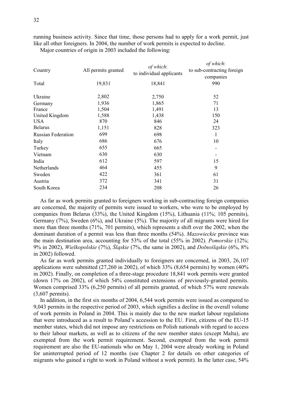running business activity. Since that time, those persons had to apply for a work permit, just like all other foreigners. In 2004, the number of work permits is expected to decline.

Major countries of origin in 2003 included the following:

| Country                   | All permits granted | of which:<br>to individual applicants | of which:<br>to sub-contracting foreign<br>companies |  |
|---------------------------|---------------------|---------------------------------------|------------------------------------------------------|--|
| Total                     | 19,831              | 18,841                                | 990                                                  |  |
| Ukraine                   | 2,802               | 2,750                                 | 52                                                   |  |
| Germany                   | 1,936               | 1,865                                 | 71                                                   |  |
| France                    | 1,504               | 1,491                                 | 13                                                   |  |
| United Kingdom            | 1,588               | 1,438                                 | 150                                                  |  |
| <b>USA</b>                | 870                 | 846                                   | 24                                                   |  |
| <b>Belarus</b>            | 1,151               | 828                                   | 323                                                  |  |
| <b>Russian Federation</b> | 699                 | 698                                   | 1                                                    |  |
| Italy                     | 686                 | 676                                   | 10                                                   |  |
| Turkey                    | 655                 | 665                                   | -                                                    |  |
| Vietnam                   | 630                 | 630                                   |                                                      |  |
| India                     | 612                 | 597                                   | 15                                                   |  |
| Netherlands               | 464                 | 455                                   | 9                                                    |  |
| Sweden                    | 422                 | 361                                   | 61                                                   |  |
| Austria                   | 372                 | 341                                   | 31                                                   |  |
| South Korea               | 234                 | 208                                   | 26                                                   |  |

As far as work permits granted to foreigners working in sub-contracting foreign companies are concerned, the majority of permits were issued to workers, who were to be employed by companies from Belarus (33%), the United Kingdom (15%), Lithuania (11%; 105 permits), Germany (7%), Sweden (6%), and Ukraine (5%). The majority of all migrants were hired for more than three months (71%, 701 permits), which represents a shift over the 2002, when the dominant duration of a permit was less than three months (54%). Mazowieckie province was the main destination area, accounting for 53% of the total (55% in 2002). Pomorskie (12%; 9% in 2002), Wielkopolskie (7%), Śląskie (7%, the same in 2002), and Dolnośląskie (6%, 8% in 2002) followed.

As far as work permits granted individually to foreigners are concerned, in 2003, 26,107 applications were submitted  $(27,260 \text{ in } 2002)$ , of which 33%  $(8,654 \text{ permits})$  by women  $(40\%$ in 2002). Finally, on completion of a three-stage procedure 18,841 work permits were granted (down 17% on 2002), of which 54% constituted extensions of previously-granted permits. Women comprised 33% (6,250 permits) of all permits granted, of which 57% were renewals (3,607 permits).

In addition, in the first six months of 2004, 6,544 work permits were issued as compared to 9,043 permits in the respective period of 2003, which signifies a decline in the overall volume of work permits in Poland in 2004. This is mainly due to the new market labour regulations that were introduced as a result to Poland's accession to the EU. First, citizens of the EU-15 member states, which did not impose any restrictions on Polish nationals with regard to access to their labour markets, as well as to citizens of the new member states (except Malta), are exempted from the work permit requirement. Second, exempted from the work permit requirement are also the EU-nationals who on May 1, 2004 were already working in Poland for uninterrupted period of 12 months (see Chapter 2 for details on other categories of migrants who gained a right to work in Poland without a work permit). In the latter case, 54%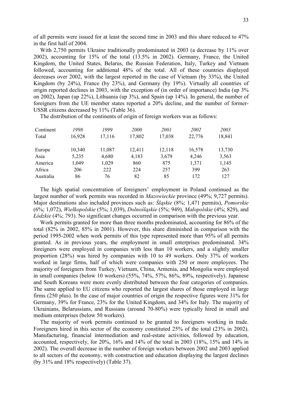of all permits were issued for at least the second time in 2003 and this share reduced to 47% in the first half of 2004.

With 2,750 permits Ukraine traditionally predominated in 2003 (a decrease by 11% over 2002), accounting for 15% of the total (13.5% in 2002). Germany, France, the United Kingdom, the United States, Belarus, the Russian Federation, Italy, Turkey and Vietnam followed, accounting for additional 48% of the total. All of these countries displayed decreases over 2002, with the largest reported in the case of Vietnam (by 33%), the United Kingdom (by 24%), France (by 23%), and Germany (by 19%). Virtually all countries of origin reported declines in 2003, with the exception of (in order of importance) India (up 3% on 2002), Japan (up 22%), Lithuania (up 3%), and Spain (up 14%). In general, the number of foreigners from the UE member states reported a 20% decline, and the number of former-USSR citizens decreased by 11% (Table 36).

The distribution of the continents of origin of foreign workers was as follows:

| Continent<br>Total | 1998<br>16,928 | 1999<br>17,116 | <i>2000</i><br>17,802 | <i>2001</i><br>17,038 | 2002<br>22,776 | 2003<br>18,841 |
|--------------------|----------------|----------------|-----------------------|-----------------------|----------------|----------------|
| Europe             | 10,340         | 11,087         | 12,411                | 12,118                | 16,578         | 13,730         |
| Asia               | 5,235          | 4,680          | 4,183                 | 3,679                 | 4,246          | 3,563          |
| America            | 1,049          | 1,029          | 860                   | 875                   | 1,371          | 1,145          |
| Africa             | 206            | 222            | 224                   | 257                   | 399            | 263            |
| Australia          | 86             | 76             | 82                    | 85                    | 172            | 127            |

The high spatial concentration of foreigners' employment in Poland continued as the largest number of work permits was recorded in Mazowieckie province (49%; 9,727 permits). Major destinations also included provinces such as: Śląskie (8%; 1,471 permits), Pomorskie (6%; 1,072), Wielkopolskie (5%; 1,039), Dolnośląskie (5%; 949), Małopolskie (4%; 829), and Łódzkie (4%; 793). No significant changes occurred in comparison with the previous year.

Work permits granted for more than three months predominated, accounting for 86% of the total (82% in 2002, 85% in 2001). However, this share diminished in comparison with the period 1995-2002 when work permits of this type represented more than 95% of all permits granted. As in previous years, the employment in small enterprises predominated. 34% foreigners were employed in companies with less than 10 workers, and a slightly smaller proportion (28%) was hired by companies with 10 to 49 workers. Only 37% of workers worked in large firms, half of which were companies with 250 or more employees. The majority of foreigners from Turkey, Vietnam, China, Armenia, and Mongolia were employed in small companies (below 10 workers) (55%, 74%, 57%, 86%, 89%, respectively). Japanese and South Koreans were more evenly distributed between the four categories of companies. The same applied to EU citizens who reported the largest shares of those employed in large firms (250 plus). In the case of major countries of origin the respective figures were 31% for Germany, 39% for France, 23% for the United Kingdom, and 34% for Italy. The majority of Ukrainians, Belarussians, and Russians (around 70-80%) were typically hired in small and medium enterprises (below 50 workers).

The majority of work permits continued to be granted to foreigners working in trade. Foreigners hired in this sector of the economy constituted 25% of the total (23% in 2002). Manufacturing, financial intermediation and real-estate activities, followed by education, accounted, respectively, for 20%, 16% and 14% of the total in 2003 (18%, 15% and 14% in 2002). The overall decrease in the number of foreign workers between 2002 and 2003 applied to all sectors of the economy, with construction and education displaying the largest declines (by 31% and 18% respectively) (Table 37).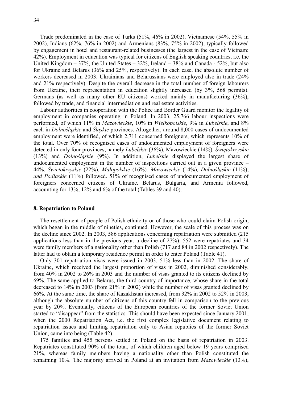Trade predominated in the case of Turks (51%, 46% in 2002), Vietnamese (54%, 55% in 2002), Indians (62%, 76% in 2002) and Armenians (83%, 75% in 2002), typically followed by engagement in hotel and restaurant-related businesses (the largest in the case of Vietnam: 42%). Employment in education was typical for citizens of English speaking countries, i.e. the United Kingdom – 37%, the United States – 32%, Ireland – 38% and Canada - 52%, but also for Ukraine and Belarus (36% and 25%, respectively). In each case, the absolute number of workers decreased in 2003. Ukrainians and Belarussians were employed also in trade (24% and 21% respectively). Despite the overall decrease in the total number of foreign labourers from Ukraine, their representation in education slightly increased (by 3%, 568 permits). Germans (as well as many other EU citizens) worked mainly in manufacturing (36%), followed by trade, and financial intermediation and real estate activities.

Labour authorities in cooperation with the Police and Border Guard monitor the legality of employment in companies operating in Poland. In 2003, 25,766 labour inspections were performed, of which 11% in Mazowieckie, 10% in Wielkopolskie, 9% in Lubelskie, and 8% each in Dolnośląskie and Śląskie provinces. Altogether, around 8,000 cases of undocumented employment were identified, of which 2,711 concerned foreigners, which represents 10% of the total. Over 70% of recognised cases of undocumented employment of foreigners were detected in only four provinces, namely Lubelskie (36%), Mazowieckie (14%), Świętokrzyskie (13%) and Dolnośląskie (9%). In addition, Lubelskie displayed the largest share of undocumented employment in the number of inspections carried out in a given province – 44%. Świętokrzyskie (22%), Małopolskie (16%), Mazowieckie (14%), Dolnośląskie (11%), and Podlaskie (11%) followed. 51% of recognised cases of undocumented employment of foreigners concerned citizens of Ukraine. Belarus, Bulgaria, and Armenia followed, accounting for 13%, 12% and 6% of the total (Tables 39 and 40).

#### 8. Repatriation to Poland

The resettlement of people of Polish ethnicity or of those who could claim Polish origin, which began in the middle of nineties, continued. However, the scale of this process was on the decline since 2002. In 2003, 586 applications concerning repatriation were submitted (215 applications less than in the previous year, a decline of 27%): 552 were repatriates and 34 were family members of a nationality other than Polish (717 and 84 in 2002 respectively). The latter had to obtain a temporary residence permit in order to enter Poland (Table 41).

Only 301 repatriation visas were issued in 2003, 51% less than in 2002. The share of Ukraine, which received the largest proportion of visas in 2002, diminished considerably, from 40% in 2002 to 26% in 2003 and the number of visas granted to its citizens declined by 69%. The same applied to Belarus, the third country of importance, whose share in the total decreased to 14% in 2003 (from 21% in 2002) while the number of visas granted declined by 66%. At the same time, the share of Kazakhstan increased, from 32% in 2002 to 52% in 2003, although the absolute number of citizens of this country fell in comparison to the previous year by 20%. Eventually, citizens of the European countries of the former Soviet Union started to "disappear" from the statistics. This should have been expected since January 2001, when the 2000 Repatriation Act, i.e. the first complex legislative document relating to repatriation issues and limiting repatriation only to Asian republics of the former Soviet Union, came into being (Table 42).

175 families and 455 persons settled in Poland on the basis of repatriation in 2003. Repatriates constituted 90% of the total, of which children aged below 19 years comprised 21%, whereas family members having a nationality other than Polish constituted the remaining 10%. The majority arrived in Poland at an invitation from Mazowieckie (13%),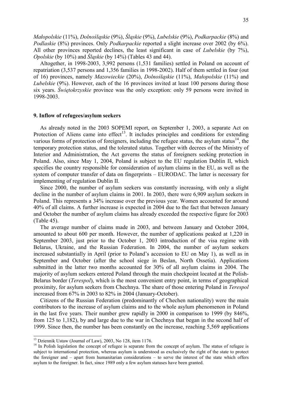Małopolskie (11%), Dolnośląskie (9%), Śląskie (9%), Lubelskie (9%), Podkarpackie (8%) and Podlaskie (8%) provinces. Only Podkarpackie reported a slight increase over 2002 (by 6%). All other provinces reported declines, the least significant in case of *Lubelskie* (by 7%), Opolskie (by 10%) and Śląskie (by 14%) (Tables 43 and 44).

Altogether, in 1998-2003, 3,992 persons (1,531 families) settled in Poland on account of repatriation (3,537 persons and 1,356 families in 1998-2002). Half of them settled in four (out of 16) provinces, namely Mazowieckie (20%), Dolnośląskie (11%), Małopolskie (11%) and Lubelskie (9%). However, each of the 16 provinces invited at least 100 persons during those six years. Świętokrzyskie province was the only exception: only 59 persons were invited in 1998-2003.

#### 9. Inflow of refugees/asylum seekers

As already noted in the 2003 SOPEMI report, on September 1, 2003, a separate Act on Protection of Aliens came into effect<sup>13</sup>. It includes principles and conditions for extending various forms of protection of foreigners, including the refugee status, the asylum status $^{14}$ , the temporary protection status, and the tolerated status. Together with decrees of the Ministry of Interior and Administration, the Act governs the status of foreigners seeking protection in Poland. Also, since May 1, 2004, Poland is subject to the EU regulation Dublin II, which specifies the country responsible for consideration of asylum claims in the EU, as well as the system of computer transfer of data on fingerprints – EURODAC. The latter is necessary for implementing of regulation Dublin II.

Since 2000, the number of asylum seekers was constantly increasing, with only a slight decline in the number of asylum claims in 2001. In 2003, there were 6,909 asylum seekers in Poland. This represents a 34% increase over the previous year. Women accounted for around 40% of all claims. A further increase is expected in 2004 due to the fact that between January and October the number of asylum claims has already exceeded the respective figure for 2003 (Table 45).

The average number of claims made in 2003, and between January and October 2004, amounted to about 600 per month. However, the number of applications peaked at 1,220 in September 2003, just prior to the October 1, 2003 introduction of the visa regime with Belarus, Ukraine, and the Russian Federation. In 2004, the number of asylum seekers increased substantially in April (prior to Poland's accession to EU on May 1), as well as in September and October (after the school siege in Beslan, North Ossetia). Applications submitted in the latter two months accounted for 30% of all asylum claims in 2004. The majority of asylum seekers entered Poland through the main checkpoint located at the Polish-Belarus border (Terespol), which is the most convenient entry point, in terms of geographical proximity, for asylum seekers from Chechnya. The share of those entering Poland in Terespol increased from 67% in 2003 to 82% in 2004 (January-October).

Citizens of the Russian Federation (predominantly of Chechen nationality) were the main contributors to the increase of asylum claims and to the whole asylum phenomenon in Poland in the last five years. Their number grew rapidly in 2000 in comparison to 1999 (by 846%, from 125 to 1,182), by and large due to the war in Chechnya that began in the second half of 1999. Since then, the number has been constantly on the increase, reaching 5,569 applications

 $\overline{a}$ 

<sup>&</sup>lt;sup>13</sup> Dziennik Ustaw (Journal of Law), 2003, No 128, item 1176.

<sup>&</sup>lt;sup>14</sup> In Polish legislation the concept of refugee is separate from the concept of asylum. The status of refugee is subject to international protection, whereas asylum is understood as exclusively the right of the state to protect the foreigner and – apart from humanitarian considerations – to serve the interest of the state which offers asylum to the foreigner. In fact, since 1989 only a few asylum statuses have been granted.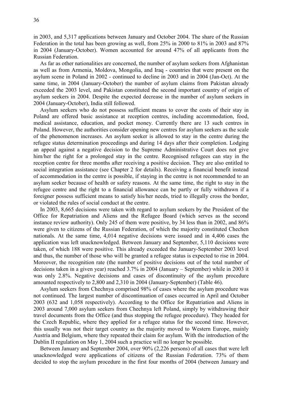in 2003, and 5,317 applications between January and October 2004. The share of the Russian Federation in the total has been growing as well, from 25% in 2000 to 81% in 2003 and 87% in 2004 (January-October). Women accounted for around 47% of all applicants from the Russian Federation.

As far as other nationalities are concerned, the number of asylum seekers from Afghanistan as well as from Armenia, Moldova, Mongolia, and Iraq - countries that were present on the asylum scene in Poland in 2002 - continued to decline in 2003 and in 2004 (Jan-Oct). At the same time, in 2004 (January-October) the number of asylum claims from Pakistan already exceeded the 2003 level, and Pakistan constituted the second important country of origin of asylum seekers in 2004. Despite the expected decrease in the number of asylum seekers in 2004 (January-October), India still followed.

Asylum seekers who do not possess sufficient means to cover the costs of their stay in Poland are offered basic assistance at reception centres, including accommodation, food, medical assistance, education, and pocket money. Currently there are 13 such centres in Poland. However, the authorities consider opening new centres for asylum seekers as the scale of the phenomenon increases. An asylum seeker is allowed to stay in the centre during the refugee status determination proceedings and during 14 days after their completion. Lodging an appeal against a negative decision to the Supreme Administrative Court does not give him/her the right for a prolonged stay in the centre. Recognised refugees can stay in the reception centre for three months after receiving a positive decision. They are also entitled to social integration assistance (see Chapter 2 for details). Receiving a financial benefit instead of accommodation in the centre is possible, if staying in the centre is not recommended to an asylum seeker because of health or safety reasons. At the same time, the right to stay in the refugee centre and the right to a financial allowance can be partly or fully withdrawn if a foreigner possess sufficient means to satisfy his/her needs, tried to illegally cross the border, or violated the rules of social conduct at the centre.

In 2003, 8,665 decisions were taken with regard to asylum seekers by the President of the Office for Repatriation and Aliens and the Refugee Board (which serves as the second instance review authority). Only 245 of them were positive, by 34 less than in 2002, and 86% were given to citizens of the Russian Federation, of which the majority constituted Chechen nationals. At the same time, 4,014 negative decisions were issued and in 4,406 cases the application was left unacknowledged. Between January and September, 5,110 decisions were taken, of which 188 were positive. This already exceeded the January-September 2003 level and thus, the number of those who will be granted a refugee status is expected to rise in 2004. Moreover, the recognition rate (the number of positive decisions out of the total number of decisions taken in a given year) reached 3.7% in 2004 (January – September) while in 2003 it was only 2.8%. Negative decisions and cases of discontinuity of the asylum procedure amounted respectively to 2,800 and 2,310 in 2004 (January-September) (Table 46).

Asylum seekers from Chechnya comprised 98% of cases where the asylum procedure was not continued. The largest number of discontinuation of cases occurred in April and October 2003 (632 and 1,058 respectively). According to the Office for Repatriation and Aliens in 2003 around 7,000 asylum seekers from Chechnya left Poland, simply by withdrawing their travel documents from the Office (and thus stopping the refugee procedure). They headed for the Czech Republic, where they applied for a refugee status for the second time. However, this usually was not their target country as the majority moved to Western Europe, mainly Austria and Belgium, where they repeated their claim for asylum. With the introduction of the Dublin II regulation on May 1, 2004 such a practice will no longer be possible.

Between January and September 2004, over 90% (2,226 persons) of all cases that were left unacknowledged were applications of citizens of the Russian Federation. 73% of them decided to stop the asylum procedure in the first four months of 2004 (between January and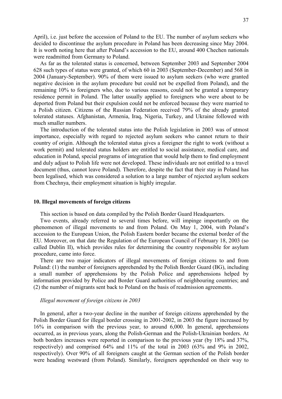April), i.e. just before the accession of Poland to the EU. The number of asylum seekers who decided to discontinue the asylum procedure in Poland has been decreasing since May 2004. It is worth noting here that after Poland's accession to the EU, around 400 Chechen nationals were readmitted from Germany to Poland.

As far as the tolerated status is concerned, between September 2003 and September 2004 628 such types of status were granted, of which 60 in 2003 (September-December) and 568 in 2004 (January-September). 90% of them were issued to asylum seekers (who were granted negative decision in the asylum procedure but could not be expelled from Poland), and the remaining 10% to foreigners who, due to various reasons, could not be granted a temporary residence permit in Poland. The latter usually applied to foreigners who were about to be deported from Poland but their expulsion could not be enforced because they were married to a Polish citizen. Citizens of the Russian Federation received 79% of the already granted tolerated statuses. Afghanistan, Armenia, Iraq, Nigeria, Turkey, and Ukraine followed with much smaller numbers.

The introduction of the tolerated status into the Polish legislation in 2003 was of utmost importance, especially with regard to rejected asylum seekers who cannot return to their country of origin. Although the tolerated status gives a foreigner the right to work (without a work permit) and tolerated status holders are entitled to social assistance, medical care, and education in Poland, special programs of integration that would help them to find employment and duly adjust to Polish life were not developed. These individuals are not entitled to a travel document (thus, cannot leave Poland). Therefore, despite the fact that their stay in Poland has been legalised, which was considered a solution to a large number of rejected asylum seekers from Chechnya, their employment situation is highly irregular.

## 10. Illegal movements of foreign citizens

This section is based on data compiled by the Polish Border Guard Headquarters.

Two events, already referred to several times before, will impinge importantly on the phenomenon of illegal movements to and from Poland. On May 1, 2004, with Poland's accession to the European Union, the Polish Eastern border became the external border of the EU. Moreover, on that date the Regulation of the European Council of February 18, 2003 (so called Dublin II), which provides rules for determining the country responsible for asylum procedure, came into force.

There are two major indicators of illegal movements of foreign citizens to and from Poland: (1) the number of foreigners apprehended by the Polish Border Guard (BG), including a small number of apprehensions by the Polish Police and apprehensions helped by information provided by Police and Border Guard authorities of neighbouring countries; and (2) the number of migrants sent back to Poland on the basis of readmission agreements.

## Illegal movement of foreign citizens in 2003

In general, after a two-year decline in the number of foreign citizens apprehended by the Polish Border Guard for illegal border crossing in 2001-2002, in 2003 the figure increased by 16% in comparison with the previous year, to around 6,000. In general, apprehensions occurred, as in previous years, along the Polish-German and the Polish-Ukrainian borders. At both borders increases were reported in comparison to the previous year (by 18% and 37%, respectively) and comprised 64% and 11% of the total in 2003 (63% and 9% in 2002, respectively). Over 90% of all foreigners caught at the German section of the Polish border were heading westward (from Poland). Similarly, foreigners apprehended on their way to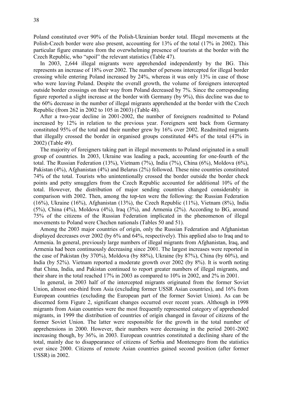Poland constituted over 90% of the Polish-Ukrainian border total. Illegal movements at the Polish-Czech border were also present, accounting for 13% of the total (17% in 2002). This particular figure emanates from the overwhelming presence of tourists at the border with the Czech Republic, who "spoil" the relevant statistics (Table 47).

In 2003, 2,644 illegal migrants were apprehended independently by the BG. This represents an increase of 18% over 2002. The number of persons intercepted for illegal border crossing while entering Poland increased by 24%, whereas it was only 13% in case of those who were leaving Poland. Despite the overall growth, the volume of foreigners intercepted outside border crossings on their way from Poland decreased by 7%. Since the corresponding figure reported a slight increase at the border with Germany (by 9%), this decline was due to the 60% decrease in the number of illegal migrants apprehended at the border with the Czech Republic (from 262 in 2002 to 105 in 2003) (Table 48).

After a two-year decline in 2001-2002, the number of foreigners readmitted to Poland increased by 12% in relation to the previous year. Foreigners sent back from Germany constituted 95% of the total and their number grew by 16% over 2002. Readmitted migrants that illegally crossed the border in organised groups constituted 44% of the total (47% in 2002) (Table 49).

The majority of foreigners taking part in illegal movements to Poland originated in a small group of countries. In 2003, Ukraine was leading a pack, accounting for one-fourth of the total. The Russian Federation (13%), Vietnam (7%), India (7%), China (6%), Moldova (6%), Pakistan (4%), Afghanistan (4%) and Belarus (2%) followed. These nine countries constituted 74% of the total. Tourists who unintentionally crossed the border outside the border check points and petty smugglers from the Czech Republic accounted for additional 10% of the total. However, the distribution of major sending countries changed considerably in comparison with 2002. Then, among the top-ten were the following: the Russian Federation (16%), Ukraine (16%), Afghanistan (13%), the Czech Republic (11%), Vietnam (8%), India (5%), China (4%), Moldova (4%), Iraq (3%), and Armenia (2%). According to BG, around 75% of the citizens of the Russian Federation implicated in the phenomenon of illegal movements to Poland were Chechen nationals (Tables 50 and 51).

Among the 2003 major countries of origin, only the Russian Federation and Afghanistan displayed decreases over 2002 (by 6% and 64%, respectively). This applied also to Iraq and to Armenia. In general, previously large numbers of illegal migrants from Afghanistan, Iraq, and Armenia had been continuously decreasing since 2001. The largest increases were reported in the case of Pakistan (by 370%), Moldova (by 88%), Ukraine (by 87%), China (by 60%), and India (by 52%). Vietnam reported a moderate growth over 2002 (by 8%). It is worth noting that China, India, and Pakistan continued to report greater numbers of illegal migrants, and their share in the total reached 17% in 2003 as compared to 10% in 2002, and 2% in 2001.

In general, in 2003 half of the intercepted migrants originated from the former Soviet Union, almost one-third from Asia (excluding former USSR Asian countries), and 16% from European countries (excluding the European part of the former Soviet Union). As can be discerned form Figure 2, significant changes occurred over recent years. Although in 1998 migrants from Asian countries were the most frequently represented category of apprehended migrants, in 1999 the distribution of countries of origin changed in favour of citizens of the former Soviet Union. The latter were responsible for the growth in the total number of apprehensions in 2000. However, their numbers were decreasing in the period 2001-2002 increasing though, by 36%, in 2003. European countries constituted a declining share of the total, mainly due to disappearance of citizens of Serbia and Montenegro from the statistics ever since 2000. Citizens of remote Asian countries gained second position (after former USSR) in 2002.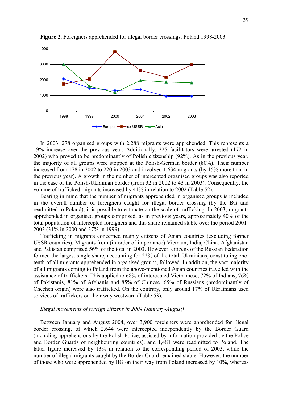

Figure 2. Foreigners apprehended for illegal border crossings. Poland 1998-2003

In 2003, 278 organised groups with 2,288 migrants were apprehended. This represents a 19% increase over the previous year. Additionally, 225 facilitators were arrested (172 in 2002) who proved to be predominantly of Polish citizenship (92%). As in the previous year, the majority of all groups were stopped at the Polish-German border (80%). Their number increased from 178 in 2002 to 220 in 2003 and involved 1,634 migrants (by 15% more than in the previous year). A growth in the number of intercepted organised groups was also reported in the case of the Polish-Ukrainian border (from 32 in 2002 to 43 in 2003). Consequently, the volume of trafficked migrants increased by 41% in relation to 2002 (Table 52).

Bearing in mind that the number of migrants apprehended in organised groups is included in the overall number of foreigners caught for illegal border crossing (by the BG and readmitted to Poland), it is possible to estimate on the scale of trafficking. In 2003, migrants apprehended in organised groups comprised, as in previous years, approximately 40% of the total population of intercepted foreigners and this share remained stable over the period 2001- 2003 (31% in 2000 and 37% in 1999).

Trafficking in migrants concerned mainly citizens of Asian countries (excluding former USSR countries). Migrants from (in order of importance) Vietnam, India, China, Afghanistan and Pakistan comprised 56% of the total in 2003. However, citizens of the Russian Federation formed the largest single share, accounting for 22% of the total. Ukrainians, constituting onetenth of all migrants apprehended in organised groups, followed. In addition, the vast majority of all migrants coming to Poland from the above-mentioned Asian countries travelled with the assistance of traffickers. This applied to 68% of intercepted Vietnamese, 72% of Indians, 76% of Pakistanis, 81% of Afghanis and 85% of Chinese. 65% of Russians (predominantly of Chechen origin) were also trafficked. On the contrary, only around 17% of Ukrainians used services of traffickers on their way westward (Table 53).

## Illegal movements of foreign citizens in 2004 (January-August)

Between January and August 2004, over 3,900 foreigners were apprehended for illegal border crossing, of which 2,644 were intercepted independently by the Border Guard (including apprehensions by the Polish Police, assisted by information provided by the Police and Border Guards of neighbouring countries), and 1,481 were readmitted to Poland. The latter figure increased by 13% in relation to the corresponding period of 2003, while the number of illegal migrants caught by the Border Guard remained stable. However, the number of those who were apprehended by BG on their way from Poland increased by 10%, whereas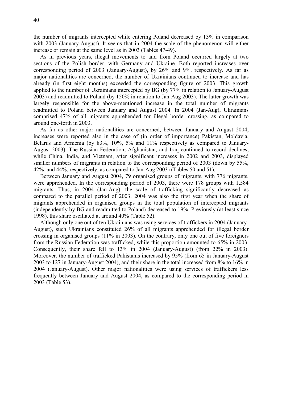the number of migrants intercepted while entering Poland decreased by 13% in comparison with 2003 (January-August). It seems that in 2004 the scale of the phenomenon will either increase or remain at the same level as in 2003 (Tables 47-49).

As in previous years, illegal movements to and from Poland occurred largely at two sections of the Polish border, with Germany and Ukraine. Both reported increases over corresponding period of 2003 (January-August), by 26% and 9%, respectively. As far as major nationalities are concerned, the number of Ukrainians continued to increase and has already (in first eight months) exceeded the corresponding figure of 2003. This growth applied to the number of Ukrainians intercepted by BG (by 77% in relation to January-August 2003) and readmitted to Poland (by 150% in relation to Jan-Aug 2003). The latter growth was largely responsible for the above-mentioned increase in the total number of migrants readmitted to Poland between January and August 2004. In 2004 (Jan-Aug), Ukrainians comprised 47% of all migrants apprehended for illegal border crossing, as compared to around one-forth in 2003.

As far as other major nationalities are concerned, between January and August 2004, increases were reported also in the case of (in order of importance) Pakistan, Moldavia, Belarus and Armenia (by 83%, 10%, 5% and 11% respectively as compared to January-August 2003). The Russian Federation, Afghanistan, and Iraq continued to record declines, while China, India, and Vietnam, after significant increases in 2002 and 2003, displayed smaller numbers of migrants in relation to the corresponding period of 2003 (down by 55%, 42%, and 44%, respectively, as compared to Jan-Aug 2003) (Tables 50 and 51).

Between January and August 2004, 79 organised groups of migrants, with 776 migrants, were apprehended. In the corresponding period of 2003, there were 178 groups with 1,584 migrants. Thus, in 2004 (Jan-Aug), the scale of trafficking significantly decreased as compared to the parallel period of 2003. 2004 was also the first year when the share of migrants apprehended in organised groups in the total population of intercepted migrants (independently by BG and readmitted to Poland) decreased to 19%. Previously (at least since 1998), this share oscillated at around 40% (Table 52).

Although only one out of ten Ukrainians was using services of traffickers in 2004 (January-August), such Ukrainians constituted 26% of all migrants apprehended for illegal border crossing in organised groups (11% in 2003). On the contrary, only one out of five foreigners from the Russian Federation was trafficked, while this proportion amounted to 65% in 2003. Consequently, their share fell to 13% in 2004 (January-August) (from 22% in 2003). Moreover, the number of trafficked Pakistanis increased by 95% (from 65 in January-August 2003 to 127 in January-August 2004), and their share in the total increased from 8% to 16% in 2004 (January-August). Other major nationalities were using services of traffickers less frequently between January and August 2004, as compared to the corresponding period in 2003 (Table 53).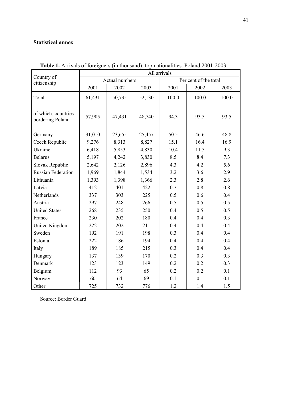## Statistical annex

|                                         | All arrivals |                |        |       |                       |       |  |  |  |
|-----------------------------------------|--------------|----------------|--------|-------|-----------------------|-------|--|--|--|
| Country of<br>citizenship               |              | Actual numbers |        |       | Per cent of the total |       |  |  |  |
|                                         | 2001         | 2002           | 2003   | 2001  | 2002                  | 2003  |  |  |  |
| Total                                   | 61,431       | 50,735         | 52,130 | 100.0 | 100.0                 | 100.0 |  |  |  |
| of which: countries<br>bordering Poland | 57,905       | 47,431         | 48,740 | 94.3  | 93.5                  | 93.5  |  |  |  |
| Germany                                 | 31,010       | 23,655         | 25,457 | 50.5  | 46.6                  | 48.8  |  |  |  |
| Czech Republic                          | 9,276        | 8,313          | 8,827  | 15.1  | 16.4                  | 16.9  |  |  |  |
| Ukraine                                 | 6,418        | 5,853          | 4,830  | 10.4  | 11.5                  | 9.3   |  |  |  |
| <b>Belarus</b>                          | 5,197        | 4,242          | 3,830  | 8.5   | 8.4                   | 7.3   |  |  |  |
| Slovak Republic                         | 2,642        | 2,126          | 2,896  | 4.3   | 4.2                   | 5.6   |  |  |  |
| <b>Russian Federation</b>               | 1,969        | 1,844          | 1,534  | 3.2   | 3.6                   | 2.9   |  |  |  |
| Lithuania                               | 1,393        | 1,398          | 1,366  | 2.3   | 2.8                   | 2.6   |  |  |  |
| Latvia                                  | 412          | 401            | 422    | 0.7   | 0.8                   | 0.8   |  |  |  |
| Netherlands                             | 337          | 303            | 225    | 0.5   | 0.6                   | 0.4   |  |  |  |
| Austria                                 | 297          | 248            | 266    | 0.5   | 0.5                   | 0.5   |  |  |  |
| <b>United States</b>                    | 268          | 235            | 250    | 0.4   | 0.5                   | 0.5   |  |  |  |
| France                                  | 230          | 202            | 180    | 0.4   | 0.4                   | 0.3   |  |  |  |
| United Kingdom                          | 222          | 202            | 211    | 0.4   | 0.4                   | 0.4   |  |  |  |
| Sweden                                  | 192          | 191            | 198    | 0.3   | 0.4                   | 0.4   |  |  |  |
| Estonia                                 | 222          | 186            | 194    | 0.4   | 0.4                   | 0.4   |  |  |  |
| Italy                                   | 189          | 185            | 215    | 0.3   | 0.4                   | 0.4   |  |  |  |
| Hungary                                 | 137          | 139            | 170    | 0.2   | 0.3                   | 0.3   |  |  |  |
| Denmark                                 | 123          | 123            | 149    | 0.2   | 0.2                   | 0.3   |  |  |  |
| Belgium                                 | 112          | 93             | 65     | 0.2   | 0.2                   | 0.1   |  |  |  |
| Norway                                  | 60           | 64             | 69     | 0.1   | 0.1                   | 0.1   |  |  |  |
| Other                                   | 725          | 732            | 776    | 1.2   | 1.4                   | 1.5   |  |  |  |

Table 1. Arrivals of foreigners (in thousand); top nationalities. Poland 2001-2003

Source: Border Guard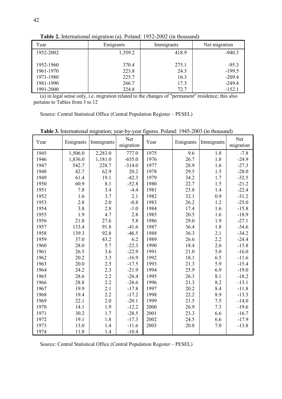| Year      | Emigrants | Immigrants | Net migration |
|-----------|-----------|------------|---------------|
| 1952-2002 | 1,359.2   | 418.9      | $-940.3$      |
| 1952-1960 | 370.4     | 275.1      | $-95.3$       |
| 1961-1970 | 223.8     | 24.3       | $-199.5$      |
| 1971-1980 | 225.7     | 16.3       | $-209.4$      |
| 1981-1990 | 266.7     | 17.3       | $-249.4$      |
| 1991-2000 | 224.8     | 72.7       | $-152.1$      |

Table 2. International migration (a). Poland: 1952-2002 (in thousand)

(a) in legal sense only, i.e. migration related to the changes of "permanent" residence; this also pertains to Tables from 3 to 12

Source: Central Statistical Office (Central Population Register – PESEL)

| Year | Emigrants | Immigrants | Net<br>migration | Year | Emigrants | Immigrants | Net<br>migration |
|------|-----------|------------|------------------|------|-----------|------------|------------------|
| 1945 | 1,506.0   | 2,283.0    | 777.0            | 1975 | 9.6       | 1.8        | $-7.8$           |
| 1946 | 1,836.0   | 1,181.0    | $-655.0$         | 1976 | 26.7      | 1.8        | $-24.9$          |
| 1947 | 542.7     | 228.7      | $-314.0$         | 1977 | 28.9      | 1.6        | $-27.3$          |
| 1948 | 42.7      | 62.9       | 20.2             | 1978 | 29.5      | 1.5        | $-28.0$          |
| 1949 | 61.4      | 19.1       | $-42.3$          | 1979 | 34.2      | 1.7        | $-32.5$          |
| 1950 | 60.9      | 8.1        | $-52.8$          | 1980 | 22.7      | 1.5        | $-21.2$          |
| 1951 | 7.8       | 3.4        | $-4.4$           | 1981 | 23.8      | 1.4        | $-22.4$          |
| 1952 | 1.6       | 3.7        | 2.1              | 1982 | 32.1      | 0.9        | $-31.2$          |
| 1953 | 2.8       | 2.0        | $-0.8$           | 1983 | 26.2      | 1.2        | $-25.0$          |
| 1954 | 3.8       | 2.8        | $-1.0$           | 1984 | 17.4      | 1.6        | $-15.8$          |
| 1955 | 1.9       | 4.7        | 2.8              | 1985 | 20.5      | 1.6        | $-18.9$          |
| 1956 | 21.8      | 27.6       | 5.8              | 1986 | 29.0      | 1.9        | $-27.1$          |
| 1957 | 133.4     | 91.8       | $-41.6$          | 1987 | 36.4      | 1.8        | $-34.6$          |
| 1958 | 139.3     | 92.8       | $-46.5$          | 1988 | 36.3      | 2.1        | $-34.2$          |
| 1959 | 37.0      | 43.2       | 6.2              | 1989 | 26.6      | 2.2        | $-24.4$          |
| 1960 | 28.0      | 5.7        | $-22.3$          | 1990 | 18.4      | 2.6        | $-15.8$          |
| 1961 | 26.5      | 3.6        | $-22.9$          | 1991 | 21.0      | 5.0        | $-16.0$          |
| 1962 | 20.2      | 3.3        | $-16.9$          | 1992 | 18.1      | 6.5        | $-11.6$          |
| 1963 | 20.0      | 2.5        | $-17.5$          | 1993 | 21.3      | 5.9        | $-15.4$          |
| 1964 | 24.2      | 2.3        | $-21.9$          | 1994 | 25.9      | 6.9        | $-19.0$          |
| 1965 | 28.6      | 2.2        | $-26.4$          | 1995 | 26.3      | 8.1        | $-18.2$          |
| 1966 | 28.8      | 2.2        | $-26.6$          | 1996 | 21.3      | 8.2        | $-13.1$          |
| 1967 | 19.9      | 2.1        | $-17.8$          | 1997 | 20.2      | 8.4        | $-11.8$          |
| 1968 | 19.4      | 2.2        | $-17.2$          | 1998 | 22.2      | 8.9        | $-13.3$          |
| 1969 | 22.1      | 2.0        | $-20.1$          | 1999 | 21.5      | 7.5        | $-14.0$          |
| 1970 | 14.1      | 1.9        | $-12.2$          | 2000 | 26.9      | 7.3        | $-19.6$          |
| 1971 | 30.2      | 1.7        | $-28.5$          | 2001 | 23.3      | 6.6        | $-16.7$          |
| 1972 | 19.1      | 1.8        | $-17.3$          | 2002 | 24.5      | 6.6        | $-17.9$          |
| 1973 | 13.0      | 1.4        | $-11.6$          | 2003 | 20.8      | 7.0        | $-13.8$          |
| 1974 | 11.8      | 1.4        | $-10.4$          |      |           |            |                  |

Table 3. International migration; year-by-year figures. Poland: 1945-2003 (in thousand)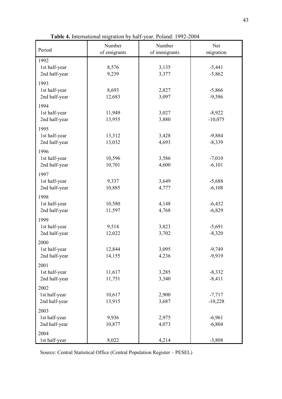| Period                         | Number<br>of emigrants | Number<br>of immigrants | Net<br>migration      |
|--------------------------------|------------------------|-------------------------|-----------------------|
| 1992                           |                        |                         |                       |
| 1st half-year<br>2nd half-year | 8,576<br>9,239         | 3,135<br>3,377          | $-5,441$<br>$-5,862$  |
| 1993                           |                        |                         |                       |
| 1st half-year<br>2nd half-year | 8,693<br>12,683        | 2,827<br>3,097          | $-5,866$<br>$-9,586$  |
| 1994                           |                        |                         |                       |
| 1st half-year<br>2nd half-year | 11,949<br>13,955       | 3,027<br>3,880          | $-8,922$<br>$-10,075$ |
| 1995                           |                        |                         |                       |
| 1st half-year<br>2nd half-year | 13,312<br>13,032       | 3,428<br>4,693          | $-9,884$<br>$-8,339$  |
| 1996                           |                        |                         |                       |
| 1st half-year                  | 10,596                 | 3,586                   | $-7,010$              |
| 2nd half-year                  | 10,701                 | 4,600                   | $-6,101$              |
| 1997                           |                        | 3,649                   |                       |
| 1st half-year<br>2nd half-year | 9,337<br>10,885        | 4,777                   | $-5,688$<br>$-6,108$  |
| 1998                           |                        |                         |                       |
| 1st half-year                  | 10,580                 | 4,148                   | $-6,432$              |
| 2nd half-year                  | 11,597                 | 4,768                   | $-6,829$              |
| 1999                           |                        |                         |                       |
| 1st half-year<br>2nd half-year | 9,514<br>12,022        | 3,823<br>3,702          | $-5,691$<br>$-8,320$  |
| 2000                           |                        |                         |                       |
| 1st half-year                  | 12,844                 | 3,095                   | $-9,749$              |
| 2nd half-year                  | 14,155                 | 4,236                   | $-9,919$              |
| 2001                           |                        |                         |                       |
| 1st half-year                  | 11,617                 | 3,285                   | $-8,332$              |
| 2nd half-year                  | 11,751                 | 3,340                   | $-8,411$              |
| 2002<br>1st half-year          | 10,617                 | 2,900                   | $-7,717$              |
| 2nd half-year                  | 13,915                 | 3,687                   | $-10,228$             |
| 2003                           |                        |                         |                       |
| 1st half-year                  | 9,936                  | 2,975                   | $-6,961$              |
| 2nd half-year                  | 10,877                 | 4,073                   | $-6,804$              |
| 2004<br>1st half-year          | 8,022                  | 4,214                   | $-3,808$              |
|                                |                        |                         |                       |

Table 4. International migration by half-year. Poland: 1992-2004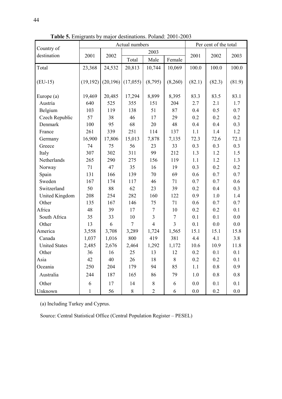|                           |              | Actual numbers | Per cent of the total |                  |                |        |        |        |
|---------------------------|--------------|----------------|-----------------------|------------------|----------------|--------|--------|--------|
| Country of<br>destination |              |                |                       | 2003             |                |        |        |        |
|                           | 2001         | 2002           | Total                 | Male             | Female         | 2001   | 2002   | 2003   |
| Total                     | 23,368       | 24,532         | 20,813                | 10,744           | 10,069         | 100.0  | 100.0  | 100.0  |
|                           |              |                |                       |                  |                |        |        |        |
| $(EU-15)$                 | (19, 192)    | (20, 196)      | (17,055)              | (8,795)          | (8,260)        | (82.1) | (82.3) | (81.9) |
|                           |              |                |                       |                  |                |        |        |        |
| Europe (a)                | 19,469       | 20,485         | 17,294                | 8,899            | 8,395          | 83.3   | 83.5   | 83.1   |
| Austria                   | 640          | 525            | 355                   | 151              | 204            | 2.7    | 2.1    | 1.7    |
| Belgium                   | 103          | 119            | 138                   | 51               | 87             | 0.4    | 0.5    | 0.7    |
| Czech Republic            | 57           | 38             | 46                    | 17               | 29             | 0.2    | 0.2    | 0.2    |
| Denmark                   | 100          | 95             | 68                    | 20               | 48             | 0.4    | 0.4    | 0.3    |
| France                    | 261          | 339            | 251                   | 114              | 137            | 1.1    | 1.4    | 1.2    |
| Germany                   | 16,900       | 17,806         | 15,013                | 7,878            | 7,135          | 72.3   | 72.6   | 72.1   |
| Greece                    | 74           | 75             | 56                    | 23               | 33             | 0.3    | 0.3    | 0.3    |
| Italy                     | 307          | 302            | 311                   | 99               | 212            | 1.3    | 1.2    | 1.5    |
| Netherlands               | 265          | 290            | 275                   | 156              | 119            | 1.1    | 1.2    | 1.3    |
| Norway                    | 71           | 47             | 35                    | 16               | 19             | 0.3    | 0.2    | 0.2    |
| Spain                     | 131          | 166            | 139                   | 70               | 69             | 0.6    | 0.7    | 0.7    |
| Sweden                    | 167          | 174            | 117                   | 46               | 71             | 0.7    | 0.7    | 0.6    |
| Switzerland               | 50           | 88             | 62                    | 23               | 39             | 0.2    | 0.4    | 0.3    |
| <b>United Kingdom</b>     | 208          | 254            | 282                   | 160              | 122            | 0.9    | 1.0    | 1.4    |
| Other                     | 135          | 167            | 146                   | 75               | 71             | 0.6    | 0.7    | 0.7    |
| Africa                    | 48           | 39             | 17                    | $\boldsymbol{7}$ | 10             | 0.2    | 0.2    | 0.1    |
| South Africa              | 35           | 33             | 10                    | $\overline{3}$   | $\tau$         | 0.1    | 0.1    | 0.0    |
| Other                     | 13           | 6              | $\overline{7}$        | $\overline{4}$   | $\overline{3}$ | 0.1    | 0.0    | 0.0    |
| America                   | 3,558        | 3,708          | 3,289                 | 1,724            | 1,565          | 15.1   | 15.1   | 15.8   |
| Canada                    | 1,037        | 1,016          | 800                   | 419              | 381            | 4.4    | 4.1    | 3.8    |
| <b>United States</b>      | 2,485        | 2,676          | 2,464                 | 1,292            | 1,172          | 10.6   | 10.9   | 11.8   |
| Other                     | 36           | 16             | 25                    | 13               | 12             | 0.2    | 0.1    | 0.1    |
| Asia                      | 42           | 40             | 26                    | 18               | 8              | 0.2    | 0.2    | 0.1    |
| Oceania                   | 250          | 204            | 179                   | 94               | 85             | 1.1    | 0.8    | 0.9    |
| Australia                 | 244          | 187            | 165                   | 86               | 79             | 1.0    | 0.8    | 0.8    |
| Other                     | 6            | 17             | 14                    | $8\,$            | 6              | 0.0    | 0.1    | 0.1    |
| Unknown                   | $\mathbf{1}$ | 56             | 8                     | $\overline{2}$   | 6              | 0.0    | 0.2    | 0.0    |

Table 5. Emigrants by major destinations. Poland: 2001-2003

(a) Including Turkey and Cyprus.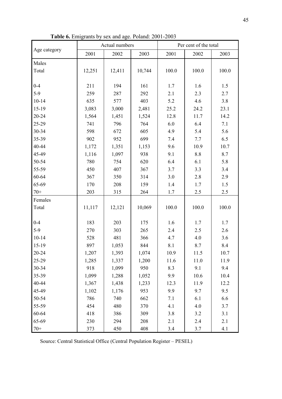| Table 6. Emigrants by sex and age. Poland: 2001-2003 |  |
|------------------------------------------------------|--|
|------------------------------------------------------|--|

|              |        | Actual numbers |        | Per cent of the total |       |       |  |
|--------------|--------|----------------|--------|-----------------------|-------|-------|--|
| Age category | 2001   | 2002           | 2003   | 2001                  | 2002  | 2003  |  |
| Males        |        |                |        |                       |       |       |  |
| Total        | 12,251 | 12,411         | 10,744 | 100.0                 | 100.0 | 100.0 |  |
|              |        |                |        |                       |       |       |  |
| $0 - 4$      | 211    | 194            | 161    | 1.7                   | 1.6   | 1.5   |  |
| $5-9$        | 259    | 287            | 292    | 2.1                   | 2.3   | 2.7   |  |
| $10 - 14$    | 635    | 577            | 403    | 5.2                   | 4.6   | 3.8   |  |
| 15-19        | 3,083  | 3,000          | 2,481  | 25.2                  | 24.2  | 23.1  |  |
| 20-24        | 1,564  | 1,451          | 1,524  | 12.8                  | 11.7  | 14.2  |  |
| 25-29        | 741    | 796            | 764    | 6.0                   | 6.4   | 7.1   |  |
| 30-34        | 598    | 672            | 605    | 4.9                   | 5.4   | 5.6   |  |
| 35-39        | 902    | 952            | 699    | 7.4                   | 7.7   | 6.5   |  |
| 40-44        | 1,172  | 1,351          | 1,153  | 9.6                   | 10.9  | 10.7  |  |
| 45-49        | 1,116  | 1,097          | 938    | 9.1                   | 8.8   | 8.7   |  |
| 50-54        | 780    | 754            | 620    | 6.4                   | 6.1   | 5.8   |  |
| 55-59        | 450    | 407            | 367    | 3.7                   | 3.3   | 3.4   |  |
| 60-64        | 367    | 350            | 314    | 3.0                   | 2.8   | 2.9   |  |
| 65-69        | 170    | 208            | 159    | 1.4                   | 1.7   | 1.5   |  |
| $70+$        | 203    | 315            | 264    | 1.7                   | 2.5   | 2.5   |  |
| Females      |        |                |        |                       |       |       |  |
| Total        | 11,117 | 12,121         | 10,069 | 100.0                 | 100.0 | 100.0 |  |
|              |        |                |        |                       |       |       |  |
| $0 - 4$      | 183    | 203            | 175    | 1.6                   | 1.7   | 1.7   |  |
| $5-9$        | 270    | 303            | 265    | 2.4                   | 2.5   | 2.6   |  |
| $10 - 14$    | 528    | 481            | 366    | 4.7                   | 4.0   | 3.6   |  |
| $15-19$      | 897    | 1,053          | 844    | 8.1                   | 8.7   | 8.4   |  |
| $20 - 24$    | 1,207  | 1,393          | 1,074  | 10.9                  | 11.5  | 10.7  |  |
| 25-29        | 1,285  | 1,337          | 1,200  | 11.6                  | 11.0  | 11.9  |  |
| 30-34        | 918    | 1,099          | 950    | 8.3                   | 9.1   | 9.4   |  |
| 35-39        | 1,099  | 1,288          | 1,052  | 9.9                   | 10.6  | 10.4  |  |
| 40-44        | 1,367  | 1,438          | 1,233  | 12.3                  | 11.9  | 12.2  |  |
| 45-49        | 1,102  | 1,176          | 953    | 9.9                   | 9.7   | 9.5   |  |
| 50-54        | 786    | 740            | 662    | 7.1                   | 6.1   | 6.6   |  |
| 55-59        | 454    | 480            | 370    | 4.1                   | 4.0   | 3.7   |  |
| 60-64        | 418    | 386            | 309    | 3.8                   | 3.2   | 3.1   |  |
| 65-69        | 230    | 294            | 208    | 2.1                   | 2.4   | 2.1   |  |
| $70+$        | 373    | 450            | 408    | 3.4                   | 3.7   | 4.1   |  |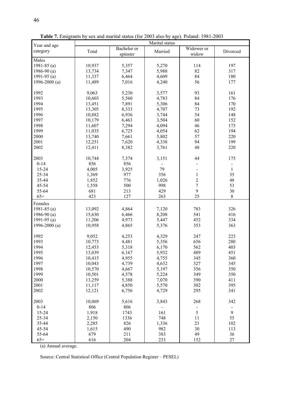| Year and age    | Marital status |             |         |                |                     |
|-----------------|----------------|-------------|---------|----------------|---------------------|
|                 |                | Bachelor or |         | Widower or     |                     |
| category        | Total          | spinster    | Married | widow          | Divorced            |
| Males           |                |             |         |                |                     |
| 1981-85 $(a)$   | 10,937         | 5,357       | 5,270   | 114            | 197                 |
| 1986-90 $(a)$   | 13,734         | 7,347       | 5,988   | 82             | 317                 |
|                 |                |             |         | 84             |                     |
| 1991-95 $(a)$   | 11,337         | 6,464       | 4,609   |                | 180                 |
| 1996-2000 $(a)$ | 11,489         | 7,016       | 4,240   | 56             | 177                 |
|                 |                |             |         |                |                     |
| 1992            | 9,063          | 5,230       | 3,577   | 93             | 161                 |
| 1993            | 10,603         | 5,560       | 4,783   | 84             | 176                 |
| 1994            | 13,451         | 7,891       | 5,306   | 84             | 170                 |
| 1995            | 13,305         | 8,333       | 4,707   | 73             | 192                 |
| 1996            | 10,882         | 6,936       | 3,744   | 54             | 148                 |
| 1997            | 10,179         | 6,463       | 3,504   | 60             | 152                 |
| 1998            | 11,607         | 7,294       | 4,094   | 46             | 173                 |
| 1999            | 11,035         | 6,725       | 4,054   | 62             | 194                 |
| 2000            | 13,740         | 7,661       | 5,802   | 57             | 220                 |
|                 |                |             |         | 94             | 199                 |
| 2001            | 12,251         | 7,620       | 4,338   |                |                     |
| 2002            | 12,411         | 8,382       | 3,761   | 48             | 220                 |
|                 |                |             |         |                |                     |
| 2003            | 10,744         | 7,374       | 3,151   | 44             | 175                 |
| $0 - 14$        | 856            | 856         |         |                | $\blacksquare$      |
| 15-24           | 4,005          | 3,925       | 79      |                | $\mathbf{1}$        |
| 25-34           | 1,369          | 977         | 356     | $\mathbf{1}$   | 35                  |
| 35-44           | 1,852          | 776         | 1,026   | $\overline{2}$ | 48                  |
| 45-54           | 1,558          | 500         | 998     | $\overline{7}$ | 53                  |
| 55-64           | 681            | 213         | 429     | 9              | 30                  |
| $65+$           | 423            | 127         | 263     | 25             | $8\,$               |
| Females         |                |             |         |                |                     |
|                 |                |             |         |                |                     |
| 1981-85 $(a)$   | 13,092         | 4,864       | 7,120   | 783            | 326                 |
| 1986-90 $(a)$   | 15,630         | 6,466       | 8,208   | 541            | 416                 |
| 1991-95 $(a)$   | 11,206         | 4,973       | 5,447   | 452            | 334                 |
| 1996-2000 $(a)$ | 10,958         | 4,865       | 5,376   | 353            | 363                 |
|                 |                |             |         |                |                     |
| 1992            | 9,052          | 4,253       | 4,329   | 247            | 223                 |
| 1993            | 10,773         | 4,481       | 5,356   | 656            | 280                 |
| 1994            | 12,453         | 5,318       | 6,170   | 562            | 403                 |
| 1995            | 13,039         | 6,167       | 5,932   | 489            | 451                 |
| 1996            | 10,415         | 4,955       | 4,755   | 345            | 360                 |
| 1997            | 10,043         | 4,739       | 4,632   | 327            | 345                 |
| 1998            | 10,570         | 4,667       | 5,197   | 356            | 350                 |
| 1999            | 10,501         | 4,578       | 5,224   | 349            | 350                 |
| 2000            | 13,259         | 5,388       | 7,070   | 390            | 411                 |
| 2001            | 11,117         | 4,850       | 5,570   | 302            | 395                 |
| 2002            | 12,121         | 6,756       | 4,729   | 295            | 341                 |
|                 |                |             |         |                |                     |
| 2003            | 10,069         | 5,616       | 3,843   | 268            | 342                 |
| $0 - 14$        | 806            | 806         |         |                |                     |
|                 |                |             |         |                | $\blacksquare$<br>9 |
| 15-24           | 1,918          | 1743        | 161     | 5              |                     |
| 25-34           | 2,150          | 1336        | 748     | 11             | 55                  |
| 35-44           | 2,285          | 826         | 1,336   | 21             | 102                 |
| 45-54           | 1,615          | 490         | 982     | 30             | 113                 |
| 55-64           | 679            | 211         | 383     | 49             | 36                  |
| $65+$           | 616            | 204         | 233     | 152            | 27                  |

Table 7. Emigrants by sex and marital status (for 2003 also by age). Poland: 1981-2003

(a) Annual average.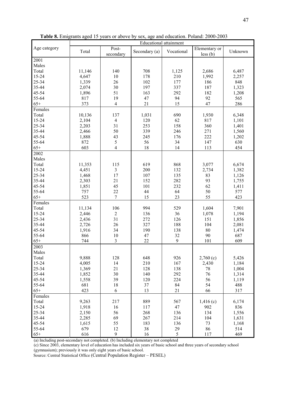|                   | <b>Educational attainment</b> |                         |               |            |                           |         |  |  |  |
|-------------------|-------------------------------|-------------------------|---------------|------------|---------------------------|---------|--|--|--|
| Age category      | Total                         | Post-<br>secondary      | Secondary (a) | Vocational | Elementary or<br>less (b) | Unknown |  |  |  |
| $\overline{200}1$ |                               |                         |               |            |                           |         |  |  |  |
| Males             |                               |                         |               |            |                           |         |  |  |  |
| Total             | 11,146                        | 140                     | 708           | 1,125      | 2,686                     | 6,487   |  |  |  |
| $15 - 24$         | 4,647                         | 10                      | 178           | 210        | 1,992                     | 2,257   |  |  |  |
| 25-34             | 1,339                         | 26                      | 102           | 177        | 186                       | 848     |  |  |  |
| 35-44             | 2,074                         | 30                      | 197           | 337        | 187                       | 1,323   |  |  |  |
| 45-54             | 1,896                         | 51                      | 163           | 292        | 182                       | 1,208   |  |  |  |
| 55-64             | 817                           | 19                      | 47            | 94         | 92                        | 565     |  |  |  |
| $65+$             | 373                           | $\overline{\mathbf{4}}$ | 21            | 15         | 47                        | 286     |  |  |  |
| Females           |                               |                         |               |            |                           |         |  |  |  |
| Total             | 10,136                        | 137                     | 1,031         | 690        | 1,930                     | 6,348   |  |  |  |
| 15-24             | 2,104                         | $\overline{4}$          | 120           | 62         | 817                       | 1,101   |  |  |  |
| 25-34             | 2,203                         | 31                      | 253           | 158        | 360                       | 1,401   |  |  |  |
| 35-44             | 2,466                         | 50                      | 339           | 246        | 271                       | 1,560   |  |  |  |
| 45-54             | 1,888                         | 43                      | 245           | 176        | 222                       | 1,202   |  |  |  |
| 55-64             | 872                           | 5                       | 56            | 34         | 147                       | 630     |  |  |  |
| $65+$             | 603                           | $\overline{4}$          | 18            | 14         | 113                       | 454     |  |  |  |
| 2002              |                               |                         |               |            |                           |         |  |  |  |
| Males             |                               |                         |               |            |                           |         |  |  |  |
| Total             | 11,353                        | 115                     | 619           | 868        | 3,077                     | 6,674   |  |  |  |
| 15-24             | 4,451                         | 3                       | 200           | 132        | 2,734                     | 1,382   |  |  |  |
| 25-34             | 1,468                         | 17                      | 107           | 135        | 83                        | 1,126   |  |  |  |
| 35-44             | 2,303                         | 21                      | 152           | 282        | 93                        | 1,755   |  |  |  |
| 45-54             | 1,851                         | 45                      | 101           | 232        | 62                        | 1,411   |  |  |  |
| 55-64             | 757                           | 22                      | 44            | 64         | 50                        | 577     |  |  |  |
| $65+$             | 523                           | $\boldsymbol{7}$        | 15            | 23         | 55                        | 423     |  |  |  |
| Females           |                               |                         |               |            |                           |         |  |  |  |
| Total             | 11,134                        | 106                     | 994           | 529        | 1,604                     | 7,901   |  |  |  |
| 15-24             | 2,446                         | $\overline{2}$          | 136           | 36         | 1,078                     | 1,194   |  |  |  |
| 25-34             | 2,436                         | 31                      | 272           | 126        | 151                       | 1,856   |  |  |  |
| 35-44             | 2,726                         | 26                      | 327           | 188        | 104                       | 2,081   |  |  |  |
| 45-54             | 1,916                         | 34                      | 190           | 138        | 80                        | 1,474   |  |  |  |
| 55-64             | 866                           | 10                      | 47            | 32         | 90                        | 687     |  |  |  |
| $65+$             | 744                           | 3                       | 22            | 9          | 101                       | 609     |  |  |  |
| 2003              |                               |                         |               |            |                           |         |  |  |  |
| Males             |                               |                         |               |            |                           |         |  |  |  |
| Total             | 9,888                         | 128                     | 648           | 926        | 2,760(c)                  | 5,426   |  |  |  |
| 15-24             | 4,005                         | 14                      | 210           | 167        | 2,430                     | 1,184   |  |  |  |
| 25-34             | 1,369                         | 21                      | 128           | 138        | 78                        | 1,004   |  |  |  |
| 35-44             | 1,852                         | 30                      | 140           | 292        | 76                        | 1,314   |  |  |  |
| 45-54             | 1,558                         | 39                      | 120           | 224        | 56                        | 1,119   |  |  |  |
| 55-64             | 681                           | 18                      | 37            | 84         | 54                        | 488     |  |  |  |
| $65+$             | 423                           | 6                       | 13            | 21         | 66                        | 317     |  |  |  |
| Females           |                               |                         |               |            |                           |         |  |  |  |
| Total             | 9,263                         | 217                     | 889           | 567        | 1,416(c)                  | 6,174   |  |  |  |
| 15-24             | 1,918                         | 16                      | 117           | 47         | 902                       | 836     |  |  |  |
| 25-34             | 2,150                         | 56                      | 268           | 136        | 134                       | 1,556   |  |  |  |
| 35-44             | 2,285                         | 69                      | 267           | 214        | 104                       | 1,631   |  |  |  |
| 45-54             | 1,615                         | 55                      | 183           | 136        | 73                        | 1,168   |  |  |  |
| 55-64             | 679                           | 12                      | 38            | 29         | 86                        | 514     |  |  |  |
| $65+$             | 616                           | 9                       | 16            | 5          | 117                       | 469     |  |  |  |

Table 8. Emigrants aged 15 years or above by sex, age and education. Poland: 2000-2003

(a) Including post-secondary not completed. (b) Including elementary not completed

(c) Since 2003, elementary level of education has included six years of basic school and three years of secondary school (gymnasium); previously it was only eight years of basic school.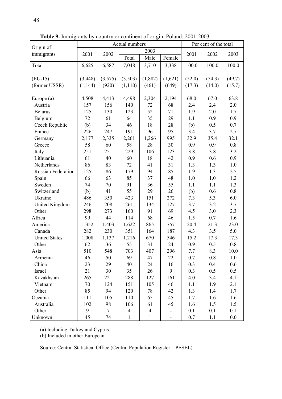|                           |                  |                 | Actual numbers |                |                          | Per cent of the total |        |        |
|---------------------------|------------------|-----------------|----------------|----------------|--------------------------|-----------------------|--------|--------|
| Origin of                 |                  |                 |                | 2003           |                          |                       |        |        |
| immigrants                | 2001             | 2002            | Total          | Male           | Female                   | 2001                  | 2002   | 2003   |
| Total                     | 6,625            | 6,587           | 7,048          | 3,710          | 3,338                    | 100.0                 | 100.0  | 100.0  |
|                           |                  |                 |                |                |                          |                       |        |        |
| $(EU-15)$                 | (3, 448)         | (3,575)         | (3,503)        | (1,882)        | (1,621)                  | (52.0)                | (54.3) | (49.7) |
| (former USSR)             | (1, 144)         | (920)           | (1,110)        | (461)          | (649)                    | (17.3)                | (14.0) | (15.7) |
|                           |                  |                 |                |                |                          |                       |        |        |
| Europe (a)                | 4,508            | 4,413           | 4,498          | 2,304          | 2,194                    | 68.0                  | 67.0   | 63.8   |
| Austria                   | 157              | 156             | 140            | 72             | 68                       | 2.4                   | 2.4    | 2.0    |
| <b>Belarus</b>            | 125              | 130             | 123            | 52             | 71                       | 1.9                   | 2.0    | 1.7    |
| Belgium                   | 72               | 61              | 64             | 35             | 29                       | 1.1                   | 0.9    | 0.9    |
| Czech Republic            | (b)              | 34              | 46             | 18             | 28                       | (b)                   | 0.5    | 0.7    |
| France                    | 226              | 247             | 191            | 96             | 95                       | 3.4                   | 3.7    | 2.7    |
| Germany                   | 2,177            | 2,335           | 2,261          | 1,266          | 995                      | 32.9                  | 35.4   | 32.1   |
| Greece                    | 58               | 60              | 58             | 28             | 30                       | 0.9                   | 0.9    | 0.8    |
| Italy                     | 251              | 251             | 229            | 106            | 123                      | 3.8                   | 3.8    | 3.2    |
| Lithuania                 | 61               | 40              | 60             | 18             | 42                       | 0.9                   | 0.6    | 0.9    |
| Netherlands               | 86               | 83              | 72             | 41             | 31                       | 1.3                   | 1.3    | 1.0    |
| <b>Russian Federation</b> | 125              | 86              | 179            | 94             | 85                       | 1.9                   | 1.3    | 2.5    |
| Spain                     | 66               | 63              | 85             | 37             | 48                       | 1.0                   | $1.0$  | 1.2    |
| Sweden                    | 74               | 70              | 91             | 36             | 55                       | 1.1                   | 1.1    | 1.3    |
| Switzerland               | (b)              | 41              | 55             | 29             | 26                       | (b)                   | 0.6    | 0.8    |
| Ukraine                   | 486              | 350             | 423            | 151            | 272                      | 7.3                   | 5.3    | 6.0    |
| United Kingdom            | 246              | 208             | 261            | 134            | 127                      | 3.7                   | 3.2    | 3.7    |
| Other                     | 298              | 273             | 160            | 91             | 69                       | 4.5                   | 3.0    | 2.3    |
| Africa                    | 99               | 44              | 114            | 68             | 46                       | 1.5                   | 0.7    | 1.6    |
| America                   | 1,352            | 1,403           | 1,622          | 865            | 757                      | 20.4                  | 21.3   | 23.0   |
| Canada                    | 282              | 230             | 351            | 164            | 187                      | 4.3                   | 3.5    | 5.0    |
| <b>United States</b>      | 1,008            | 1,137           | 1,216          | 670            | 546                      | 15.2                  | 17.3   | 17.3   |
| Other                     | 62               | 36              | 55             | 31             | 24                       | 0.9                   | 0.5    | 0.8    |
| Asia                      | 510              | 548             | 703            | 407            | 296                      | 7.7                   | 8.3    | 10.0   |
| Armenia                   | 46               | 50              | 69             | 47             | 22                       | 0.7                   | 0.8    | 1.0    |
| China                     | 23               | 29              | 40             | 24             | 16                       | 0.3                   | 0.4    | 0.6    |
| Israel                    | 21               | 30              | 35             | 26             | 9                        | 0.3                   | 0.5    | 0.5    |
| Kazakhstan                | 265              | 221             | 288            | 127            | 161                      | 4.0                   | 3.4    | 4.1    |
| Vietnam                   | 70               | 124             | 151            | 105            | 46                       | 1.1                   | 1.9    | 2.1    |
| Other                     | 85               | 94              | 120            | 78             | 42                       | 1.3                   | 1.4    | 1.7    |
| Oceania                   | 111              | 105             | 110            | 65             | 45                       | 1.7                   | 1.6    | 1.6    |
| Australia                 | 102              | 98              | 106            | 61             | 45                       | 1.6                   | 1.5    | 1.5    |
| Other                     | $\boldsymbol{9}$ | $7\phantom{.0}$ | $\overline{4}$ | $\overline{4}$ | $\overline{\phantom{0}}$ | 0.1                   | 0.1    | 0.1    |
| Unknown                   | 45               | 74              | $\mathbf{1}$   | $\mathbf{1}$   |                          | 0.7                   | 1.1    | 0.0    |

Table 9. Immigrants by country or continent of origin. Poland: 2001-2003

(a) Including Turkey and Cyprus.

(b) Included in other European.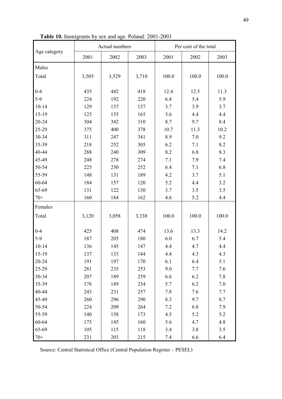|              |       | Actual numbers |       |       | Per cent of the total |       |  |  |
|--------------|-------|----------------|-------|-------|-----------------------|-------|--|--|
| Age category | 2001  | 2002           | 2003  | 2001  | 2002                  | 2003  |  |  |
| Males        |       |                |       |       |                       |       |  |  |
| Total        | 3,505 | 3,529          | 3,710 | 100.0 | 100.0                 | 100.0 |  |  |
|              |       |                |       |       |                       |       |  |  |
| $0 - 4$      | 435   | 442            | 418   | 12.4  | 12.5                  | 11.3  |  |  |
| $5-9$        | 224   | 192            | 220   | 6.4   | 5.4                   | 5.9   |  |  |
| $10 - 14$    | 129   | 137            | 137   | 3.7   | 3.9                   | 3.7   |  |  |
| 15-19        | 125   | 155            | 165   | 3.6   | 4.4                   | 4.4   |  |  |
| 20-24        | 304   | 342            | 310   | 8.7   | 9.7                   | 8.4   |  |  |
| 25-29        | 375   | 400            | 378   | 10.7  | 11.3                  | 10.2  |  |  |
| 30-34        | 311   | 247            | 341   | 8.9   | 7.0                   | 9.2   |  |  |
| 35-39        | 218   | 252            | 305   | 6.2   | 7.1                   | 8.2   |  |  |
| 40-44        | 288   | 240            | 309   | 8.2   | 6.8                   | 8.3   |  |  |
| 45-49        | 248   | 278            | 274   | 7.1   | 7.9                   | 7.4   |  |  |
| 50-54        | 225   | 250            | 252   | 6.4   | 7.1                   | 6.8   |  |  |
| 55-59        | 148   | 131            | 189   | 4.2   | 3.7                   | 5.1   |  |  |
| 60-64        | 184   | 157            | 120   | 5.2   | 4.4                   | 3.2   |  |  |
| 65-69        | 131   | 122            | 130   | 3.7   | 3.5                   | 3.5   |  |  |
| $70+$        | 160   | 184            | 162   | 4.6   | 5.2                   | 4.4   |  |  |
| Females      |       |                |       |       |                       |       |  |  |
| Total        | 3,120 | 3,058          | 3,338 | 100.0 | 100.0                 | 100.0 |  |  |
|              |       |                |       |       |                       |       |  |  |
| $0 - 4$      | 425   | 408            | 474   | 13.6  | 13.3                  | 14.2  |  |  |
| $5-9$        | 187   | 205            | 180   | 6.0   | 6.7                   | 5.4   |  |  |
| $10-14$      | 136   | 145            | 147   | 4.4   | 4.7                   | 4.4   |  |  |
| 15-19        | 137   | 133            | 144   | 4.4   | 4.3                   | 4.3   |  |  |
| 20-24        | 191   | 197            | 170   | 6.1   | 6.4                   | 5.1   |  |  |
| 25-29        | 281   | 235            | 253   | 9.0   | 7.7                   | 7.6   |  |  |
| 30-34        | 207   | 189            | 259   | 6.6   | 6.2                   | 7.8   |  |  |
| 35-39        | 178   | 189            | 234   | 5.7   | 6.2                   | 7.0   |  |  |
| 40-44        | 243   | 231            | 257   | 7.8   | 7.6                   | 7.7   |  |  |
| 45-49        | 260   | 296            | 290   | 8.3   | 9.7                   | 8.7   |  |  |
| 50-54        | 224   | 209            | 264   | 7.2   | 6.8                   | 7.9   |  |  |
| 55-59        | 140   | 158            | 173   | 4.5   | 5.2                   | 5.2   |  |  |
| 60-64        | 175   | 145            | 160   | 5.6   | 4.7                   | 4.8   |  |  |
| 65-69        | 105   | 115            | 118   | 3.4   | 3.8                   | 3.5   |  |  |
| $70+$        | 231   | 203            | 215   | $7.4$ | 6.6                   | 6.4   |  |  |

Table 10. Immigrants by sex and age. Poland: 2001-2003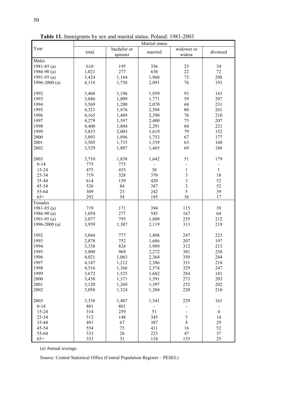|                 | Marital status |                         |                              |                                            |                |
|-----------------|----------------|-------------------------|------------------------------|--------------------------------------------|----------------|
| Year            | total          | bachelor or<br>spinster | married                      | widower or<br>widow                        | divorced       |
| Males           |                |                         |                              |                                            |                |
| 1981-85 $(a)$   | 610            | 195                     | 356                          | 25                                         | 34             |
| 1986-90 $(a)$   | 1,021          | 277                     | 630                          | 22                                         | 72             |
| 1991-95 $(a)$   | 3,424          | 1,164                   | 1,968                        | 73                                         | 208            |
| 1996-2000 $(a)$ | 4,118          | 1,758                   | 2,091                        | 76                                         | 193            |
|                 |                |                         |                              |                                            |                |
| 1992            | 3,468          | 1,196                   | 1,959                        | 93                                         | 163            |
| 1993            | 3,046          | 1,009                   | 1,771                        | 59                                         | 207            |
| 1994            | 3,569          | 1,200                   | 2,070                        | 68                                         | 231            |
| 1995            | 4,321          | 1,476                   | 2,504                        | 80                                         | 261            |
| 1996            | 4,165          | 1,489                   | 2,390                        | 76                                         | 210            |
| 1997            | 4,279          | 1,597                   | 2,400                        | 75                                         | 207            |
| 1998            | 4,400          | 1,804                   | 2,291                        | 84                                         | 221            |
| 1999            | 3,853          | 2,003                   | 1,619                        | 79                                         | 152            |
| 2000            | 3,893          | 1,896                   | 1,753                        | 67                                         | 177            |
| 2001            | 3,505          | 1,735                   | 1,539                        | 63                                         | 168            |
|                 |                |                         |                              |                                            |                |
| 2002            | 3,529          | 1,807                   | 1,465                        | 69                                         | 188            |
| 2003            | 3,710          | 1,838                   | 1,642                        | 51                                         | 179            |
| $0 - 14$        | 775            | 775                     |                              |                                            | $\blacksquare$ |
| 15-24           | 475            | 435                     | 38                           | $\mathbf{1}$                               | $\mathbf{1}$   |
| 25-34           | 719            | 328                     | 370                          |                                            | 18             |
| 35-44           | 614            | 139                     | 420                          | $\begin{array}{c} 3 \\ 3 \\ 3 \end{array}$ | 52             |
| 45-54           | 526            | 84                      | 387                          |                                            | 52             |
| 55-64           | 309            | 23                      | 242                          | 5                                          | 39             |
|                 |                |                         |                              |                                            |                |
| $65+$           | 292            | 54                      | 185                          | 36                                         | 17             |
| Females         |                |                         |                              |                                            |                |
| 1981-85 $(a)$   | 719            | 171                     | 394                          | 115                                        | 39             |
| 1986-90 $(a)$   | 1,054          | 277                     | 545                          | 167                                        | 64             |
| 1991-95 $(a)$   | 3,077          | 795                     | 1,809                        | 255                                        | 212            |
| 1996-2000 $(a)$ | 3,959          | 1,307                   | 2,119                        | 313                                        | 219            |
| 1992            | 3,044          | 777                     | 1,808                        | 247                                        | 223            |
| 1993            | 2,878          | 752                     | 1,686                        | 207                                        | 197            |
| 1994            | 3,338          | 824                     | 1,989                        | 312                                        | 213            |
| 1995            | 3,800          | 969                     | 2,272                        | 301                                        | 258            |
| 1996            | 4,021          | 1,063                   | 2,364                        | 350                                        | 244            |
| 1997            | 4,147          | 1,212                   | 2,386                        | 331                                        | 218            |
|                 |                |                         |                              |                                            |                |
| 1998            | 4,516          | 1,366                   | 2,574                        | 329                                        | 247            |
| 1999            | 3,672          | 1,525                   | 1,682                        | 284                                        | 181            |
| 2000            | 3,438          | 1,371                   | 1,591                        | 273                                        | 203            |
| 2001            | 3,120          | 1,269                   | 1,397                        | 252                                        | 202            |
| 2002            | 3,058          | 1,324                   | 1,304                        | 220                                        | 210            |
| 2003            | 3,338          | 1,407                   | 1,541                        | 229                                        | 161            |
| $0 - 14$        | 801            | 801                     | $\qquad \qquad \blacksquare$ |                                            |                |
| 15-24           | 314            | 259                     | 51                           | $\overline{\phantom{0}}$                   | $\overline{4}$ |
| 25-34           | 512            | 148                     | 345                          | 5                                          | 14             |
| 35-44           |                |                         |                              | $8\,$                                      | 29             |
|                 | 491            | 67                      | 387                          |                                            |                |
| 45-54           | 554            | 75                      | 411                          | 16                                         | 52             |
| 55-64           | 333            | $26\,$                  | 223                          | 47                                         | 37             |
| $65+$           | 333            | 31                      | 124                          | 153                                        | 25             |

Table 11. Immigrants by sex and marital status. Poland: 1981-2003

(a) Annual average.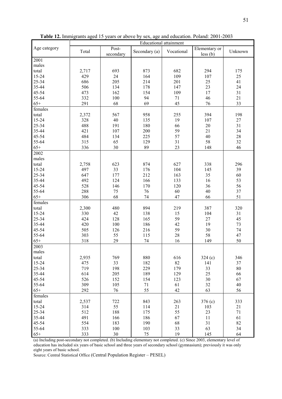|              | <b>Educational attainment</b> |                    |               |            |                             |         |  |
|--------------|-------------------------------|--------------------|---------------|------------|-----------------------------|---------|--|
| Age category | Total                         | Post-<br>secondary | Secondary (a) | Vocational | Elementary or<br>$less$ (b) | Unknown |  |
| 2001         |                               |                    |               |            |                             |         |  |
| males        |                               |                    |               |            |                             |         |  |
| total        | 2,717                         | 693                | 873           | 682        | 294                         | 175     |  |
| 15-24        | 429                           | 24                 | 164           | 109        | 107                         | 25      |  |
| 25-34        | 686                           | 205                | 214           | 201        | 25                          | 41      |  |
| 35-44        | 506                           | 134                | 178           | 147        | 23                          | 24      |  |
| 45-54        | 473                           | 162                | 154           | 109        | 17                          | 31      |  |
| 55-64        | 332                           | 100                | 94            | 71         | 46                          | 21      |  |
| $65+$        | 291                           | 68                 | 69            | 45         | 76                          | 33      |  |
| females      |                               |                    |               |            |                             |         |  |
| total        | 2,372                         | 567                | 958           | 255        | 394                         | 198     |  |
| 15-24        | 328                           | 40                 | 135           | 19         | 107                         | 27      |  |
| 25-34        | 488                           | 191                | 180           | 66         | 20                          | 31      |  |
| 35-44        | 421                           | 107                | 200           | 59         | 21                          | 34      |  |
| 45-54        | 484                           | 134                | 225           | 57         | 40                          | 28      |  |
| 55-64        | 315                           | 65                 | 129           | 31         | 58                          | 32      |  |
| $65+$        | 336                           | 30                 | 89            | 23         | 148                         | 46      |  |
| 2002         |                               |                    |               |            |                             |         |  |
| males        |                               |                    |               |            |                             |         |  |
| total        | 2,758                         | 623                | 874           | 627        | 338                         | 296     |  |
| 15-24        | 497                           | 33                 | 176           | 104        | 145                         | 39      |  |
| 25-34        | 647                           | 177                | 212           | 163        | 35                          | 60      |  |
| 35-44        | 492                           | 124                | 166           | 133        | 16                          | 53      |  |
| 45-54        | 528                           | 146                | 170           | 120        | 36                          | 56      |  |
| 55-64        | 288                           | 75                 | 76            | 60         | 40                          | 37      |  |
| $65+$        | 306                           | 68                 | 74            | 47         | 66                          | 51      |  |
| females      |                               |                    |               |            |                             |         |  |
| total        | 2,300                         | 480                | 894           | 219        | 387                         | 320     |  |
| 15-24        | 330                           | 42                 | 138           | 15         | 104                         | 31      |  |
| 25-34        | 424                           | 128                | 165           | 59         | 27                          | 45      |  |
| 35-44        | 420                           | 100                | 186           | 42         | 19                          | 73      |  |
| 45-54        | 505                           | 126                | 216           | 59         | 30                          | 74      |  |
| 55-64        | 303                           | 55                 | 115           | 28         | 58                          | 47      |  |
| $65+$        | 318                           | 29                 | 74            | 16         | 149                         | 50      |  |
| 2003         |                               |                    |               |            |                             |         |  |
| males        |                               |                    |               |            |                             |         |  |
| total        | 2,935                         | 769                | 880           | 616        |                             | 346     |  |
| 15-24        | 475                           | 33                 | 182           | 82         | 324(c)<br>141               | 37      |  |
| 25-34        | 719                           | 198                | 229           | 179        | 33                          | 80      |  |
| 35-44        | 614                           | 205                | 189           | 129        | 25                          | 66      |  |
| 45-54        | 526                           | 152                | 154           | 123        | 30                          | 67      |  |
| 55-64        | 309                           | 105                | 71            | 61         | 32                          | 40      |  |
| $65+$        | 292                           | 76                 | 55            | 42         | 63                          | 56      |  |
| females      |                               |                    |               |            |                             |         |  |
| total        | 2,537                         | 722                | 843           | 263        | 376(c)                      | 333     |  |
| 15-24        | 314                           | 55                 | 114           | 21         | 103                         | 21      |  |
| 25-34        | 512                           | 188                | 175           | 55         | 23                          | 71      |  |
| 35-44        | 491                           | 166                | 186           | 67         | 11                          | 61      |  |
| 45-54        | 554                           | 183                | 190           | 68         | 31                          | 82      |  |
| 55-64        | 333                           | 100                | 103           | 33         | 63                          | 34      |  |
| $65+$        | 333                           | $30\,$             | 75            | 19         | 145                         | 64      |  |
|              |                               |                    |               |            |                             |         |  |

Table 12. Immigrants aged 15 years or above by sex, age and education. Poland: 2001-2003

(a) Including post-secondary not completed. (b) Including elementary not completed. (c) Since 2003, elementary level of education has included six years of basic school and three years of secondary school (gymnasium); previously it was only eight years of basic school.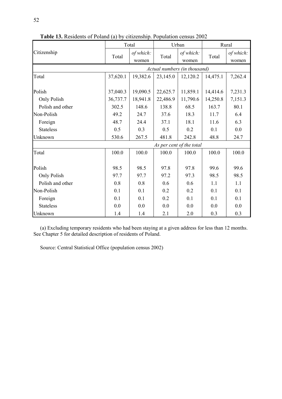|                  |          | Total                        |                          | Urban              | Rural    |                    |  |  |  |  |
|------------------|----------|------------------------------|--------------------------|--------------------|----------|--------------------|--|--|--|--|
| Citizenship      | Total    | of which:<br>women           | Total                    | of which:<br>women | Total    | of which:<br>women |  |  |  |  |
|                  |          | Actual numbers (in thousand) |                          |                    |          |                    |  |  |  |  |
| Total            | 37,620.1 | 19,382.6                     | 23,145.0                 | 12,120.2           | 14,475.1 | 7,262.4            |  |  |  |  |
| Polish           | 37,040.3 | 19,090.5                     | 22,625.7                 | 11,859.1           | 14,414.6 | 7,231.3            |  |  |  |  |
| Only Polish      | 36,737.7 | 18,941.8                     | 22,486.9                 | 11,790.6           | 14,250.8 | 7,151.3            |  |  |  |  |
| Polish and other | 302.5    | 148.6                        | 138.8                    | 68.5               | 163.7    | 80.1               |  |  |  |  |
| Non-Polish       | 49.2     | 24.7                         | 37.6                     | 18.3               | 11.7     | 6.4                |  |  |  |  |
| Foreign          | 48.7     | 24.4                         | 37.1                     | 18.1               | 11.6     | 6.3                |  |  |  |  |
| <b>Stateless</b> | 0.5      | 0.3                          | 0.5                      | 0.2                | 0.1      | 0.0                |  |  |  |  |
| Unknown          | 530.6    | 267.5                        | 481.8                    | 242.8              | 48.8     | 24.7               |  |  |  |  |
|                  |          |                              | As per cent of the total |                    |          |                    |  |  |  |  |
| Total            | 100.0    | 100.0                        | 100.0                    | 100.0              | 100.0    | 100.0              |  |  |  |  |
| Polish           | 98.5     | 98.5                         | 97.8                     | 97.8               | 99.6     | 99.6               |  |  |  |  |
| Only Polish      | 97.7     | 97.7                         | 97.2                     | 97.3               | 98.5     | 98.5               |  |  |  |  |
| Polish and other | 0.8      | 0.8                          | 0.6                      | 0.6                | 1.1      | 1.1                |  |  |  |  |
| Non-Polish       | 0.1      | 0.1                          | 0.2                      | 0.2                | 0.1      | 0.1                |  |  |  |  |
| Foreign          | 0.1      | 0.1                          | 0.2                      | 0.1                | 0.1      | 0.1                |  |  |  |  |
| <b>Stateless</b> | 0.0      | 0.0                          | 0.0                      | 0.0                | 0.0      | 0.0                |  |  |  |  |
| Unknown          | 1.4      | 1.4                          | 2.1                      | 2.0                | 0.3      | 0.3                |  |  |  |  |

Table 13. Residents of Poland (a) by citizenship. Population census 2002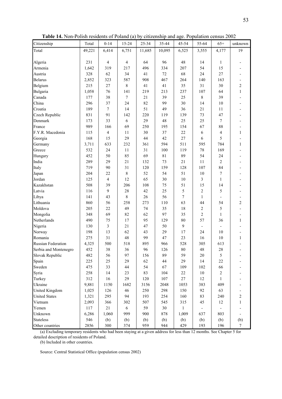| Table 14. Non-Polish residents of Poland (a) by citizenship and age. Population census 2002 |  |  |  |
|---------------------------------------------------------------------------------------------|--|--|--|
|                                                                                             |  |  |  |

| Citizenship               | Total  | $0 - 14$         | 15-24      | 25-34  | 35-44       | 45-54        | 55-64                    | $65+$          | unknown        |
|---------------------------|--------|------------------|------------|--------|-------------|--------------|--------------------------|----------------|----------------|
| Total                     | 49,221 | 6,414            | 6,751      | 11,685 | 10,095      | 6,525        | 3,555                    | 4,177          | 19             |
|                           |        |                  |            |        |             |              |                          |                |                |
| Algeria                   | 231    | $\overline{4}$   | 4          | 64     | 96          | 48           | 14                       | 1              |                |
| Armenia                   | 1,642  | 319              | 217        | 496    | 334         | 207          | 54                       | 15             |                |
| Austria                   | 328    | 62               | 34         | 41     | 72          | 68           | 24                       | 27             |                |
| <b>Belarus</b>            | 2,852  | 323              | 587        | 908    | 467         | 264          | 140                      | 163            |                |
| Belgium                   | 215    | 27               | 8          | 41     | 41          | 35           | 31                       | 30             | $\overline{c}$ |
| Bulgaria                  | 1,058  | 76               | 141        | 219    | 213         | 237          | 107                      | 64             | $\mathbf{1}$   |
| Canada                    | 177    | 38               | $\tau$     | 21     | 39          | 25           | 8                        | 39             |                |
| China                     | 296    | 37               | 24         | 82     | 99          | 30           | 14                       | 10             |                |
| Croatia                   | 189    | $\boldsymbol{7}$ | 14         | 51     | 49          | 36           | 21                       | 11             |                |
| Czech Republic            | 831    | 91               | 142        | 220    | 119         | 139          | 73                       | 47             |                |
| Denmark                   | 173    | 33               | 6          | 29     | 48          | 25           | 25                       | $\overline{7}$ |                |
| France                    | 989    | 166              | 69         | 250    | 195         | 154          | 67                       | 88             |                |
| F.Y.R. Macedonia          | 115    | 4                | 11         | 30     | 37          | 22           | 6                        | 4              | $\mathbf{1}$   |
| Georgia                   | 168    | 15               | 29         | 44     | 42          | 27           | 6                        | 5              |                |
| Germany                   | 3,711  | 633              | 232        | 361    | 594         | 511          | 595                      | 784            | 1              |
| Greece                    | 532    | 24               | 11         | 31     | 100         | 119          | $78\,$                   | 169            |                |
| Hungary                   | 452    | 50               | 85         | 69     | $8\sqrt{1}$ | 89           | 54                       | 24             |                |
| India                     | 289    | 29               | 21         | 132    | 73          | 21           | 11                       | $\overline{2}$ |                |
| Italy                     | 719    | 90               | 31         | 120    | 159         | 128          | 107                      | 84             |                |
| Japan                     | 204    | 22               | $\,$ $\,$  | 52     | 54          | 51           | $10\,$                   | $\tau$         |                |
| Jordan                    | 125    | 4                | 12         | 65     | 30          | 10           | 3                        | $\mathbf{1}$   |                |
| Kazakhstan                | 508    | 39               | 206        | 108    | 75          | 51           | 15                       | 14             |                |
| Latvia                    | 116    | 9                | 28         | 42     | 25          | 5            | $\overline{c}$           | 5              |                |
| Libya                     | 141    | 43               | 8          | 26     | 56          | 7            | $\mathbf{1}$             |                |                |
| Lithuania                 | 860    | 56               | 258        | 273    | 110         | 63           | 44                       | 54             | 2              |
| Moldova                   | 205    | 22               | 49         | 74     | 35          | 18           | 2                        | 5              |                |
| Mongolia                  | 348    | 69               | 82         | 62     | 97          | 35           | $\overline{\mathbf{c}}$  | $\mathbf{1}$   |                |
| Netherlands               | 490    | 75               | 17         | 95     | 129         | 80           | 57                       | 36             | $\mathbf{1}$   |
| Nigeria                   | 130    | 3                | 21         | 47     | 50          | 9            | $\overline{\phantom{a}}$ |                |                |
| Norway                    | 198    | 13               | 62         | 43     | 29          | 17           | 24                       | 10             |                |
| Romania                   | 275    | 31               | 48         | 99     | 47          | 23           | 16                       | 10             | $\mathbf{1}$   |
| <b>Russian Federation</b> | 4,325  | 500              | 518        | 895    | 966         | 528          | 305                      | 613            |                |
| Serbia and Montenegro     | 452    | 38               | 36         | 96     | 126         | 80           | 48                       | 28             |                |
| Slovak Republic           | 482    | 56               | 97         | 156    | 89          | 59           | 20                       | $\mathfrak s$  |                |
| Spain                     | 225    | 25               | 29         | 62     | 44          | 29           | 14                       | $22\,$         |                |
| Sweden                    | 475    | 33               | 44         | 54     | 67          | 109          | 102                      | 66             |                |
|                           |        |                  |            |        |             |              |                          |                |                |
| Syria                     | 258    | 14               | 23         | 83     | 104         | $22\,$       | 10                       | $\overline{c}$ |                |
| Turkey                    | 312    | 16               | 29         | 120    | 107         | $27\,$       | 12                       | $\mathbf{1}$   |                |
| Ukraine                   | 9,881  | 1150             | 1682       | 3156   | 2048        | 1053         | 383                      | 409            |                |
| <b>United Kingdom</b>     | 1,025  | 126              | 46         | 250    | 298         | 150          | 92                       | 63             |                |
| <b>United States</b>      | 1,321  | 295              | 94         | 193    | 254         | 160          | 83                       | 240            | $\sqrt{2}$     |
| Vietnam                   | 2,093  | 366              | 302        | 507    | 545         | 315          | 45                       | 12             | $\mathbf{1}$   |
| Yemen                     | 117    | 21               | $\sqrt{6}$ | 59     | 30          | $\mathbf{1}$ |                          |                |                |
| Unknown                   | 6,286  | 1,060            | 999        | 900    | 878         | 1,009        | 637                      | 803            |                |
| <b>Stateless</b>          | 546    | (b)              | (b)        | (b)    | (b)         | (b)          | (b)                      | (b)            | (b)            |
| Other countries           | 2856   | 300              | 374        | 959    | 944         | 429          | 193                      | 196            | $\tau$         |

(b) Included in other countries.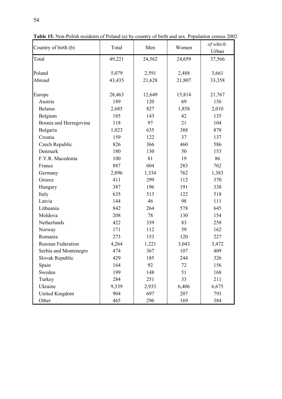| Country of birth (b)      | Total  | Men    | Women  | of which:<br>Urban |
|---------------------------|--------|--------|--------|--------------------|
| Total                     | 49,221 | 24,562 | 24,659 | 37,566             |
| Poland                    | 5,079  | 2,591  | 2,488  | 3,661              |
| Abroad                    |        |        |        |                    |
|                           | 43,435 | 21,628 | 21,807 | 33,358             |
| Europe                    | 28,463 | 12,649 | 15,814 | 21,767             |
| Austria                   | 189    | 120    | 69     | 156                |
| <b>Belarus</b>            | 2,685  | 827    | 1,858  | 2,010              |
| Belgium                   | 185    | 143    | 42     | 135                |
| Bosnia and Herzegovina    | 118    | 97     | 21     | 104                |
| Bulgaria                  | 1,023  | 635    | 388    | 878                |
| Croatia                   | 159    | 122    | 37     | 137                |
| Czech Republic            | 826    | 366    | 460    | 586                |
| Denmark                   | 180    | 130    | 50     | 153                |
| F.Y.R. Macedonia          | 100    | 81     | 19     | 86                 |
| France                    | 887    | 604    | 283    | 762                |
| Germany                   | 2,096  | 1,334  | 762    | 1,383              |
| Greece                    | 411    | 299    | 112    | 370                |
| Hungary                   | 387    | 196    | 191    | 338                |
| Italy                     | 635    | 513    | 122    | 518                |
| Latvia                    | 144    | 46     | 98     | 111                |
| Lithuania                 | 842    | 264    | 578    | 645                |
| Moldova                   | 208    | 78     | 130    | 154                |
| Netherlands               | 422    | 339    | 83     | 258                |
| Norway                    | 171    | 112    | 59     | 162                |
| Romania                   | 273    | 153    | 120    | 227                |
| <b>Russian Federation</b> | 4,264  | 1,221  | 3,043  | 3,472              |
| Serbia and Montenegro     | 474    | 367    | 107    | 409                |
| Slovak Republic           | 429    | 185    | 244    | 326                |
| Spain                     | 164    | 92     | 72     | 156                |
| Sweden                    | 199    | 148    | 51     | 168                |
| Turkey                    | 284    | 251    | 33     | 211                |
| Ukraine                   | 9,339  | 2,933  | 6,406  | 6,675              |
| <b>United Kingdom</b>     | 904    | 697    | 207    | 793                |
| Other                     | 465    | 296    | 169    | 384                |

Table 15. Non-Polish residents of Poland (a) by country of birth and sex. Population census 2002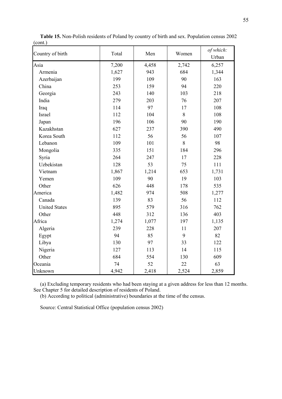| Country of birth     | Total | Men   | Women | of which:<br>Urban |
|----------------------|-------|-------|-------|--------------------|
| Asia                 | 7,200 | 4,458 | 2,742 | 6,257              |
| Armenia              | 1,627 | 943   | 684   | 1,344              |
| Azerbaijan           | 199   | 109   | 90    | 163                |
| China                | 253   | 159   | 94    | 220                |
| Georgia              | 243   | 140   | 103   | 218                |
| India                | 279   | 203   | 76    | 207                |
| Iraq                 | 114   | 97    | 17    | 108                |
| Israel               | 112   | 104   | 8     | 108                |
| Japan                | 196   | 106   | 90    | 190                |
| Kazakhstan           | 627   | 237   | 390   | 490                |
| Korea South          | 112   | 56    | 56    | 107                |
| Lebanon              | 109   | 101   | 8     | 98                 |
| Mongolia             | 335   | 151   | 184   | 296                |
| Syria                | 264   | 247   | 17    | 228                |
| Uzbekistan           | 128   | 53    | 75    | 111                |
| Vietnam              | 1,867 | 1,214 | 653   | 1,731              |
| Yemen                | 109   | 90    | 19    | 103                |
| Other                | 626   | 448   | 178   | 535                |
| America              | 1,482 | 974   | 508   | 1,277              |
| Canada               | 139   | 83    | 56    | 112                |
| <b>United States</b> | 895   | 579   | 316   | 762                |
| Other                | 448   | 312   | 136   | 403                |
| Africa               | 1,274 | 1,077 | 197   | 1,135              |
| Algeria              | 239   | 228   | 11    | 207                |
| Egypt                | 94    | 85    | 9     | 82                 |
| Libya                | 130   | 97    | 33    | 122                |
| Nigeria              | 127   | 113   | 14    | 115                |
| Other                | 684   | 554   | 130   | 609                |
| Oceania              | 74    | 52    | 22    | 63                 |
| Unknown              | 4,942 | 2,418 | 2,524 | 2,859              |

Table 15. Non-Polish residents of Poland by country of birth and sex. Population census 2002 (cont.)

(b) According to political (administrative) boundaries at the time of the census.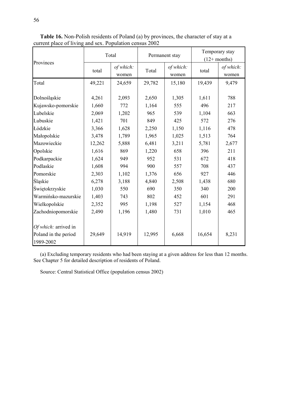|                                                           |                          | Total                   |                         | Permanent stay          | Temporary stay<br>$(12+$ months) |                     |  |
|-----------------------------------------------------------|--------------------------|-------------------------|-------------------------|-------------------------|----------------------------------|---------------------|--|
| Provinces                                                 | total                    | of which:<br>women      | Total                   | of which:<br>women      | total                            | of which:<br>women  |  |
| Total                                                     | 49,221                   | 24,659                  | 29,782                  | 15,180                  | 19,439                           | 9,479               |  |
| Dolnośląskie<br>Kujawsko-pomorskie<br>Lubelskie           | 4,261<br>1,660<br>2,069  | 2,093<br>772<br>1,202   | 2,650<br>1,164<br>965   | 1,305<br>555<br>539     | 1,611<br>496<br>1,104            | 788<br>217<br>663   |  |
| Lubuskie                                                  | 1,421                    | 701                     | 849                     | 425                     | 572                              | 276                 |  |
| Łódzkie<br>Małopolskie<br>Mazowieckie                     | 3,366<br>3,478<br>12,262 | 1,628<br>1,789<br>5,888 | 2,250<br>1,965<br>6,481 | 1,150<br>1,025<br>3,211 | 1,116<br>1,513<br>5,781          | 478<br>764<br>2,677 |  |
| Opolskie                                                  | 1,616                    | 869                     | 1,220                   | 658                     | 396                              | 211                 |  |
| Podkarpackie<br>Podlaskie                                 | 1,624<br>1,608           | 949<br>994              | 952<br>900              | 531<br>557              | 672<br>708                       | 418<br>437          |  |
| Pomorskie                                                 | 2,303                    | 1,102                   | 1,376                   | 656                     | 927                              | 446                 |  |
| <b>Slaskie</b>                                            | 6,278                    | 3,188                   | 4,840                   | 2,508                   | 1,438                            | 680                 |  |
| Świętokrzyskie                                            | 1,030                    | 550                     | 690                     | 350                     | 340                              | 200                 |  |
| Warmińsko-mazurskie                                       | 1,403                    | 743                     | 802                     | 452                     | 601                              | 291                 |  |
| Wielkopolskie                                             | 2,352                    | 995                     | 1,198                   | 527                     | 1,154                            | 468                 |  |
| Zachodniopomorskie                                        | 2,490                    | 1,196                   | 1,480                   | 731                     | 1,010                            | 465                 |  |
| Of which: arrived in<br>Poland in the period<br>1989-2002 | 29,649                   | 14,919                  | 12,995                  | 6,668                   | 16,654                           | 8,231               |  |

Table 16. Non-Polish residents of Poland (a) by provinces, the character of stay at a current place of living and sex. Population census 2002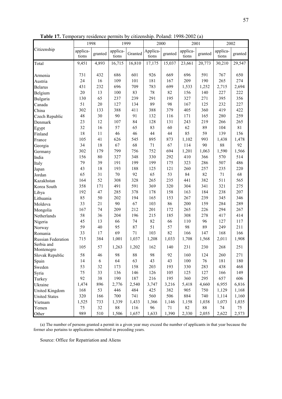| 1 U.VIV 1 / 1<br>1.911   | ᅠ                 | TODIAVIIVV | $V$ $W$           | <b>URLEVILUM</b> |                   |         | $\mu$ , 1 onana. 1990 2002 (u) |         |                   |         |
|--------------------------|-------------------|------------|-------------------|------------------|-------------------|---------|--------------------------------|---------|-------------------|---------|
|                          | 1998              |            |                   | 1999             | 2000              |         | 2001                           |         | 2002              |         |
| Citizenship              | applica-<br>tions | granted    | applica-<br>tions | Granted          | Applica-<br>tions | granted | applica-<br>tions              | granted | applica-<br>tions | granted |
| Total                    | 9,451             | 4,893      | 16,715            | 16,810           | 17,175            | 15,037  | 23,661                         | 20,773  | 30,210            | 29,547  |
| Armenia                  | 731               | 432        | 686               | 601              | 926               | 669     | 696                            | 591     | 767               | 650     |
| Austria                  | 24                | 16         | 109               | 101              | 181               | 167     | 209                            | 190     | 265               | 274     |
| <b>Belarus</b>           | 431               | 232        | 696               | 709              | 783               | 699     | 1,533                          | 1,252   | 2,715             | 2,694   |
| Belgium                  | $20\,$            | 13         | 100               | 83               | $78\,$            | 82      | 156                            | 140     | 227               | 222     |
| Bulgaria                 | 130               | 65         | 237               | 239              | 291               | 195     | 327                            | 271     | 395               | 356     |
| Canada                   | 51                | 20         | 127               | 134              | 89                | 98      | 167                            | 125     | 232               | 227     |
| China                    | 302               | 133        | 388               | 411              | 388               | 379     | 405                            | 360     | 419               | 422     |
| Czech Republic           | 48                | 30         | 90                | 91               | 132               | 116     | 171                            | 165     | 280               | 259     |
| Denmark                  | 23                | 12         | 107               | 84               | 128               | 131     | 243                            | 219     | 266               | 265     |
| Egypt                    | 32                | 16         | 57                | 65               | 83                | 60      | 62                             | 89      | 104               | 81      |
| Finland                  | 18                | 11         | 46                | 46               | 44                | 44      | 85                             | 59      | 139               | 156     |
| France                   | 105               | 41         | 626               | 545              | 895               | 873     | 1,102                          | 993     | 1,438             | 1,478   |
| Georgia                  | 34                | $18\,$     | 67                | 68               | $71\,$            | 67      | 114                            | 90      | 88                | 92      |
| Germany                  | 302               | 179        | 799               | 756              | 752               | 694     | 1,201                          | 1,063   | 1,590             | 1,566   |
| India                    | 156               | $80\,$     | 327               | 348              | 330               | 292     | 410                            | 366     | 570               | 514     |
| Italy                    | 79                | 39         | 191               | 199              | 199               | 175     | 323                            | 286     | 507               | 486     |
| Japan                    | 43                | $18\,$     | 193               | 188              | 125               | 121     | 260                            | 257     | 235               | 220     |
| Jordan                   | 65                | 31         | $70\,$            | 92               | 65                | 53      | 84                             | 82      | $71\,$            | 68      |
| Kazakhstan               | 164               | 52         | 308               | 328              | 265               | 235     | 441                            | 382     | 511               | 565     |
| Korea South              | 358               | 171        | 491               | 591              | 369               | 320     | 304                            | 341     | 321               | 275     |
| Libya                    | 192               | 47         | 285               | 378              | 178               | 158     | 163                            | 184     | 238               | 207     |
| Lithuania                | 85                | 50         | 202               | 194              | 165               | 153     | 267                            | 239     | 345               | 346     |
| Moldova                  | 33                | 21         | 90                | 67               | 103               | 86      | 200                            | 159     | 284               | 289     |
| Mongolia                 | 167               | 74         | 209               | 212              | 201               | 172     | 265                            | 226     | 294               | 267     |
| Netherlands              | 58                | 36         | 204               | 196              | 215               | 185     | 308                            | 278     | 417               | 414     |
| Nigeria                  | 45                | 13         | 66                | 74               | 82                | 66      | 110                            | 96      | 127               | 117     |
| Norway                   | 59                | 40         | 95                | $87\,$           | 51                | 57      | 98                             | 89      | 249               | 211     |
| Romania                  | 33                | 17         | 69                | 71               | 103               | 82      | 166                            | 147     | 168               | 166     |
| Russian Federation       | 715               | 384        | 1,001             | 1,037            | 1,208             | 1,033   | 1,708                          | 1,568   | 2,011             | 1,908   |
| Serbia and<br>Montenegro | 105               | 57         | 1,263             | 1,202            | 162               | 140     | 231                            | 230     | 268               | 251     |
| Slovak Republic          | 58                | 46         | 98                | $88\,$           | 98                | 92      | 160                            | 124     | 260               | 271     |
| Spain                    | 14                | $\sqrt{6}$ | 64                | 63               | 43                | 43      | 100                            | 76      | 181               | 180     |
| Sweden                   | 53                | 32         | 173               | 158              | 203               | 193     | 330                            | 283     | 438               | 468     |
| Syria                    | 75                | 33         | 136               | 146              | 126               | 105     | 125                            | 127     | 166               | 149     |
| Turkey                   | 92                | 38         | 190               | 187              | 216               | 195     | 360                            | 295     | 657               | 606     |
| Ukraine                  | 1,474             | 896        | 2,776             | 2,540            | 3,747             | 3,216   | 5,418                          | 4,660   | 6,955             | 6,816   |
| United Kingdom           | 168               | 53         | 446               | 484              | 425               | 382     | 905                            | 750     | 1,129             | 1,168   |
| <b>United States</b>     | 320               | 166        | 700               | 741              | 560               | 506     | 884                            | 740     | 1,114             | 1,160   |
| Vietnam                  | 1,525             | 733        | 1,339             | 1,433            | 1,366             | 1,146   | 1,158                          | 1,038   | 1,073             | 1,035   |
| Yemen                    | 75                | 32         | $88\,$            | 116              | 96                | 71      | 82                             | $88\,$  | 74                | 75      |
| Other                    | 989               | 510        | 1,506             | 1,657            | 1,633             | 1,390   | 2,330                          | 2,055   | 2,622             | 2,573   |

Table 17. Temporary residence permits by citizenship. Poland: 1998-2002 (a)

(a) The number of persons granted a permit in a given year may exceed the number of applicants in that year because the former also pertains to applications submitted in preceding years.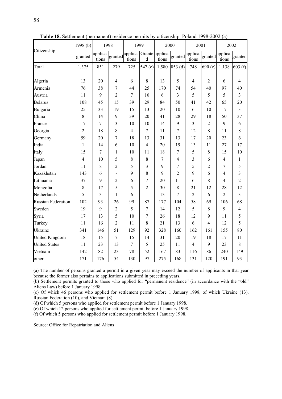|                           | 1998 $(b)$     | 1998              |                | 1999                                     |                | 2000  |                | 2001                      |                | 2002              |                |
|---------------------------|----------------|-------------------|----------------|------------------------------------------|----------------|-------|----------------|---------------------------|----------------|-------------------|----------------|
| Citizenship               | granted        | applica-<br>tions |                | granted applica-Grante applica-<br>tions | $\mathbf d$    | tions |                | granted applica-<br>tions | granted        | applica-<br>tions | granted        |
| Total                     | 1,375          | 851               | 279            | 725                                      | 547 (c)        | 1,580 | 853 (d)        | 748                       | 690(e)         | 1,138             | 603(f)         |
| Algeria                   | 13             | 20                | $\overline{4}$ | 6                                        | 8              | 13    | 5              | $\overline{4}$            | $\overline{2}$ | 6                 | $\overline{4}$ |
| Armenia                   | 76             | 38                | 7              | 44                                       | 25             | 170   | 74             | 54                        | 40             | 97                | 40             |
| Austria                   | 11             | 9                 | $\overline{2}$ | $\overline{7}$                           | 10             | 6     | 3              | 5                         | 5              | 5                 | $\overline{3}$ |
| <b>Belarus</b>            | 108            | 45                | 15             | 39                                       | 29             | 84    | 50             | 41                        | 42             | 65                | 20             |
| Bulgaria                  | 25             | 33                | 19             | 15                                       | 13             | 20    | 10             | 6                         | 10             | 17                | 3              |
| China                     | $\,8\,$        | 14                | 9              | 39                                       | 20             | 41    | 28             | 29                        | 18             | 50                | 37             |
| France                    | 17             | 7                 | 3              | 10                                       | 10             | 14    | 9              | 3                         | $\overline{2}$ | 9                 | 6              |
| Georgia                   | $\overline{2}$ | 18                | 8              | $\overline{4}$                           | $\tau$         | 11    | 7              | 12                        | 8              | 11                | 8              |
| Germany                   | 59             | 20                | 7              | 18                                       | 13             | 31    | 13             | 17                        | 20             | 23                | 6              |
| India                     | $\mathbf{1}$   | 14                | 6              | 10                                       | $\overline{4}$ | 20    | 19             | 13                        | 11             | 27                | 17             |
| Italy                     | 15             | 7                 | 1              | 10                                       | 11             | 18    | 7              | 5                         | 8              | 15                | 10             |
| Japan                     | $\overline{4}$ | 10                | 5              | 8                                        | 8              | 7     | 4              | 3                         | 6              | $\overline{4}$    | $\mathbf{1}$   |
| Jordan                    | 11             | 8                 | $\overline{2}$ | 5                                        | 3              | 9     | 7              | 5                         | 2              | $\overline{7}$    | 5              |
| Kazakhstan                | 143            | 6                 | $\overline{a}$ | 9                                        | 8              | 9     | $\overline{2}$ | 9                         | 6              | 4                 | 3              |
| Lithuania                 | 37             | 9                 | $\overline{2}$ | 6                                        | 7              | 20    | 11             | 6                         | 8              | 4                 | $\overline{2}$ |
| Mongolia                  | 8              | 17                | 5              | 5                                        | $\overline{2}$ | 30    | $8\,$          | 21                        | 12             | 28                | 12             |
| Netherlands               | 5              | $\overline{3}$    | 1              | 6                                        | $\overline{a}$ | 13    | $\overline{7}$ | $\overline{2}$            | 6              | $\overline{2}$    | 3              |
| <b>Russian Federation</b> | 102            | 93                | 26             | 99                                       | 87             | 177   | 104            | 58                        | 69             | 106               | 68             |
| Sweden                    | 19             | 9                 | $\overline{2}$ | 5                                        | 7              | 14    | 12             | 5                         | 8              | 9                 | $\overline{4}$ |
| Syria                     | 17             | 13                | 5              | 10                                       | $\overline{7}$ | 26    | 18             | 12                        | 9              | 11                | 5              |
| Turkey                    | 11             | 16                | $\overline{2}$ | 11                                       | 8              | 21    | 13             | 6                         | 4              | 12                | 5              |
| Ukraine                   | 341            | 146               | 51             | 129                                      | 92             | 328   | 160            | 162                       | 161            | 155               | 80             |
| <b>United Kingdom</b>     | 18             | 15                | $\overline{7}$ | 15                                       | 14             | 31    | 20             | 19                        | 18             | 17                | 11             |
| <b>United States</b>      | 11             | 23                | 13             | 7                                        | 5              | 25    | 11             | $\overline{4}$            | 9              | 23                | 8              |
| Vietnam                   | 142            | 82                | 23             | 78                                       | 52             | 167   | 83             | 116                       | 86             | 240               | 149            |
| other                     | 171            | 176               | 54             | 130                                      | 97             | 275   | 168            | 131                       | 120            | 191               | 93             |

Table 18. Settlement (permanent) residence permits by citizenship. Poland 1998-2002 (a)

(a) The number of persons granted a permit in a given year may exceed the number of applicants in that year because the former also pertains to applications submitted in preceding years.

(b) Settlement permits granted to those who applied for "permanent residence" (in accordance with the "old" Aliens Law) before 1 January 1998.

(c) Of which 46 persons who applied for settlement permit before 1 January 1998, of which Ukraine (13), Russian Federation (10), and Vietnam (8).

(d) Of which 5 persons who applied for settlement permit before 1 January 1998.

(e) Of which 12 persons who applied for settlement permit before 1 January 1998.

(f) Of which 5 persons who applied for settlement permit before 1 January 1998.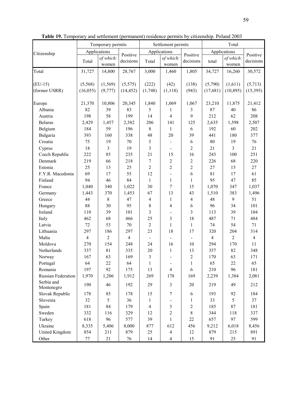|                              | mits by citizenship. Poland 2003 |                     |                      |                 |
|------------------------------|----------------------------------|---------------------|----------------------|-----------------|
|                              | permits                          |                     | Total                |                 |
|                              |                                  | Applications        |                      |                 |
| $h$ :<br>'n                  | Positive<br>decisions            | total               | of which:<br>women   | Posit<br>decis  |
| )                            | 1,805                            | 34,727              | 16,260               | 30,5            |
| $\left\langle \right\rangle$ | (138)<br>(943)                   | (5,790)<br>(17,681) | (1,611)<br>(10, 895) | (5,7)<br>(15,3) |

Table 19. Temporary and settlement (permanent) residence permits

|                          |                | Temporary permits |                | Settlement permits      |                |                | Total          |                |                |
|--------------------------|----------------|-------------------|----------------|-------------------------|----------------|----------------|----------------|----------------|----------------|
| Citizenship              |                | Applications      | Positive       |                         | Applications   | Positive       |                | Applications   | Positive       |
|                          | Total          | of which:         | decisions      | Total                   | of which:      | decisions      | total          | of which:      | decisions      |
|                          |                | women             |                |                         | women          |                |                | women          |                |
| Total                    | 31,727         | 14,800            | 28,767         | 3,000                   | 1,460          | 1,805          | 34,727         | 16,260         | 30,572         |
| $(EU-15)$                | (5,568)        | (1, 569)          | (5, 575)       | (222)                   | (42)           | (138)          | (5,790)        | (1,611)        | (5,713)        |
| (former USRR)            | (16, 055)      | (9, 777)          | (14, 452)      | (1,748)                 | (1,118)        | (943)          | (17,681)       | (10, 895)      | (15,395)       |
| Europe                   | 21,370         | 10,806            | 20,345         | 1,840                   | 1,069          | 1,067          | 23,210         | 11,875         | 21,412         |
| Albania                  | 82             | 39                | 83             | 5                       | 1              | 3              | 87             | 40             | 86             |
| Austria                  | 198            | 58                | 199            | 14                      | 4              | 9              | 212            | 62             | 208            |
| <b>Belarus</b>           | 2,429          | 1,457             | 2,382          | 206                     | 141            | 125            | 2,635          | 1,598          | 2,507          |
| Belgium                  | 184            | 59                | 196            | 8                       | 1              | 6              | 192            | 60             | 202            |
| Bulgaria                 | 393            | 160               | 338            | 48                      | 20             | 39             | 441            | 180            | 377            |
| Croatia                  | 75             | 19                | 70             | 5                       |                | $\sqrt{6}$     | 80             | 19             | 76             |
| Cyprus                   | 18             | 3                 | 19             | $\overline{\mathbf{3}}$ | $\blacksquare$ | $\overline{2}$ | 21             | 3              | 21             |
| Czech Republic           | 222            | 85                | 235            | 21                      | 15             | 16             | 243            | 100            | 251            |
| Denmark                  | 219            | 66                | 218            | $\sqrt{ }$              | 2              | $\sqrt{2}$     | 226            | 68             | 220            |
| Estonia                  | 25             | 13                | 25             | $\overline{c}$          | $\overline{c}$ | $\overline{2}$ | 27             | 15             | 27             |
| F.Y.R. Macedonia         | 69             | 17                | 55             | 12                      |                | 6              | 81             | 17             | 61             |
| Finland                  | 94             | 46                | 84             | $\mathbf{1}$            | 1              | $\mathbf{1}$   | 95             | 47             | 85             |
| France                   | 1,040          | 340               | 1,022          | 30                      | 7              | 15             | 1,070          | 347            | 1,037          |
| Germany                  | 1,443          | 370               | 1,453          | 67                      | 13             | 43             | 1,510          | 383            | 1,496          |
| Greece                   | 44             | $\,8\,$           | 47             | $\overline{4}$          | 1              | $\overline{4}$ | 48             | 9              | 51             |
| Hungary                  | 88             | 30                | 95             | 8                       | 4              | 6              | 96             | 34             | 101            |
| Ireland                  | 110            | 39                | 101            | 3                       |                | 3              | 113            | 39             | 104            |
| Italy                    | 462            | 68                | 466            | 25                      | 3              | 18             | 487            | 71             | 484            |
| Latvia                   | 72             | 53                | 70             | $\overline{c}$          | $\mathbf{1}$   | $\mathbf{1}$   | 74             | 54             | 71             |
| Lithuania                | 297            | 186               | 297            | 23                      | 18             | 17             | 320            | 204            | 314            |
| Malta                    | $\overline{4}$ | $\overline{2}$    | $\overline{4}$ |                         |                | $\blacksquare$ | $\overline{4}$ | $\overline{2}$ | $\overline{4}$ |
| Moldova                  | 270            | 154               | 248            | 24                      | 16             | 10             | 294            | 170            | 11             |
| Netherlands              | 337            | 81                | 335            | 20                      | 1              | 13             | 357            | 82             | 348            |
| Norway                   | 167            | 63                | 169            | 3                       |                | $\overline{2}$ | 170            | 63             | 171            |
| Portugal                 | 64             | 22                | 64             | $\mathbf{1}$            |                | $\mathbf{1}$   | 65             | 22             | 65             |
| Romania                  | 197            | 92                | 175            | 13                      | $\overline{4}$ | 6              | 210            | 96             | 181            |
| Russian Federation       | 1,970          | 1,206             | 1,912          | 269                     | 178            | 169            | 2,239          | 1,384          | 2,081          |
| Serbia and<br>Montenegro | 190            | 46                | 192            | 29                      | $\overline{3}$ | 20             | 219            | 49             | 212            |
| Slovak Republic          | 178            | 85                | 178            | 15                      | $\tau$         | 6              | 193            | 92             | 184            |
| Slovenia                 | 32             | 5                 | 36             | $\mathbf{1}$            |                | $\mathbf{1}$   | 33             | 5              | 37             |
| Spain                    | 181            | 84                | 179            | $\overline{\mathbf{4}}$ | 3              | $\sqrt{2}$     | 185            | 87             | 181            |
| Sweden                   | 332            | 116               | 329            | 12                      | $\overline{2}$ | 8              | 344            | 118            | 337            |
| Turkey                   | 618            | 96                | 577            | 39                      | 1              | 22             | 657            | 97             | 599            |
| Ukraine                  | 8,335          | 5,406             | 8,000          | 877                     | 612            | 456            | 9,212          | 6,018          | 8,456          |
| United Kingdom           | 854            | 211               | 879            | 25                      | $\overline{4}$ | 12             | 879            | 215            | 891            |
| Other                    | 77             | 21                | 76             | 14                      | $\overline{4}$ | 15             | 91             | 25             | 91             |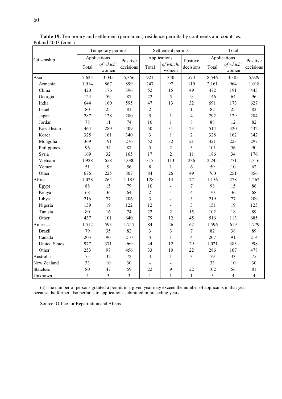|                      |                | Temporary permits  |           |                | Settlement permits       |                          |       | Total              |                |
|----------------------|----------------|--------------------|-----------|----------------|--------------------------|--------------------------|-------|--------------------|----------------|
| Citizenship          |                | Applications       | Positive  |                | Applications             | Positive                 |       | Applications       | Positive       |
|                      | Total          | of which:<br>women | decisions | Total          | of which:<br>women       | decisions                | Total | of which:<br>women | decisions      |
| Asia                 | 7,625          | 3,045              | 5,356     | 921            | 340                      | 573                      | 8,546 | 3,385              | 5,929          |
| Armenia              | 1,914          | 867                | 899       | 247            | 97                       | 119                      | 2,161 | 964                | 1,018          |
| China                | 420            | 176                | 396       | 52             | 15                       | 49                       | 472   | 191                | 445            |
| Georgia              | 124            | 59                 | 87        | 22             | 5                        | 9                        | 146   | 64                 | 96             |
| India                | 644            | 160                | 595       | 47             | 13                       | 32                       | 691   | 173                | 627            |
| Israel               | 80             | 25                 | 81        | $\overline{2}$ | $\overline{\phantom{a}}$ | $\mathbf{1}$             | 82    | 25                 | 82             |
| Japan                | 287            | 128                | 280       | 5              | 1                        | $\overline{\mathcal{A}}$ | 292   | 129                | 284            |
| Jordan               | 78             | 11                 | 74        | 10             | $\mathbf{1}$             | 8                        | 88    | 12                 | 82             |
| Kazakhstan           | 464            | 289                | 409       | 50             | 31                       | 23                       | 514   | 320                | 432            |
| Korea                | 325            | 161                | 340       | $\overline{3}$ | $\mathbf{1}$             | $\overline{2}$           | 328   | 162                | 342            |
| Mongolia             | 369            | 191                | 276       | 52             | 32                       | 21                       | 421   | 223                | 297            |
| Philippines          | 96             | 54                 | 87        | 5              | $\overline{2}$           | $\overline{3}$           | 101   | 56                 | 90             |
| Syria                | 169            | 32                 | 165       | 17             | $\overline{2}$           | 11                       | 186   | 34                 | 176            |
| Vietnam              | 1,928          | 658                | 1,080     | 317            | 113                      | 236                      | 2,245 | 771                | 1,316          |
| Yemen                | 51             | 9                  | 56        | $\,8\,$        | $\mathbf{1}$             | 6                        | 59    | 10                 | 62             |
| Other                | 676            | 225                | 807       | 84             | 26                       | 49                       | 760   | 251                | 856            |
| Africa               | 1,028          | 264                | 1,185     | 128            | 14                       | 77                       | 1,156 | 278                | 1,262          |
| Egypt                | 88             | 15                 | 79        | 10             | $\blacksquare$           | $\tau$                   | 98    | 15                 | 86             |
| Kenya                | 68             | 36                 | 64        | $\overline{2}$ | $\blacksquare$           | $\overline{4}$           | 70    | 36                 | 68             |
| Libya                | 216            | 77                 | 206       | 3              | $\overline{a}$           | 3                        | 219   | 77                 | 209            |
| Nigeria              | 139            | 19                 | 122       | 12             | $\blacksquare$           | 3                        | 151   | 19                 | 125            |
| Tunisia              | 80             | 16                 | 74        | 22             | $\overline{2}$           | 15                       | 102   | 18                 | 89             |
| Other                | 437            | 101                | 640       | 79             | 12                       | 45                       | 516   | 113                | 685            |
| America              | 1,512          | 593                | 1,717     | 84             | 26                       | 62                       | 1,596 | 619                | 1,779          |
| <b>Brazil</b>        | 79             | 35                 | 82        | 3              | $\overline{3}$           | $\boldsymbol{7}$         | 82    | 38                 | 89             |
| Canada               | 203            | 90                 | 210       | $\overline{4}$ | $\mathbf{1}$             | $\overline{4}$           | 207   | 91                 | 214            |
| <b>United States</b> | 977            | 371                | 969       | 44             | 12                       | 29                       | 1,021 | 383                | 998            |
| Other                | 253            | 97                 | 456       | 33             | 10                       | 22                       | 286   | 107                | 478            |
| Australia            | 75             | 32                 | 72        | $\overline{4}$ | $\mathbf{1}$             | $\overline{3}$           | 79    | 33                 | 75             |
| New Zealand          | 33             | 10                 | 30        |                |                          |                          | 33    | 10                 | 30             |
| <b>Stateless</b>     | 80             | 47                 | 59        | 22             | 9                        | 22                       | 102   | 56                 | 81             |
| Unknown              | $\overline{4}$ | 3                  | 3         | $\mathbf{1}$   | $\mathbf{1}$             | $\mathbf{1}$             | 5     | $\overline{4}$     | $\overline{4}$ |

Table 19. Temporary and settlement (permanent) residence permits by continents and countries. Poland 2003 (cont.)

(a) The number of persons granted a permit in a given year may exceed the number of applicants in that year because the former also pertains to applications submitted in preceding years.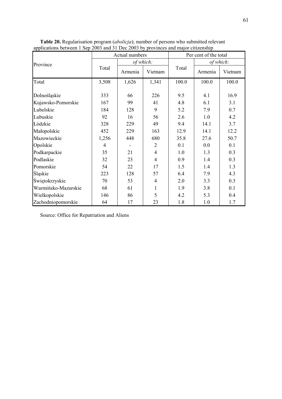|                     |       | Actual numbers |                | Per cent of the total |           |         |  |
|---------------------|-------|----------------|----------------|-----------------------|-----------|---------|--|
| Province            |       |                | of which:      |                       | of which: |         |  |
|                     | Total | Armenia        | Vietnam        | Total                 | Armenia   | Vietnam |  |
| Total               | 3,508 | 1,626          | 1,341          | 100.0                 | 100.0     | 100.0   |  |
|                     |       |                |                |                       |           |         |  |
| Dolnośląskie        | 333   | 66             | 226            | 9.5                   | 4.1       | 16.9    |  |
| Kujawsko-Pomorskie  | 167   | 99             | 41             | 4.8                   | 6.1       | 3.1     |  |
| Lubelskie           | 184   | 128            | 9              | 5.2                   | 7.9       | 0.7     |  |
| Lubuskie            | 92    | 16             | 56             | 2.6                   | 1.0       | 4.2     |  |
| Łódzkie             | 328   | 229            | 49             | 9.4                   | 14.1      | 3.7     |  |
| Małopolskie         | 452   | 229            | 163            | 12.9                  | 14.1      | 12.2    |  |
| Mazowieckie         | 1,256 | 448            | 680            | 35.8                  | 27.6      | 50.7    |  |
| Opolskie            | 4     |                | 2              | 0.1                   | 0.0       | 0.1     |  |
| Podkarpackie        | 35    | 21             | $\overline{4}$ | 1.0                   | 1.3       | 0.3     |  |
| Podlaskie           | 32    | 23             | 4              | 0.9                   | 1.4       | 0.3     |  |
| Pomorskie           | 54    | 22             | 17             | 1.5                   | 1.4       | 1.3     |  |
| Śląskie             | 223   | 128            | 57             | 6.4                   | 7.9       | 4.3     |  |
| Świętokrzyskie      | 70    | 53             | $\overline{4}$ | 2.0                   | 3.3       | 0.3     |  |
| Warmińsko-Mazurskie | 68    | 61             | 1              | 1.9                   | 3.8       | 0.1     |  |
| Wielkopolskie       | 146   | 86             | 5              | 4.2                   | 5.3       | 0.4     |  |
| Zachodniopomorskie  | 64    | 17             | 23             | 1.8                   | 1.0       | 1.7     |  |

Table 20. Regularisation program (*abolicja*); number of persons who submitted relevant applications between 1 Sep 2003 and 31 Dec 2003 by provinces and major citizenship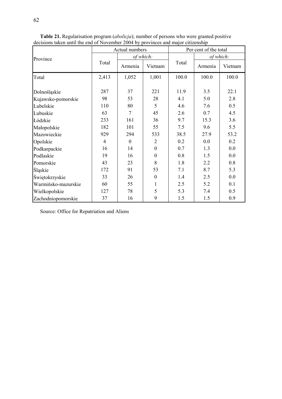|                     |                | Actual numbers   |                  |       | Per cent of the total |         |  |  |
|---------------------|----------------|------------------|------------------|-------|-----------------------|---------|--|--|
| Province            |                |                  | of which:        |       | of which:             |         |  |  |
|                     | Total          | Armenia          | Vietnam          | Total | Armenia               | Vietnam |  |  |
| Total               | 2,413          | 1,052            | 1,001            | 100.0 | 100.0                 | 100.0   |  |  |
| Dolnośląskie        | 287            | 37               | 221              | 11.9  | 3.5                   | 22.1    |  |  |
| Kujawsko-pomorskie  | 98             | 53               | 28               | 4.1   | 5.0                   | 2.8     |  |  |
| Lubelskie           | 110            | 80               | 5                | 4.6   | 7.6                   | 0.5     |  |  |
| Lubuskie            | 63             | 7                | 45               | 2.6   | 0.7                   | 4.5     |  |  |
| Łódzkie             | 233            | 161              | 36               | 9.7   | 15.3                  | 3.6     |  |  |
| Małopolskie         | 182            | 101              | 55               | 7.5   | 9.6                   | 5.5     |  |  |
| Mazowieckie         | 929            | 294              | 533              | 38.5  | 27.9                  | 53.2    |  |  |
| Opolskie            | $\overline{4}$ | $\boldsymbol{0}$ | $\overline{2}$   | 0.2   | 0.0                   | 0.2     |  |  |
| Podkarpackie        | 16             | 14               | $\mathbf{0}$     | 0.7   | 1.3                   | 0.0     |  |  |
| Podlaskie           | 19             | 16               | $\mathbf{0}$     | 0.8   | 1.5                   | 0.0     |  |  |
| Pomorskie           | 43             | 23               | 8                | 1.8   | 2.2                   | 0.8     |  |  |
| Śląskie             | 172            | 91               | 53               | 7.1   | 8.7                   | 5.3     |  |  |
| Świętokrzyskie      | 33             | 26               | $\boldsymbol{0}$ | 1.4   | 2.5                   | 0.0     |  |  |
| Warmińsko-mazurskie | 60             | 55               | 1                | 2.5   | 5.2                   | 0.1     |  |  |
| Wielkopolskie       | 127            | 78               | 5                | 5.3   | 7.4                   | 0.5     |  |  |
| Zachodniopomorskie  | 37             | 16               | 9                | 1.5   | 1.5                   | 0.9     |  |  |

Table 21. Regularisation program (*abolicja*); number of persons who were granted positive decisions taken until the end of November 2004 by provinces and major citizenship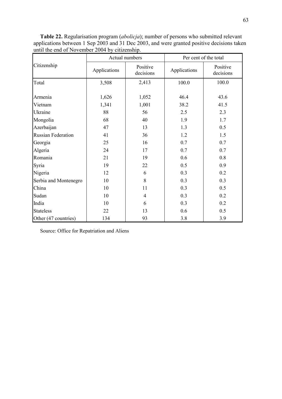Table 22. Regularisation program (*abolicja*); number of persons who submitted relevant applications between 1 Sep 2003 and 31 Dec 2003, and were granted positive decisions taken until the end of November 2004 by citizenship.

|                           |              | Actual numbers        |              | Per cent of the total |  |  |  |
|---------------------------|--------------|-----------------------|--------------|-----------------------|--|--|--|
| Citizenship               | Applications | Positive<br>decisions | Applications | Positive<br>decisions |  |  |  |
| Total                     | 3,508        | 2,413                 | 100.0        | 100.0                 |  |  |  |
| Armenia                   | 1,626        | 1,052                 | 46.4         | 43.6                  |  |  |  |
| Vietnam                   | 1,341        | 1,001                 | 38.2         | 41.5                  |  |  |  |
| Ukraine                   | 88           | 56                    | 2.5          | 2.3                   |  |  |  |
| Mongolia                  | 68           | 40                    | 1.9          | 1.7                   |  |  |  |
| Azerbaijan                | 47           | 13                    | 1.3          | 0.5                   |  |  |  |
| <b>Russian Federation</b> | 41           | 36                    | 1.2          | 1.5                   |  |  |  |
| Georgia                   | 25           | 16                    | 0.7          | 0.7                   |  |  |  |
| Algeria                   | 24           | 17                    | 0.7          | 0.7                   |  |  |  |
| Romania                   | 21           | 19                    | 0.6          | 0.8                   |  |  |  |
| Syria                     | 19           | 22                    | 0.5          | 0.9                   |  |  |  |
| Nigeria                   | 12           | 6                     | 0.3          | 0.2                   |  |  |  |
| Serbia and Montenegro     | 10           | 8                     | 0.3          | 0.3                   |  |  |  |
| China                     | 10           | 11                    | 0.3          | 0.5                   |  |  |  |
| Sudan                     | 10           | $\overline{4}$        | 0.3          | 0.2                   |  |  |  |
| India                     | 10           | 6                     | 0.3          | 0.2                   |  |  |  |
| <b>Stateless</b>          | 22           | 13                    | 0.6          | 0.5                   |  |  |  |
| Other (47 countries)      | 134          | 93                    | 3.8          | 3.9                   |  |  |  |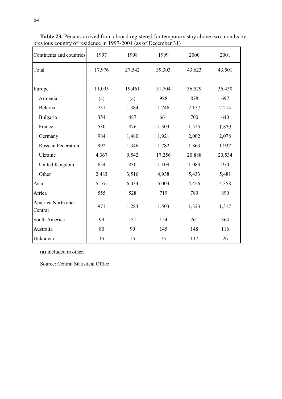| Continents and countries     | 1997   | 1998   | 1999   | 2000   | 2001   |
|------------------------------|--------|--------|--------|--------|--------|
| Total                        | 17,976 | 27,542 | 39,303 | 43,623 | 43,501 |
| Europe                       | 11,095 | 19,461 | 31,704 | 36,529 | 36,430 |
| Armenia                      | (a)    | (a)    | 988    | 878    | 697    |
| <b>Belarus</b>               | 731    | 1,384  | 1,746  | 2,157  | 2,214  |
| Bulgaria                     | 354    | 487    | 661    | 700    | 640    |
| France                       | 530    | 876    | 1,303  | 1,525  | 1,879  |
| Germany                      | 984    | 1,480  | 1,921  | 2,002  | 2,078  |
| <b>Russian Federation</b>    | 992    | 1,346  | 1,782  | 1,863  | 1,937  |
| Ukraine                      | 4,367  | 9,542  | 17,256 | 20,888 | 20,534 |
| United Kingdom               | 654    | 830    | 1,109  | 1,083  | 970    |
| Other                        | 2,483  | 3,516  | 4,938  | 5,433  | 5,481  |
| Asia                         | 5,161  | 6,034  | 5,003  | 4,456  | 4,358  |
| Africa                       | 555    | 528    | 719    | 789    | 890    |
| America North and<br>Central | 971    | 1,283  | 1,503  | 1,323  | 1,317  |
| South America                | 99     | 131    | 154    | 261    | 364    |
| Australia                    | 80     | 90     | 145    | 148    | 116    |
| Unknown                      | 15     | 15     | 75     | 117    | 26     |

Table 23. Persons arrived from abroad registered for temporary stay above two months by previous country of residence in 1997-2001 (as of December 31)

(a) Included in other.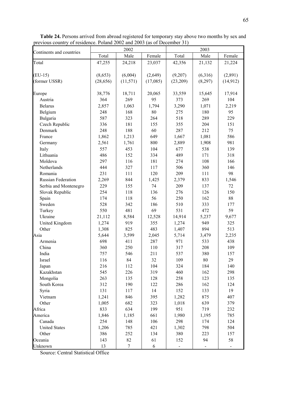|                           |           | 2002      |          |          | 2003    |           |
|---------------------------|-----------|-----------|----------|----------|---------|-----------|
| Continents and countries  | Total     | Male      | Female   | Total    | Male    | Female    |
| Total                     | 47,255    | 24,218    | 23,037   | 42,356   | 21,132  | 21,224    |
|                           |           |           |          |          |         |           |
| $(EU-15)$                 | (8,653)   | (6,004)   | (2,649)  | (9,207)  | (6,316) | (2,891)   |
| (former USSR)             | (28, 656) | (11, 571) | (17,085) | (23,209) | (8,297) | (14, 912) |
|                           |           |           |          |          |         |           |
| Europe                    | 38,776    | 18,711    | 20,065   | 33,559   | 15,645  | 17,914    |
| Austria                   | 364       | 269       | 95       | 373      | 269     | 104       |
| <b>Belarus</b>            | 2,857     | 1,063     | 1,794    | 3,290    | 1,071   | 2,219     |
| Belgium                   | 248       | 168       | 80       | 275      | 180     | 95        |
| Bulgaria                  | 587       | 323       | 264      | 518      | 289     | 229       |
| Czech Republic            | 336       | 181       | 155      | 355      | 204     | 151       |
| Denmark                   | 248       | 188       | 60       | 287      | 212     | 75        |
| France                    | 1,862     | 1,213     | 649      | 1,667    | 1,081   | 586       |
| Germany                   | 2,561     | 1,761     | 800      | 2,889    | 1,908   | 981       |
| Italy                     | 557       | 453       | 104      | 677      | 538     | 139       |
| Lithuania                 | 486       | 152       | 334      | 489      | 171     | 318       |
| Moldova                   | 297       | 116       | 181      | 274      | 108     | 166       |
| Netherlands               | 444       | 327       | 117      | 506      | 360     | 146       |
| Romania                   | 231       | 111       | 120      | 209      | 111     | 98        |
| <b>Russian Federation</b> | 2,269     | 844       | 1,425    | 2,379    | 833     | 1,546     |
| Serbia and Montenegro     | 229       | 155       | 74       | 209      | 137     | 72        |
| Slovak Republic           | 254       | 118       | 136      | 276      | 126     | 150       |
| Spain                     | 174       | 118       | 56       | 250      | 162     | $88\,$    |
| Sweden                    | 528       | 342       | 186      | 510      | 333     | 177       |
| Turkey                    | 550       | 481       | 69       | 531      | 472     | 59        |
| Ukraine                   | 21,112    | 8,584     | 12,528   | 14,914   | 5,237   | 9,677     |
| United Kingdom            | 1,274     | 919       | 355      | 1,274    | 949     | 325       |
| Other                     | 1,308     | 825       | 483      | 1,407    | 894     | 513       |
| Asia                      | 5,644     | 3,599     | 2,045    | 5,714    | 3,479   | 2,235     |
| Armenia                   | 698       | 411       | 287      | 971      | 533     | 438       |
| China                     | 360       | 250       | 110      | 317      | 208     | 109       |
| India                     | 757       | 546       | 211      | 537      | 380     | 157       |
| Israel                    | 116       | 84        | 32       | 109      | 80      | 29        |
| Japan                     | 216       | 112       | 104      | 324      | 184     | 140       |
| Kazakhstan                | 545       | 226       | 319      | 460      | 162     | 298       |
| Mongolia                  | 263       | 135       | 128      | 258      | 123     | 135       |
| South Korea               | 312       | 190       | 122      | 286      | 162     | 124       |
| Syria                     | 131       | 117       | 14       | 152      | 133     | 19        |
| Vietnam                   | 1,241     | 846       | 395      | 1,282    | 875     | 407       |
| Other                     | 1,005     | 682       | 323      | 1,018    | 639     | 379       |
| Africa                    | 833       | 634       | 199      | 951      | 719     | 232       |
| America                   | 1,846     | 1,185     | 661      | 1,980    | 1,195   | 785       |
| Canada                    | 254       | 148       | 106      | 298      | 174     | 124       |
| <b>United States</b>      | 1,206     | 785       | 421      | 1,302    | 798     | 504       |
| Other                     | 386       | 252       | 134      | 380      | 223     | 157       |
| Oceania                   | 143       | 82        | 61       | 152      | 94      | 58        |
| Unknown                   | 13        | $\tau$    | 6        |          |         |           |

Table 24. Persons arrived from abroad registered for temporary stay above two months by sex and previous country of residence. Poland 2002 and 2003 (as of December 31)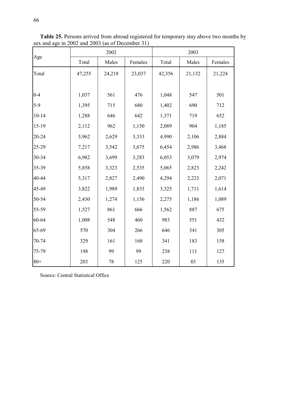|           |        | 2002   |         |        | 2003   |         |  |  |  |
|-----------|--------|--------|---------|--------|--------|---------|--|--|--|
| Age       | Total  | Males  | Females | Total  | Males  | Females |  |  |  |
| Total     | 47,255 | 24,218 | 23,037  | 42,356 | 21,132 | 21,224  |  |  |  |
|           |        |        |         |        |        |         |  |  |  |
| $0 - 4$   | 1,037  | 561    | 476     | 1,048  | 547    | 501     |  |  |  |
| $5-9$     | 1,395  | 715    | 680     | 1,402  | 690    | 712     |  |  |  |
| $10 - 14$ | 1,288  | 646    | 642     | 1,371  | 719    | 652     |  |  |  |
| 15-19     | 2,112  | 962    | 1,150   | 2,089  | 904    | 1,185   |  |  |  |
| 20-24     | 5,962  | 2,629  | 3,333   | 4,990  | 2,106  | 2,884   |  |  |  |
| 25-29     | 7,217  | 3,542  | 3,675   | 6,454  | 2,986  | 3,468   |  |  |  |
| 30-34     | 6,982  | 3,699  | 3,283   | 6,053  | 3,079  | 2,974   |  |  |  |
| 35-39     | 5,858  | 3,323  | 2,535   | 5,065  | 2,823  | 2,242   |  |  |  |
| 40-44     | 5,317  | 2,827  | 2,490   | 4,294  | 2,223  | 2,071   |  |  |  |
| 45-49     | 3,822  | 1,989  | 1,833   | 3,325  | 1,711  | 1,614   |  |  |  |
| 50-54     | 2,430  | 1,274  | 1,156   | 2,275  | 1,186  | 1,089   |  |  |  |
| 55-59     | 1,527  | 861    | 666     | 1,562  | 887    | 675     |  |  |  |
| 60-64     | 1,008  | 548    | 460     | 983    | 551    | 432     |  |  |  |
| 65-69     | 570    | 304    | 266     | 646    | 341    | 305     |  |  |  |
| 70-74     | 329    | 161    | 168     | 341    | 183    | 158     |  |  |  |
| 75-79     | 198    | 99     | 99      | 238    | 111    | 127     |  |  |  |
| $80 +$    | 203    | 78     | 125     | 220    | 85     | 135     |  |  |  |

Table 25. Persons arrived from abroad registered for temporary stay above two months by sex and age in 2002 and 2003 (as of December 31)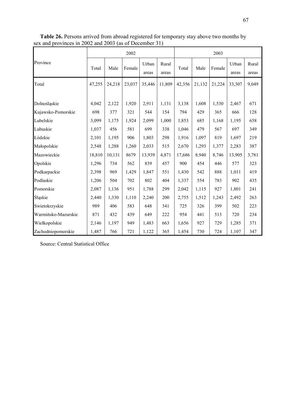|                     | 2002   |        |        |                |                |        | 2003   |        |                |                |  |
|---------------------|--------|--------|--------|----------------|----------------|--------|--------|--------|----------------|----------------|--|
| Province            | Total  | Male   | Female | Urban<br>areas | Rural<br>areas | Total  | Male   | Female | Urban<br>areas | Rural<br>areas |  |
| Total               | 47,255 | 24,218 | 23,037 | 35,446         | 11,809         | 42,356 | 21,132 | 21,224 | 33,307         | 9,049          |  |
| Dolnośląskie        | 4,042  | 2,122  | 1,920  | 2,911          | 1,131          | 3,138  | 1,608  | 1,530  | 2,467          | 671            |  |
| Kujawsko-Pomorskie  | 698    | 377    | 321    | 544            | 154            | 794    | 429    | 365    | 666            | 128            |  |
| Lubelskie           | 3,099  | 1,175  | 1,924  | 2,099          | 1,000          | 1,853  | 685    | 1,168  | 1,195          | 658            |  |
| Lubuskie            | 1,037  | 456    | 581    | 699            | 338            | 1,046  | 479    | 567    | 697            | 349            |  |
| Łódzkie             | 2,101  | 1,195  | 906    | 1,803          | 298            | 1,916  | 1,097  | 819    | 1,697          | 219            |  |
| Małopolskie         | 2,548  | 1,288  | 1,260  | 2,033          | 515            | 2,670  | 1,293  | 1,377  | 2,283          | 387            |  |
| Mazowieckie         | 18,810 | 10,131 | 8679   | 13,939         | 4,871          | 17,686 | 8,940  | 8,746  | 13,905         | 3,781          |  |
| Opolskie            | 1,296  | 734    | 562    | 839            | 457            | 900    | 454    | 446    | 577            | 323            |  |
| Podkarpackie        | 2,398  | 969    | 1,429  | 1,847          | 551            | 1,430  | 542    | 888    | 1,011          | 419            |  |
| Podlaskie           | 1,206  | 504    | 702    | 802            | 404            | 1,337  | 554    | 783    | 902            | 435            |  |
| Pomorskie           | 2,087  | 1,136  | 951    | 1,788          | 299            | 2,042  | 1,115  | 927    | 1,801          | 241            |  |
| Śląskie             | 2,440  | 1,330  | 1,110  | 2,240          | 200            | 2,755  | 1,512  | 1,243  | 2,492          | 263            |  |
| Swietokrzyskie      | 989    | 406    | 583    | 648            | 341            | 725    | 326    | 399    | 502            | 223            |  |
| Warmińsko-Mazurskie | 871    | 432    | 439    | 649            | 222            | 954    | 441    | 513    | 720            | 234            |  |
| Wielkopolskie       | 2,146  | 1,197  | 949    | 1,483          | 663            | 1,656  | 927    | 729    | 1,285          | 371            |  |
| Zachodniopomorskie  | 1,487  | 766    | 721    | 1,122          | 365            | 1,454  | 730    | 724    | 1,107          | 347            |  |

Table 26. Persons arrived from abroad registered for temporary stay above two months by sex and provinces in 2002 and 2003 (as of December 31)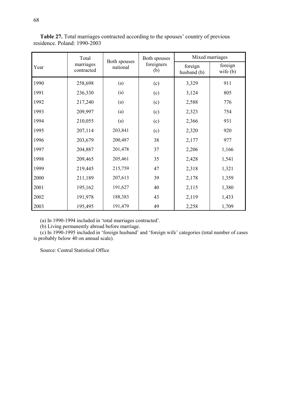|      | Total                   | Both spouses | Both spouses      |                        | Mixed marriages       |  |  |  |
|------|-------------------------|--------------|-------------------|------------------------|-----------------------|--|--|--|
| Year | marriages<br>contracted | national     | foreigners<br>(b) | foreign<br>husband (b) | foreign<br>wife $(b)$ |  |  |  |
| 1990 | 258,698                 | (a)          | (c)               | 3,329                  | 911                   |  |  |  |
| 1991 | 236,330                 | (a)          | (c)               | 3,124                  | 805                   |  |  |  |
| 1992 | 217,240                 | (a)          | (c)               | 2,588                  | 776                   |  |  |  |
| 1993 | 209,997                 | (a)          | (c)               | 2,323                  | 754                   |  |  |  |
| 1994 | 210,055                 | (a)          | (c)               | 2,366                  | 931                   |  |  |  |
| 1995 | 207,114                 | 203,841      | (c)               | 2,320                  | 920                   |  |  |  |
| 1996 | 203,679                 | 200,487      | 38                | 2,177                  | 977                   |  |  |  |
| 1997 | 204,887                 | 201,478      | 37                | 2,206                  | 1,166                 |  |  |  |
| 1998 | 209,465                 | 205,461      | 35                | 2,428                  | 1,541                 |  |  |  |
| 1999 | 219,445                 | 215,759      | 47                | 2,318                  | 1,321                 |  |  |  |
| 2000 | 211,189                 | 207,613      | 39                | 2,178                  | 1,359                 |  |  |  |
| 2001 | 195,162                 | 191,627      | 40                | 2,115                  | 1,380                 |  |  |  |
| 2002 | 191,978                 | 188,383      | 43                | 2,119                  | 1,433                 |  |  |  |
| 2003 | 195,495                 | 191,479      | 49                | 2,258                  | 1,709                 |  |  |  |

Table 27. Total marriages contracted according to the spouses' country of previous residence. Poland: 1990-2003

(a) In 1990-1994 included in 'total marriages contracted'.

(b) Living permanently abroad before marriage.

(c) In 1990-1995 included in 'foreign husband' and 'foreign wife' categories (total number of cases is probably below 40 on annual scale).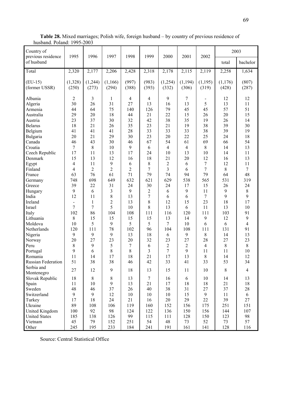| Country of<br>previous residence                                                                                                                                     | 1995                                                                                                                     | 1996                                                                                           | 1997                                                                          | 1998                                                                          | 1999                                                                          | 2000                                                                                                             | 2001                                                                         | 2002                                                                                               | 2003                                                                            |                                                                                      |
|----------------------------------------------------------------------------------------------------------------------------------------------------------------------|--------------------------------------------------------------------------------------------------------------------------|------------------------------------------------------------------------------------------------|-------------------------------------------------------------------------------|-------------------------------------------------------------------------------|-------------------------------------------------------------------------------|------------------------------------------------------------------------------------------------------------------|------------------------------------------------------------------------------|----------------------------------------------------------------------------------------------------|---------------------------------------------------------------------------------|--------------------------------------------------------------------------------------|
| of husband                                                                                                                                                           |                                                                                                                          |                                                                                                |                                                                               |                                                                               |                                                                               |                                                                                                                  |                                                                              |                                                                                                    | total                                                                           | bachelor                                                                             |
| Total                                                                                                                                                                | 2,320                                                                                                                    | 2,177                                                                                          | 2,206                                                                         | 2,428                                                                         | 2,318                                                                         | 2,178                                                                                                            | 2,115                                                                        | 2,119                                                                                              | 2,258                                                                           | 1,634                                                                                |
| $(EU-15)$<br>(former USSR)                                                                                                                                           | (1,328)<br>(250)                                                                                                         | (1,244)<br>(273)                                                                               | (1,166)<br>(294)                                                              | (997)<br>(388)                                                                | (983)<br>(393)                                                                | (1,254)<br>(332)                                                                                                 | (1, 194)<br>(306)                                                            | (1, 195)<br>(319)                                                                                  | (1,176)<br>(428)                                                                | (807)<br>(287)                                                                       |
| Albania<br>Algeria<br>Armenia<br>Australia<br>Austria<br><b>Belarus</b><br>Belgium<br>Bulgaria<br>Canada<br>Croatia<br>Czech Republic<br>Denmark<br>Egypt<br>Finland | $\overline{2}$<br>30<br>44<br>29<br>23<br>18<br>41<br>20<br>46<br>$\tau$<br>17<br>15<br>$\overline{4}$<br>$\overline{4}$ | 3<br>26<br>64<br>20<br>37<br>21<br>41<br>21<br>43<br>$8\,$<br>11<br>13<br>11<br>$\overline{2}$ | 1<br>31<br>75<br>18<br>30<br>26<br>41<br>29<br>30<br>10<br>13<br>12<br>9<br>2 | 4<br>27<br>140<br>44<br>32<br>35<br>28<br>30<br>46<br>9<br>17<br>16<br>6<br>2 | 4<br>13<br>126<br>21<br>42<br>23<br>33<br>23<br>67<br>6<br>24<br>18<br>8<br>7 | 9<br>16<br>79<br>22<br>38<br>21<br>33<br>20<br>54<br>$\overline{\mathcal{A}}$<br>10<br>21<br>$\overline{2}$<br>3 | 7<br>13<br>45<br>15<br>35<br>19<br>33<br>22<br>61<br>4<br>13<br>20<br>6<br>6 | $\overline{\phantom{a}}$<br>5<br>45<br>26<br>19<br>38<br>38<br>25<br>69<br>8<br>10<br>12<br>7<br>7 | 12<br>13<br>57<br>20<br>26<br>39<br>39<br>24<br>66<br>14<br>14<br>16<br>12<br>8 | 12<br>11<br>51<br>15<br>14<br>30<br>19<br>18<br>54<br>13<br>11<br>13<br>11<br>$\tau$ |
| France<br>Germany<br>Greece<br>Hungary                                                                                                                               | 63<br>748<br>39<br>9                                                                                                     | 76<br>698<br>22<br>6                                                                           | 61<br>649<br>31<br>3                                                          | 71<br>632<br>24<br>9                                                          | 79<br>621<br>30<br>$\overline{2}$                                             | 74<br>629<br>24<br>6                                                                                             | 94<br>538<br>17<br>9                                                         | 79<br>565<br>15<br>11                                                                              | 64<br>531<br>26<br>$\mathbf{9}$                                                 | 48<br>319<br>24<br>8                                                                 |
| India<br>Ireland<br>Israel<br>Italy<br>Lithuania                                                                                                                     | 12<br>$\overline{\phantom{a}}$<br>7<br>102<br>8                                                                          | 11<br>$\mathbf{1}$<br>$\overline{7}$<br>86<br>15                                               | $\,$ $\,$<br>$\overline{c}$<br>5<br>104<br>15                                 | 13<br>13<br>10<br>108<br>15                                                   | 7<br>8<br>8<br>111<br>15                                                      | 6<br>12<br>13<br>116<br>13                                                                                       | 6<br>15<br>6<br>120<br>14                                                    | 7<br>23<br>11<br>111<br>9                                                                          | 9<br>18<br>13<br>103<br>12                                                      | 9<br>17<br>10<br>91<br>9                                                             |
| Moldova<br>Netherlands<br>Nigeria<br>Norway<br>Peru<br>Portugal                                                                                                      | 10<br>120<br>9<br>20<br>$\,$ 8 $\,$<br>9                                                                                 | 5<br>111<br>9<br>27<br>9<br>6                                                                  | 9<br>78<br>9<br>23<br>5<br>8                                                  | 5<br>102<br>13<br>20<br>7<br>8                                                | 5<br>96<br>18<br>32<br>6<br>3                                                 | 7<br>104<br>6<br>23<br>$\overline{2}$<br>7                                                                       | 10<br>108<br>9<br>27<br>$\overline{2}$<br>9                                  | 6<br>111<br>8<br>28<br>4<br>11                                                                     | 6<br>131<br>14<br>27<br>8<br>11                                                 | $\overline{4}$<br>91<br>13<br>23<br>8<br>10                                          |
| Romania<br>Russian Federation<br>Serbia and                                                                                                                          | 11<br>51                                                                                                                 | 14<br>38                                                                                       | 17<br>38                                                                      | 18<br>46                                                                      | 21<br>42                                                                      | 17<br>33                                                                                                         | 13<br>41                                                                     | 8<br>33                                                                                            | 14<br>53                                                                        | 12<br>34                                                                             |
| Montenegro                                                                                                                                                           | 27                                                                                                                       | 12<br>$\,8\,$                                                                                  | 9                                                                             | 18                                                                            | 13                                                                            | 15<br>16                                                                                                         | 11                                                                           | 10<br>10                                                                                           | $8\,$                                                                           | $\overline{4}$                                                                       |
| Slovak Republic<br>Spain<br>Sweden<br>Switzerland                                                                                                                    | 18<br>11<br>48<br>$\boldsymbol{9}$<br>17                                                                                 | 10<br>46<br>$\boldsymbol{9}$<br>18                                                             | 8<br>9<br>37<br>12<br>24                                                      | 13<br>13<br>26<br>10<br>21                                                    | $\tau$<br>21<br>40<br>10<br>16                                                | 17<br>38<br>10<br>20                                                                                             | 6<br>18<br>31<br>15<br>29                                                    | 18<br>27<br>$\boldsymbol{9}$<br>22                                                                 | 14<br>21<br>37<br>11<br>39                                                      | 13<br>18<br>$28\,$<br>6<br>27                                                        |
| Turkey<br>Ukraine<br>United Kingdom<br><b>United States</b><br>Vietnam<br>Other                                                                                      | 89<br>100<br>185<br>45<br>245                                                                                            | 108<br>92<br>138<br>79<br>195                                                                  | 106<br>98<br>126<br>152<br>233                                                | 119<br>124<br>99<br>251<br>184                                                | 160<br>122<br>115<br>54<br>241                                                | 152<br>136<br>111<br>48<br>191                                                                                   | 156<br>150<br>128<br>73<br>161                                               | 175<br>156<br>150<br>52<br>141                                                                     | 251<br>144<br>123<br>73<br>128                                                  | 151<br>107<br>98<br>57<br>116                                                        |

Table 28. Mixed marriages; Polish wife, foreign husband – by country of previous residence of husband. Poland: 1995-2003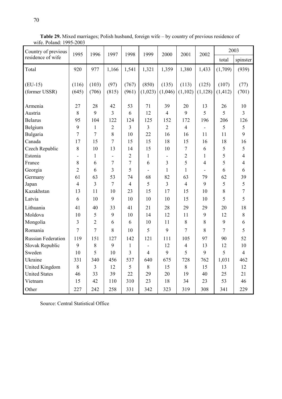| Country of previous       | 1995           | 1996           | 1997                     | 1998           | 1999                     | 2000           | 2001           | 2002           | 2003     |                  |
|---------------------------|----------------|----------------|--------------------------|----------------|--------------------------|----------------|----------------|----------------|----------|------------------|
| residence of wife         |                |                |                          |                |                          |                |                |                | total    | spinster         |
| Total                     | 920            | 977            | 1,166                    | 1,541          | 1,321                    | 1,359          | 1,380          | 1,433          | (1,709)  | (939)            |
|                           |                |                |                          |                |                          |                |                |                |          |                  |
| $(EU-15)$                 | (116)          | (103)          | (97)                     | (767)          | (850)                    | (135)          | (113)          | (125)          | (107)    | (77)             |
| (former USSR)             | (645)          | (706)          | (815)                    | (961)          | (1,023)                  | (1,046)        | (1,102)        | (1, 128)       | (1, 412) | (701)            |
| Armenia                   | 27             | 28             | 42                       | 53             | 71                       | 39             | 20             | 13             | 26       | 10               |
| Austria                   | 8              | 9              | 3                        | 6              | 12                       | $\overline{4}$ | 9              | 5              | 5        | $\overline{3}$   |
| <b>Belarus</b>            | 95             | 104            | 122                      | 124            | 125                      | 152            | 172            | 196            | 206      | 126              |
| Belgium                   | 9              | $\mathbf{1}$   | $\overline{2}$           | 3              | 3                        | $\overline{2}$ | $\overline{4}$ |                | 5        | 5                |
| Bulgaria                  | 7              | 7              | 8                        | 10             | 22                       | 16             | 16             | 11             | 11       | 9                |
| Canada                    | 17             | 15             | 7                        | 15             | 15                       | 18             | 15             | 16             | 18       | 16               |
| Czech Republic            | 8              | 10             | 13                       | 14             | 15                       | 10             | 7              | 6              | 5        | 5                |
| Estonia                   |                | $\mathbf{1}$   | $\overline{\phantom{a}}$ | $\overline{2}$ | $\mathbf{1}$             |                | $\overline{2}$ | 1              | 5        | $\overline{4}$   |
| France                    | 8              | 6              | 7                        | 7              | 6                        | 3              | 5              | $\overline{4}$ | 5        | $\overline{4}$   |
| Georgia                   | $\overline{2}$ | 6              | 3                        | 5              | $\overline{\phantom{0}}$ | 1              | $\mathbf{1}$   | ۰              | 6        | 6                |
| Germany                   | 61             | 63             | 53                       | 74             | 68                       | 82             | 63             | 79             | 62       | 39               |
| Japan                     | $\overline{4}$ | $\overline{3}$ | 7                        | $\overline{4}$ | 5                        | 3              | $\overline{4}$ | 9              | 5        | 5                |
| Kazakhstan                | 13             | 11             | 10                       | 23             | 15                       | 17             | 15             | 10             | 8        | $\boldsymbol{7}$ |
| Latvia                    | 6              | 10             | 9                        | 10             | 10                       | 10             | 15             | 10             | 5        | 5                |
| Lithuania                 | 41             | 40             | 33                       | 41             | 21                       | 28             | 29             | 29             | 20       | 18               |
| Moldova                   | 10             | 5              | 9                        | 10             | 14                       | 12             | 11             | 9              | 12       | $\,8\,$          |
| Mongolia                  | 3              | $\overline{2}$ | 6                        | 6              | 10                       | 11             | 8              | 8              | 9        | 6                |
| Romania                   | 7              | $\overline{7}$ | 8                        | 10             | 5                        | 9              | 7              | 8              | 7        | 5                |
| <b>Russian Federation</b> | 119            | 151            | 127                      | 142            | 121                      | 111            | 105            | 97             | 90       | 52               |
| Slovak Republic           | 9              | 8              | 9                        | $\mathbf{1}$   |                          | 12             | $\overline{4}$ | 13             | 12       | 10               |
| Sweden                    | 10             | 5              | 10                       | 3              | 4                        | 9              | 5              | 9              | 5        | $\overline{4}$   |
| Ukraine                   | 331            | 340            | 456                      | 537            | 640                      | 675            | 728            | 762            | 1,031    | 462              |
| United Kingdom            | 8              | $\overline{3}$ | 12                       | 5              | $8\,$                    | 15             | 8              | 15             | 13       | 12               |
| <b>United States</b>      | 46             | 33             | 39                       | 22             | 29                       | 20             | 19             | 40             | 25       | 21               |
| Vietnam                   | 15             | 42             | 110                      | 310            | 23                       | 18             | 34             | 23             | 53       | 46               |
| Other                     | 227            | 242            | 258                      | 331            | 342                      | 323            | 319            | 308            | 341      | 229              |

Table 29. Mixed marriages; Polish husband, foreign wife – by country of previous residence of wife. Poland: 1995-2003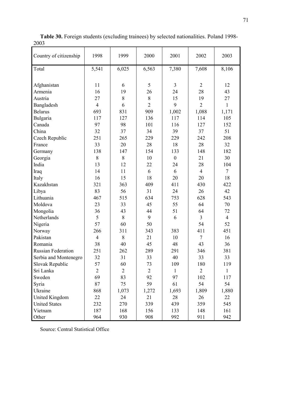| Country of citizenship    | 1998           | 1999           | 2000           | 2001             | 2002           | 2003           |
|---------------------------|----------------|----------------|----------------|------------------|----------------|----------------|
| Total                     | 5,541          | 6,025          | 6,563          | 7,380            | 7,608          | 8,106          |
|                           |                |                |                |                  |                |                |
| Afghanistan               | 11             | 6              | 5              | $\overline{3}$   | $\overline{2}$ | 12             |
| Armenia                   | 16             | 19             | 26             | 24               | 28             | 43             |
| Austria                   | 27             | 8              | $\,$ $\,$      | 15               | 19             | 27             |
| Bangladesh                | $\overline{4}$ | 6              | $\overline{2}$ | 9                | $\overline{2}$ | $\mathbf{1}$   |
| <b>Belarus</b>            | 693            | 831            | 909            | 1,002            | 1,088          | 1,171          |
| Bulgaria                  | 117            | 127            | 136            | 117              | 114            | 105            |
| Canada                    | 97             | 98             | 101            | 116              | 127            | 152            |
| China                     | 32             | 37             | 34             | 39               | 37             | 51             |
| Czech Republic            | 251            | 265            | 229            | 229              | 242            | 208            |
| France                    | 33             | 20             | 28             | 18               | 28             | 32             |
| Germany                   | 138            | 147            | 154            | 133              | 148            | 182            |
| Georgia                   | 8              | 8              | 10             | $\boldsymbol{0}$ | 21             | 30             |
| India                     | 13             | 12             | 22             | 24               | 28             | 104            |
| Iraq                      | 14             | 11             | 6              | 6                | $\overline{4}$ | $\tau$         |
| Italy                     | 16             | 15             | 18             | 20               | 20             | 18             |
| Kazakhstan                | 321            | 363            | 409            | 411              | 430            | 422            |
| Libya                     | 83             | 56             | 31             | 24               | 26             | 42             |
| Lithuania                 | 467            | 515            | 634            | 753              | 628            | 543            |
| Moldova                   | 23             | 33             | 45             | 55               | 64             | 70             |
| Mongolia                  | 36             | 43             | 44             | 51               | 64             | 72             |
| Netherlands               | 5              | 8              | 9              | 6                | $\overline{3}$ | $\overline{4}$ |
| Nigeria                   | 57             | 60             | 50             |                  | 54             | 52             |
| Norway                    | 266            | 311            | 343            | 383              | 411            | 451            |
| Pakistan                  | $\overline{4}$ | 8              | 21             | 10               | $\overline{7}$ | 16             |
| Romania                   | 38             | 40             | 45             | 48               | 43             | 36             |
| <b>Russian Federation</b> | 251            | 262            | 289            | 291              | 346            | 381            |
| Serbia and Montenegro     | 32             | 31             | 33             | 40               | 33             | 33             |
| Slovak Republic           | 57             | 60             | 73             | 109              | 180            | 119            |
| Sri Lanka                 | $\overline{2}$ | $\overline{2}$ | $\overline{2}$ | 1                | $\overline{2}$ | 1              |
| Sweden                    | 69             | 83             | 92             | 97               | 102            | 117            |
| Syria                     | 87             | 75             | 59             | 61               | 54             | 54             |
| Ukraine                   | 868            | 1,073          | 1,272          | 1,693            | 1,809          | 1,880          |
| <b>United Kingdom</b>     | 22             | 24             | 21             | 28               | 26             | 22             |
| <b>United States</b>      | 232            | 270            | 339            | 439              | 359            | 545            |
| Vietnam                   | 187            | 168            | 156            | 133              | 148            | 161            |
| Other                     | 964            | 930            | 908            | 992              | 911            | 942            |

Table 30. Foreign students (excluding trainees) by selected nationalities. Poland 1998- 2003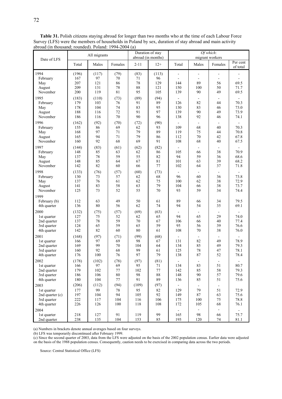|                                                                      |                                       | All migrants                      |                                      |                                  | Duration of stay<br>abroad (in months)      |                                                      | migrant workers                                     | Of which:                                          |                                        |
|----------------------------------------------------------------------|---------------------------------------|-----------------------------------|--------------------------------------|----------------------------------|---------------------------------------------|------------------------------------------------------|-----------------------------------------------------|----------------------------------------------------|----------------------------------------|
| Date of LFS                                                          | Total                                 | Males                             | Females                              | $2 - 11$                         | $12+$                                       | Total                                                | Males                                               | Females                                            | Per cent<br>of total                   |
| 1994<br>February<br>May<br>August<br>November                        | (196)<br>167<br>207<br>209<br>200     | (117)<br>97<br>121<br>131<br>119  | (79)<br>70<br>86<br>78<br>81         | (83)<br>71<br>78<br>88<br>95     | (113)<br>96<br>129<br>121<br>105            | ÷,<br>٠<br>144<br>150<br>139                         | $\overline{a}$<br>$\blacksquare$<br>89<br>100<br>90 | $\blacksquare$<br>$\blacksquare$<br>56<br>50<br>49 | $\frac{1}{2}$<br>69.5<br>71.7<br>69.5  |
| 1995<br>February<br>May<br>August<br>November                        | (183)<br>179<br>178<br>188<br>186     | (110)<br>103<br>104<br>116<br>116 | (73)<br>76<br>74<br>72<br>70         | (89)<br>91<br>83<br>91<br>90     | (94)<br>89<br>95<br>97<br>96                | 126<br>130<br>139<br>138                             | 82<br>83<br>90<br>92                                | 44<br>46<br>49<br>46                               | 70.3<br>73.0<br>73.9<br>74.1           |
| 1996<br>February<br>May<br>August<br>November                        | (162)<br>155<br>168<br>165<br>160     | (92)<br>86<br>97<br>94<br>92      | (70)<br>69<br>71<br>71<br>68         | (72)<br>62<br>79<br>79<br>69     | (90)<br>93<br>89<br>86<br>91                | $\blacksquare$<br>109<br>119<br>112<br>108           | $\blacksquare$<br>68<br>75<br>70<br>68              | 40<br>44<br>42<br>40                               | 70.3<br>70.8<br>67.8<br>67.5           |
| 1997<br>February<br>May<br>August<br>November                        | (144)<br>148<br>137<br>148<br>142     | (83)<br>85<br>78<br>85<br>82      | (61)<br>63<br>59<br>64<br>60         | (62)<br>62<br>55<br>67<br>66     | (82)<br>86<br>82<br>81<br>77                | 105<br>94<br>101<br>102                              | $\blacksquare$<br>66<br>59<br>63<br>64              | 38<br>36<br>39<br>37                               | 70.9<br>68.6<br>68.2<br>71.8           |
| 1998<br>February<br>May<br>August<br>November                        | (133)<br>130<br>137<br>141<br>125     | (76)<br>73<br>76<br>83<br>73      | (57)<br>57<br>61<br>58<br>52         | (60)<br>62<br>62<br>63<br>55     | (73)<br>68<br>75<br>79<br>70                | 96<br>100<br>104<br>93                               | 60<br>62<br>66<br>59                                | 36<br>38<br>38<br>34                               | 73.8<br>72.9<br>73.7<br>74.4           |
| 1999<br>February (b)<br>4th quarter                                  | 112<br>136                            | 63<br>80                          | 49<br>56                             | 50<br>62                         | 61<br>74                                    | 89<br>94                                             | 66<br>54                                            | 34<br>35                                           | 79.5<br>69.1                           |
| 2000<br>1st quarter<br>2nd quarter<br>3rd quarter<br>4th quarter     | (132)<br>127<br>137<br>124<br>142     | (75)<br>75<br>78<br>65<br>82      | (57)<br>52<br>59<br>59<br>60         | (69)<br>62<br>70<br>65<br>80     | (63)<br>65<br>67<br>59<br>61                | 94<br>106<br>95<br>108                               | $\blacksquare$<br>65<br>66<br>56<br>70              | 29<br>40<br>39<br>38                               | 74.0<br>77.4<br>76.6<br>76.0           |
| 2001<br>1st quarter<br>2nd quarter<br>3rd quarter<br>4th quarter     | (168)<br>166<br>169<br>160<br>176     | (97)<br>97<br>99<br>92<br>100     | (71)<br>69<br>$70\,$<br>68<br>76     | (99)<br>98<br>104<br>99<br>97    | (68)<br>67<br>64<br>61<br>79                | $\overline{\phantom{a}}$<br>131<br>134<br>125<br>138 | $\blacksquare$<br>82<br>85<br>78<br>87              | $\overline{\phantom{a}}$<br>49<br>49<br>47<br>52   | $\sim$<br>78.9<br>79.3<br>78.1<br>78.4 |
| 2002<br>1st quarter<br>2nd quarter<br>3rd quarter<br>4th quarter     | (178)<br>166<br>179<br>186<br>180     | (102)<br>97<br>102<br>106<br>104  | (78)<br>69<br>77<br>$80\,$<br>$77\,$ | (97)<br>95<br>102<br>98<br>91    | (81)<br>$71\,$<br>$77 \,$<br>$\bf 88$<br>89 | 134<br>142<br>148<br>136                             | 83<br>85<br>90<br>85                                | 51<br>58<br>57<br>51                               | 80.7<br>79.3<br>79.6<br>75.6           |
| 2003<br>1st quarter<br>2nd quarter (c)<br>3rd quarter<br>4th quarter | (206)<br>177<br>197<br>$222\,$<br>226 | (112)<br>99<br>104<br>117<br>126  | (94)<br>$78\,$<br>94<br>104<br>100   | (109)<br>95<br>105<br>116<br>118 | (97)<br>82<br>92<br>106<br>108              | $\blacksquare$<br>129<br>149<br>175<br>172           | $\blacksquare$<br>79<br>87<br>100<br>105            | $\overline{\phantom{a}}$<br>51<br>63<br>75<br>68   | 72.9<br>75.6<br>78.8<br>76.1           |
| 2004<br>1st quarter<br>2nd quarter                                   | 218<br>238                            | 127<br>135                        | 91<br>104                            | 119<br>153                       | 99<br>85                                    | $\blacksquare$<br>165<br>193                         | $\Box$<br>98<br>120                                 | $\blacksquare$<br>66<br>74                         | $\omega$<br>75.7<br>81.1               |

Table 31. Polish citizens staying abroad for longer than two months who at the time of each Labour Force Survey (LFS) were the members of households in Poland by sex, duration of stay abroad and main activity abroad (in thousand; rounded). Poland: 1994-2004 (a)

(a) Numbers in brackets denote annual averages based on four surveys.

(b) LFS was temporarily discontinued after February 1999.

(c) Since the second quarter of 2003, data from the LFS were adjusted on the basis of the 2002 population census. Earlier data were adjusted on the basis of the 1988 population census. Consequently, caution needs to be exercised in comparing data across the two periods.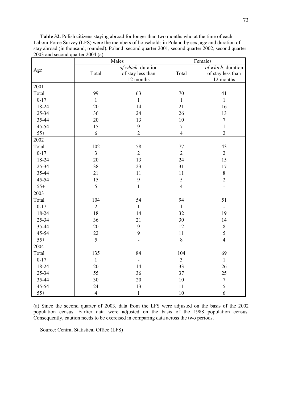Table 32. Polish citizens staying abroad for longer than two months who at the time of each Labour Force Survey (LFS) were the members of households in Poland by sex, age and duration of stay abroad (in thousand; rounded). Poland: second quarter 2001, second quarter 2002, second quarter 2003 and second quarter 2004 (a)

|          |                | Males              |                  | Females                  |
|----------|----------------|--------------------|------------------|--------------------------|
| Age      |                | of which: duration |                  | of which: duration       |
|          | Total          | of stay less than  | Total            | of stay less than        |
|          |                | 12 months          |                  | 12 months                |
| 2001     |                |                    |                  |                          |
| Total    | 99             | 63                 | 70               | 41                       |
| $0 - 17$ | $\mathbf{1}$   | $\mathbf{1}$       | $\mathbf{1}$     | $\mathbf{1}$             |
| 18-24    | 20             | 14                 | 21               | 16                       |
| 25-34    | 36             | 24                 | 26               | 13                       |
| 35-44    | 20             | 13                 | 10               | $\boldsymbol{7}$         |
| 45-54    | 15             | $\boldsymbol{9}$   | $\boldsymbol{7}$ | $\mathbf{1}$             |
| $55+$    | 6              | $\overline{2}$     | $\overline{4}$   | $\sqrt{2}$               |
| 2002     |                |                    |                  |                          |
| Total    | 102            | 58                 | 77               | 43                       |
| $0 - 17$ | $\overline{3}$ | $\overline{2}$     | $\overline{2}$   | $\overline{2}$           |
| 18-24    | 20             | 13                 | 24               | 15                       |
| 25-34    | 38             | 23                 | 31               | 17                       |
| 35-44    | 21             | 11                 | 11               | $\,8\,$                  |
| 45-54    | 15             | $\boldsymbol{9}$   | 5                | $\overline{2}$           |
| $55+$    | 5              | $\mathbf{1}$       | $\overline{4}$   |                          |
| 2003     |                |                    |                  |                          |
| Total    | 104            | 54                 | 94               | 51                       |
| $0 - 17$ | $\overline{2}$ | $\mathbf{1}$       | $\mathbf{1}$     | $\overline{\phantom{a}}$ |
| 18-24    | 18             | 14                 | 32               | 19                       |
| 25-34    | 36             | 21                 | 30               | 14                       |
| 35-44    | 20             | 9                  | 12               | $\,$ $\,$                |
| 45-54    | 22             | 9                  | 11               | 5                        |
| $55+$    | 5              |                    | $\,8\,$          | $\overline{4}$           |
| 2004     |                |                    |                  |                          |
| Total    | 135            | 84                 | 104              | 69                       |
| $0 - 17$ | $\mathbf{1}$   | $\blacksquare$     | $\overline{3}$   | $\mathbf{1}$             |
| 18-24    | 20             | 14                 | 33               | 26                       |
| 25-34    | 55             | 36                 | 37               | 25                       |
| 35-44    | 30             | 20                 | 10               | $\boldsymbol{7}$         |
| 45-54    | 24             | 13                 | 11               | 5                        |
| $55+$    | $\overline{4}$ | $\mathbf{1}$       | 10               | 6                        |

(a) Since the second quarter of 2003, data from the LFS were adjusted on the basis of the 2002 population census. Earlier data were adjusted on the basis of the 1988 population census. Consequently, caution needs to be exercised in comparing data across the two periods.

Source: Central Statistical Office (LFS)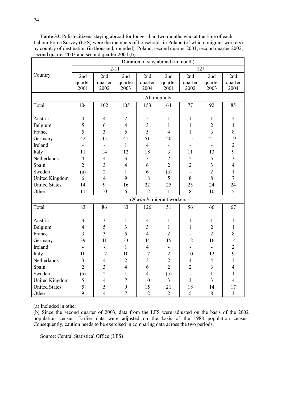Table 33. Polish citizens staying abroad for longer than two months who at the time of each Labour Force Survey (LFS) were the members of households in Poland (of which: migrant workers) by country of destination (in thousand; rounded). Poland: second quarter 2001, second quarter 2002, second quarter 2003 and second quarter 2004 (b)

|                       | Duration of stay abroad (in month) |                |                         |                           |                |                |                         |                |
|-----------------------|------------------------------------|----------------|-------------------------|---------------------------|----------------|----------------|-------------------------|----------------|
|                       |                                    | $2 - 11$       |                         |                           |                |                | $12+$                   |                |
| Country               | 2nd                                | 2nd            | 2nd                     | 2nd                       | 2nd            | 2nd            | 2nd                     | 2nd            |
|                       | quarter                            | quarter        | quarter                 | quarter                   | quarter        | quarter        | quarter                 | quarter        |
|                       | 2001                               | 2002           | 2003                    | 2004                      | 2001           | 2002           | 2003                    | 2004           |
|                       |                                    |                |                         | All migrants              |                |                |                         |                |
| Total                 | 104                                | 102            | 105                     | 153                       | 64             | 77             | 92                      | 85             |
|                       |                                    |                |                         |                           |                |                |                         |                |
| Austria               | $\overline{4}$                     | $\overline{4}$ | $\mathbf{2}$            | 5                         | $\mathbf{1}$   | $\mathbf{1}$   | $\mathbf{1}$            | $\overline{2}$ |
| Belgium               | 5                                  | 6              | $\overline{4}$          | $\overline{3}$            | $\mathbf{1}$   | $\mathbf{1}$   | $\overline{2}$          | $\mathbf{1}$   |
| France                | 5                                  | $\overline{3}$ | 6                       | 5                         | $\overline{4}$ | $\mathbf{1}$   | $\overline{3}$          | 8              |
| Germany               | 42                                 | 45             | 41                      | 51                        | 20             | 15             | 21                      | 19             |
| Ireland               | $\overline{\phantom{0}}$           |                | $\mathbf{1}$            | $\overline{4}$            |                |                |                         | $\overline{2}$ |
| Italy                 | 11                                 | 14             | 12                      | 18                        | 3              | 11             | 13                      | 9              |
| Netherlands           | $\overline{4}$                     | $\overline{4}$ | $\overline{3}$          | 3                         | $\overline{2}$ | 5              | 5                       | $\overline{3}$ |
| Spain                 | $\overline{2}$                     | 3              | $\overline{4}$          | 6                         | $\overline{2}$ | $\overline{2}$ | $\overline{\mathbf{3}}$ | $\overline{4}$ |
| Sweden                | (a)                                | $\overline{2}$ | 1                       | 6                         | (a)            |                | $\overline{2}$          | $\mathbf{1}$   |
| <b>United Kingdom</b> | 6                                  | $\overline{4}$ | 9                       | 18                        | 5              | 8              | 8                       | $\overline{7}$ |
| <b>United States</b>  | 14                                 | 9              | 16                      | 22                        | 25             | 25             | 24                      | 24             |
| Other                 | 11                                 | 10             | 6                       | 12                        | $\mathbf{1}$   | 8              | 10                      | 5              |
|                       |                                    |                |                         | Of which: migrant workers |                |                |                         |                |
| Total                 | 83                                 | 86             | 83                      | 126                       | 51             | 56             | 66                      | 67             |
|                       |                                    |                |                         |                           |                |                |                         |                |
| Austria               | $\mathfrak{Z}$                     | $\mathfrak{Z}$ | $\mathbf{1}$            | $\overline{4}$            | $\mathbf{1}$   | 1              | 1                       | $\mathbf{1}$   |
| Belgium               | $\overline{4}$                     | 5              | $\overline{\mathbf{3}}$ | $\overline{3}$            | $\mathbf{1}$   | $\mathbf{1}$   | $\overline{2}$          | $\mathbf{1}$   |
| France                | $\overline{3}$                     | $\overline{3}$ | 5                       | $\overline{4}$            | $\overline{2}$ |                | $\overline{2}$          | 8              |
| Germany               | 39                                 | 41             | 33                      | 44                        | 15             | 12             | 16                      | 14             |
| Ireland               |                                    |                | $\mathbf{1}$            | $\overline{4}$            |                |                |                         | $\mathbf{2}$   |
| Italy                 | 10                                 | 12             | 10                      | 17                        | $\overline{2}$ | 10             | 12                      | 9              |
| Netherlands           | 3                                  | $\overline{4}$ | $\overline{2}$          | 3                         | $\overline{2}$ | $\overline{4}$ | $\overline{4}$          | $\overline{3}$ |
| Spain                 | $\overline{2}$                     | 3              | $\overline{4}$          | 6                         | $\overline{2}$ | $\overline{2}$ | $\overline{3}$          | $\overline{4}$ |
| Sweden                | (a)                                | $\overline{2}$ | $\mathbf{1}$            | $\overline{4}$            | (a)            |                | $\mathbf{1}$            | $\mathbf{1}$   |
| <b>United Kingdom</b> | 5                                  | $\overline{4}$ | $\overline{7}$          | 10                        | $\overline{3}$ | $\overline{3}$ | $\overline{3}$          | $\overline{4}$ |
| <b>United States</b>  | 5                                  | 5              | 9                       | 15                        | 21             | 18             | 14                      | 17             |
| Other                 | 9                                  | $\overline{4}$ | $\overline{7}$          | 12                        | $\overline{2}$ | 5              | 8                       | $\overline{3}$ |

(a) Included in other.

(b) Since the second quarter of 2003, data from the LFS were adjusted on the basis of the 2002 population census. Earlier data were adjusted on the basis of the 1988 population census. Consequently, caution needs to be exercised in comparing data across the two periods.

Source: Central Statistical Office (LFS)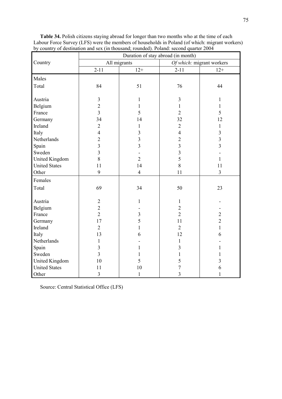|                       |                         |                         | Duration of stay abroad (in month) |                           |
|-----------------------|-------------------------|-------------------------|------------------------------------|---------------------------|
| Country               | All migrants            |                         |                                    | Of which: migrant workers |
|                       | $2 - 11$                | $12+$                   | $2 - 11$                           | $12+$                     |
| Males                 |                         |                         |                                    |                           |
| Total                 | 84                      | 51                      | 76                                 | 44                        |
|                       |                         |                         |                                    |                           |
| Austria               | $\overline{3}$          | $\mathbf{1}$            | 3                                  | $\mathbf{1}$              |
| Belgium               | $\overline{2}$          | $\mathbf{1}$            | $\mathbf{1}$                       | $\mathbf{1}$              |
| France                | $\overline{3}$          | 5                       | $\overline{2}$                     | 5                         |
| Germany               | 34                      | 14                      | 32                                 | 12                        |
| Ireland               | $\overline{2}$          | $\mathbf{1}$            | $\overline{2}$                     | 1                         |
| Italy                 | $\overline{4}$          | 3                       | $\overline{4}$                     | $\overline{\mathbf{3}}$   |
| Netherlands           | $\overline{2}$          | $\overline{3}$          | $\overline{2}$                     | $\overline{3}$            |
| Spain                 | $\overline{3}$          | $\overline{3}$          | $\overline{3}$                     | $\overline{3}$            |
| Sweden                | $\overline{3}$          |                         | $\overline{\mathbf{3}}$            |                           |
| <b>United Kingdom</b> | 8                       | $\overline{2}$          | 5                                  | 1                         |
| <b>United States</b>  | 11                      | 14                      | 8                                  | 11                        |
| Other                 | 9                       | $\overline{4}$          | 11                                 | $\overline{\mathbf{3}}$   |
| Females               |                         |                         |                                    |                           |
| Total                 | 69                      | 34                      | 50                                 | 23                        |
|                       |                         |                         |                                    |                           |
| Austria               | $\overline{2}$          | $\mathbf{1}$            | $\mathbf{1}$                       |                           |
| Belgium               | $\overline{2}$          |                         | $\overline{2}$                     |                           |
| France                | $\overline{2}$          | $\overline{\mathbf{3}}$ | $\overline{2}$                     | $\overline{2}$            |
| Germany               | 17                      | 5                       | 11                                 | $\overline{2}$            |
| Ireland               | $\overline{2}$          | $\mathbf{1}$            | $\overline{2}$                     | $\mathbf{1}$              |
| Italy                 | 13                      | 6                       | 12                                 | 6                         |
| Netherlands           | $\mathbf{1}$            |                         | $\mathbf{1}$                       |                           |
| Spain                 | $\overline{\mathbf{3}}$ | 1                       | $\overline{\mathbf{3}}$            | 1                         |
| Sweden                | $\overline{3}$          | 1                       | 1                                  | 1                         |
| United Kingdom        | 10                      | 5                       | 5                                  | 3                         |
| <b>United States</b>  | 11                      | 10                      | $\overline{7}$                     | 6                         |
| Other                 | $\overline{3}$          | $\mathbf{1}$            | $\overline{3}$                     | $\mathbf{1}$              |

Table 34. Polish citizens staying abroad for longer than two months who at the time of each Labour Force Survey (LFS) were the members of households in Poland (of which: migrant workers) by country of destination and sex (in thousand; rounded). Poland: second quarter 2004

Source: Central Statistical Office (LFS)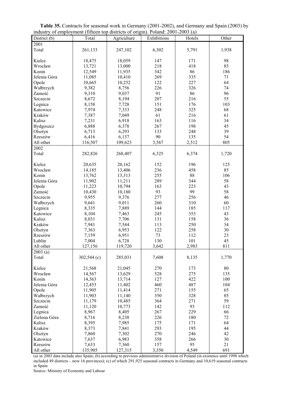| industry of employment (fifteen top districts of origin). Poland: 2001-2003 (a) |               |                |             |            |       |
|---------------------------------------------------------------------------------|---------------|----------------|-------------|------------|-------|
| $\overline{\text{D}}$ istrict (b)                                               | Total         | Agriculture    | Exhibitions | Hotels     | Other |
| 2001                                                                            |               |                |             |            |       |
| Total                                                                           | 261,133       | 247,102        | 6,302       | 5,791      | 1,938 |
|                                                                                 |               |                |             |            |       |
| Kielce                                                                          | 18,475        | 18,059         | 147         | 171        | 98    |
| Wrocław                                                                         | 13,721        | 13,000         | 218         | 418        | 85    |
| Konin                                                                           | 12,549        | 11,935         | 342         | 86         | 186   |
| Jelenia Góra                                                                    | 11,085        | 10,410         | 269         | 335        | 71    |
| Opole                                                                           | 10,665        | 10,252         | 122         | 227        | 64    |
| Wałbrzych                                                                       | 9,382         | 8,756          | 226         | 326        | 74    |
| Zamość                                                                          | 9,310         | 9,037          | 91          | 86         | 96    |
| Szczecin                                                                        | 8,672         | 8,194          | 207         | 216        | 55    |
| Legnica                                                                         | 8,158         | 7,728          | 151         | 176        | 103   |
| Katowice                                                                        | 7,974         | 7,333          | 248         | 325        | 68    |
| Kraków                                                                          |               | 7,049          | 61          | 216        | 61    |
| Kalisz                                                                          | 7,387         |                | 163         |            | 34    |
|                                                                                 | 7,231         | 6,918          |             | 116<br>198 | 45    |
| Bydgoszcz                                                                       | 6,888         | 6,378          | 267         |            |       |
| Olsztyn                                                                         | 6,713         | 6,293          | 133         | 248        | 39    |
| Rzeszów                                                                         | 6,416         | 6,137          | 90          | 135        | 54    |
| All other                                                                       | 116,507       | 109,623        | 3,567       | 2,512      | 805   |
| 2002                                                                            |               |                |             |            |       |
| Total                                                                           | 282,826       | 268,407        | 6,325       | 6,374      | 1,720 |
|                                                                                 |               |                |             |            |       |
| Kielce                                                                          | 20,635        | 20,162         | 152         | 196        | 125   |
| Wrocław                                                                         | 14,185        | 13,406         | 236         | 458        | 85    |
| Konin                                                                           | 13,762        | 13,313         | 255         | 88         | 106   |
| Jelenia Góra                                                                    | 11,902        | 11,211         | 289         | 344        | 58    |
| Opole                                                                           | 11,223        | 10,794         | 163         | 223        | 43    |
| Zamość                                                                          | 10,430        | 10,180         | 93          | 99         | 58    |
| Szczecin                                                                        | 9,955         | 9,376          | 277         | 256        | 46    |
| Wałbrzych                                                                       | 9,641         | 9,011          | 260         | 310        | 60    |
| Legnica                                                                         | 8,335         | 7,889          | 144         | 185        | 117   |
| Katowice                                                                        | 8,104         | 7,463          | 245         | 353        | 43    |
| Kalisz                                                                          | 8,031         | 7,706          | 131         | 158        | 36    |
| Kraków                                                                          | 7,941         | 7,544          | 113         | 250        | 34    |
| Olsztyn                                                                         | 7,363         | 6,953          | 122         | 258        | 30    |
| Rzeszów                                                                         | 7,159         | 6,951          | 73          | 112        | 23    |
| Lublin                                                                          | 7,004         | 6,728          | 130         | 101        | 45    |
| All other                                                                       | 127,156       | 119,720        | 3,642       | 2,983      | 811   |
| $\overline{2003}$ (a)                                                           |               |                |             |            |       |
| Total                                                                           | $302,544$ (c) | 285,031        | 7,608       | 8,135      | 1,770 |
|                                                                                 |               |                |             |            |       |
| Kielce                                                                          | 21,568        | 21,045         | 270         | 173        | 80    |
| Wrocław                                                                         | 14,567        | 13,629         | 528         | 275        | 135   |
| Konin                                                                           | 14,363        | 13,714         | 127         | 422        | 100   |
| Jelenia Góra                                                                    | 12,453        | 11,402         | 460         | 487        | 104   |
| Opole                                                                           | 11,905        | 11,414         | 271         | 155        | 65    |
| Wałbrzych                                                                       | 11,903        | 11,140         | 350         | 328        | 85    |
| Szczecin                                                                        | 11,179        | 10,485         | 364         | 271        | 59    |
| Zamość                                                                          | 11,120        | 10,773         | 142         | 93         | 112   |
| Legnica                                                                         | 8,967         | 8,405          | 267         | 229        | 66    |
| Zielona Góra                                                                    | 8,716         | 8,238          | 226         | 180        | 72    |
| Kalisz                                                                          | 8,395         | 7,985          | 175         | 171        | 64    |
| Kraków                                                                          | 8,373         |                | 293         | 195        | 44    |
| Olsztyn                                                                         | 7,860         | 7,841<br>7,302 | 270         | 246        | 42    |
|                                                                                 |               |                | 358         | 266        | 30    |
| Katowice                                                                        | 7,637         | 6,983          |             |            |       |

Table 35. Contracts for seasonal work in Germany (2001-2002), and Germany and Spain (2003) by

(a) in 2003 data include also Spain; (b) according to previous administrative division of Poland (in existence until 1998 which included 49 districts – now 16 provinces); (c) of which 291,925 seasonal contracts in Germany and 10,619 seasonal contracts in Spain

Rzeszów 1 7,633 | 7,360 | 157 | 95 | 21 All other 135,905 127,315 3,350 4,549 691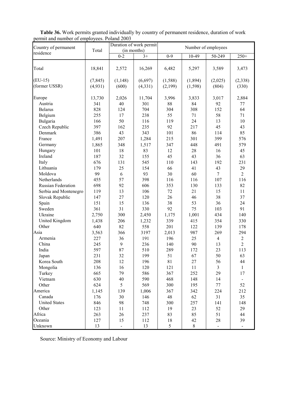| permit and number of employees. Follend 2003<br>Country of permanent | Total    |                | Duration of work permit<br>(in months) |               | Number of employees |                |                                       |
|----------------------------------------------------------------------|----------|----------------|----------------------------------------|---------------|---------------------|----------------|---------------------------------------|
| residence                                                            |          | $0 - 2$        | $3+$                                   | $0 - 9$       | 10-49               | 50-249         | $250+$                                |
|                                                                      |          |                |                                        |               |                     |                |                                       |
| Total                                                                | 18,841   | 2,572          | 16,269                                 | 6,482         | 5,297               | 3,589          | 3,473                                 |
| $(EU-15)$                                                            | (7, 845) | (1, 148)       | (6,697)                                | (1, 588)      | (1,894)             | (2,025)        | (2,338)                               |
| (former USSR)                                                        | (4,931)  | (600)          | (4, 331)                               | (2,199)       | (1, 598)            | (804)          | (330)                                 |
| Europe                                                               | 13,730   | 2,026          | 11,704                                 | 3,996         | 3,833               | 3,017          | 2,884                                 |
| Austria                                                              | 341      | 40             | 301                                    | 88            | 84                  | 92             | 77                                    |
| <b>Belarus</b>                                                       | 828      | 124            | 704                                    | 304           | 308                 | 152            | 64                                    |
| Belgium                                                              | 255      | 17             | 238                                    | 55            | 71                  | 58             | 71                                    |
| Bulgaria                                                             | 166      | 50             | 116                                    | 119           | 24                  | 13             | 10                                    |
| Czech Republic                                                       | 397      | 162            | 235                                    | 92            | 217                 | 45             | 43                                    |
| Denmark                                                              | 386      | 43             | 343                                    | 101           | 86                  | 114            | 85                                    |
| France                                                               | 1,491    | 207            | 1,284                                  | 215           | 301                 | 399            | 576                                   |
| Germany                                                              | 1,865    | 348            | 1,517                                  | 347           | 448                 | 491            | 579                                   |
| Hungary                                                              | 101      | 18             | 83                                     | 12            | 28                  | 16             | 45                                    |
| Ireland                                                              | 187      | 32             | 155                                    | 45            | 43                  | 36             | 63                                    |
| Italy                                                                | 676      | 131            | 545                                    | 110           | 143                 | 192            | 231                                   |
| Lithuania                                                            | 179      | 25             | 154                                    | 66            | 41                  | 43             | 29                                    |
| Moldova                                                              | 99       | 6              | 93                                     | 30            | 60                  | $\overline{7}$ | $\overline{2}$                        |
| Netherlands                                                          | 455      | 57             | 398                                    | 116           | 116                 | 107            | 116                                   |
| Russian Federation                                                   | 698      | 92             | 606                                    | 353           | 130                 | 133            | 82                                    |
| Serbia and Montenegro                                                | 119      | 13             | 106                                    | 72            | 21                  | 15             | 11                                    |
| Slovak Republic                                                      | 147      | 27             | 120                                    | 26            | 46                  | 38             | 37                                    |
| Spain                                                                | 151      | 15             | 136                                    | 38            | 53                  | 36             | 24                                    |
| Sweden                                                               | 361      | 31             | 330                                    | 92            | 75                  | 103            | 91                                    |
| Ukraine                                                              | 2,750    | 300            | 2,450                                  | 1,175         | 1,001               | 434            | 140                                   |
| United Kingdom                                                       | 1,438    | 206            | 1,232                                  | 339           | 415                 | 354            | 330                                   |
| Other                                                                | 640      | 82             | 558                                    | 201           | 122                 | 139            | 178                                   |
| Asia                                                                 | 3,563    | 366            | 3197                                   | 2,013         | 987                 | 269            | 294                                   |
| Armenia                                                              | 227      | 36             | 191                                    | 196           | 25                  | $\overline{4}$ |                                       |
| China                                                                | 245      | 9              | 236                                    | 140           | 90                  | 13             | $\begin{array}{c} 2 \\ 2 \end{array}$ |
| India                                                                | 597      | 87             | 510                                    | 289           | 172                 | 23             | 113                                   |
| Japan                                                                | 231      | 32             | 199                                    | 51            | 67                  | 50             | 63                                    |
| Korea South                                                          | 208      | 12             | 196                                    | 81            | 27                  | 56             | 44                                    |
| Mongolia                                                             | 136      | 16             | 120                                    | 121           | 11                  | $\overline{3}$ | $\mathbf{1}$                          |
| Turkey                                                               | 665      | 79             | 586                                    | 367           | 252                 | 29             | 17                                    |
| Vietnam                                                              | 630      | 40             | 590                                    | 468           | 148                 | 14             | $\blacksquare$                        |
| Other                                                                | 624      | 5              | 569                                    | 300           | 195                 | $77\,$         | 52                                    |
| America                                                              | 1,145    | 139            | 1,006                                  | 367           | 342                 | 224            | 212                                   |
| Canada                                                               | 176      | 30             | 146                                    | 48            | 62                  | 31             | 35                                    |
| <b>United States</b>                                                 | 846      | 98             | 748                                    | 300           | 257                 | 141            | 148                                   |
| Other                                                                | 123      | 11             | 112                                    | 19            | 23                  | 52             | 29                                    |
| Africa                                                               | 263      | 26             | 237                                    | 83            | 85                  | 51             | 44                                    |
| Oceania                                                              | 127      | 15             | 112                                    | 18            | 42                  | 28             | 39                                    |
| Unknown                                                              | 13       | $\blacksquare$ | 13                                     | $\mathfrak s$ | $8\,$               | $\blacksquare$ | $\blacksquare$                        |
|                                                                      |          |                |                                        |               |                     |                |                                       |

Table 36. Work permits granted individually by country of permanent residence, duration of work permit and number of employees. Poland 2003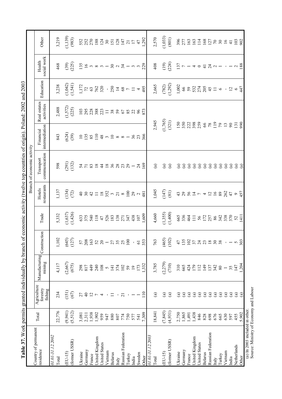| и от общественной и принимательной состоят в состоятеля с предлагается в состоятеля в состоятеля в состоятели по состоятели в состоятели в состоятели в состоятели в состоятели в состоятели в состоятели в состоятели в сост |                       |                                       |                                                 |                                                        |                                                                                 |                                                                                                                                                                                                                                | Branch of economic activity    |                                                       |                            |                                                                                                                         |                                                                                                         |                                                                              |
|-------------------------------------------------------------------------------------------------------------------------------------------------------------------------------------------------------------------------------|-----------------------|---------------------------------------|-------------------------------------------------|--------------------------------------------------------|---------------------------------------------------------------------------------|--------------------------------------------------------------------------------------------------------------------------------------------------------------------------------------------------------------------------------|--------------------------------|-------------------------------------------------------|----------------------------|-------------------------------------------------------------------------------------------------------------------------|---------------------------------------------------------------------------------------------------------|------------------------------------------------------------------------------|
| Country of permanent<br>residence                                                                                                                                                                                             | Total                 | Agriculture<br>forestry<br>fishing    | Manufacturing<br>mining                         | Construction                                           | Trade                                                                           | restaurants<br>Hotels                                                                                                                                                                                                          | communication<br>Transport     | intermediation<br>Financial                           | Real estates<br>activities | Education                                                                                                               | social work<br>Health                                                                                   | Other                                                                        |
| 01.01-31.12.2002<br>Total                                                                                                                                                                                                     | 22,776                | 234                                   | 4,117                                           | ,102                                                   | 5,332                                                                           | 1,137                                                                                                                                                                                                                          | 598                            | 843                                                   | 2,488                      | 3,238                                                                                                                   | 468                                                                                                     | 3,219                                                                        |
| (former USSR)<br>$(EU-15)$                                                                                                                                                                                                    | (9,941)<br>(5, 512)   | (151)<br>(67)                         | (2,667)<br>(675)                                | $(645)$<br>(127)                                       | $(1,637)$<br>$(1,426)$                                                          | (134)                                                                                                                                                                                                                          | $(291)$<br>$(132)$             | $(624)$<br>(39)                                       | $(1,572)$<br>$(225)$       | $(1, 042)$<br>$(1, 541)$                                                                                                | $(39)$<br>$(25)$                                                                                        | $(1, 139)$<br>(983)                                                          |
| Germany<br>Ukraine                                                                                                                                                                                                            | 3,081<br>2,311        | $\overline{4}$<br>27                  | 817<br>298                                      |                                                        |                                                                                 |                                                                                                                                                                                                                                |                                |                                                       |                            |                                                                                                                         |                                                                                                         |                                                                              |
| United Kingdom<br>United States<br>France                                                                                                                                                                                     | 1,938<br>1,902<br>959 | $\overline{c}$<br>$\overline{ }$<br>4 |                                                 | $\begin{array}{l} 5788 \\ 1638 \\ 1638 \\ \end{array}$ | $63370$ $570$ $470$ $583$ $571$ $571$ $583$ $571$ $573$ $571$ $573$ $574$ $575$ | $48.4128$ $5.293$ $-7.89$ $-2.89$ $-1.89$ $-1.89$ $-1.89$ $-1.89$ $-1.89$ $-1.89$ $-1.89$ $-1.89$ $-1.89$ $-1.89$ $-1.89$ $-1.89$ $-1.89$ $-1.89$ $-1.89$ $-1.89$ $-1.89$ $-1.89$ $-1.89$ $-1.89$ $-1.89$ $-1.89$ $-1.89$ $-1$ | 3 7 8 2 4 2 3 3 3 4 5 6 7 9 7  | $125.82249288 - 287.86$                               | 19388871788                | $\frac{172}{172}$ $\frac{28}{172}$ $\frac{28}{172}$ $\frac{28}{172}$ $\frac{28}{172}$ $\frac{28}{172}$ $\frac{28}{172}$ | $13.6$ m $\infty$ m $ 25.0$ $\pi$ $-$ m $ 22.0$                                                         | 552<br>252 233 353 47<br>392 353 47<br>47<br>1,292                           |
| Vietnam                                                                                                                                                                                                                       | 947                   |                                       | $2408$ $-1770$<br>$-1770$                       |                                                        |                                                                                 |                                                                                                                                                                                                                                |                                |                                                       |                            |                                                                                                                         |                                                                                                         |                                                                              |
| <b>Belarus</b><br>Italy                                                                                                                                                                                                       | 880<br>807            | ニ<br>$\blacksquare$                   |                                                 |                                                        |                                                                                 |                                                                                                                                                                                                                                |                                |                                                       |                            |                                                                                                                         |                                                                                                         |                                                                              |
| Russian Federation                                                                                                                                                                                                            | 774                   | $\overline{z}$                        |                                                 |                                                        |                                                                                 |                                                                                                                                                                                                                                |                                |                                                       |                            |                                                                                                                         |                                                                                                         |                                                                              |
| Turkey<br>India                                                                                                                                                                                                               | 750<br>577            |                                       | 59<br>$\overline{0}$                            |                                                        |                                                                                 |                                                                                                                                                                                                                                |                                |                                                       |                            |                                                                                                                         |                                                                                                         |                                                                              |
| Sweden<br>Other                                                                                                                                                                                                               | 7,309<br>541          | 110                                   | 1,332<br>173                                    |                                                        |                                                                                 |                                                                                                                                                                                                                                | $\frac{24}{169}$               |                                                       | 683882                     |                                                                                                                         |                                                                                                         |                                                                              |
| 01.01-31.12.2003                                                                                                                                                                                                              |                       |                                       |                                                 |                                                        |                                                                                 |                                                                                                                                                                                                                                |                                |                                                       |                            |                                                                                                                         |                                                                                                         |                                                                              |
| Total                                                                                                                                                                                                                         | 18,841                | $\widehat{\mathbf{e}}$                | 3,785                                           | 763                                                    | 4,660                                                                           | 1,045                                                                                                                                                                                                                          | $\mathbf{G}$                   | 2,945                                                 |                            | 2,665                                                                                                                   | 408                                                                                                     | 2,570                                                                        |
| $(EU-15)$                                                                                                                                                                                                                     | (7, 845)              | $\mathbf{G}$                          | (2,279)                                         | $(465)$<br>(102)                                       | $(1,355)$<br>$(1,400)$                                                          | $(147)$<br>(81)                                                                                                                                                                                                                | $\mathbf{G}$                   | $(1,765)$<br>$(321)$                                  |                            | $(782)$<br>(1,292)                                                                                                      | $(19)$<br>$(24)$                                                                                        | $(1,033)$<br>$(801)$                                                         |
| (former USSR)                                                                                                                                                                                                                 | (4,931)               | $\odot$                               | (710)                                           |                                                        |                                                                                 |                                                                                                                                                                                                                                | $\odot$                        |                                                       |                            |                                                                                                                         |                                                                                                         |                                                                              |
| Ukraine                                                                                                                                                                                                                       | 2,750                 | $\widehat{a}$                         | 310                                             |                                                        |                                                                                 | 43                                                                                                                                                                                                                             | $\bigcirc$                     |                                                       |                            |                                                                                                                         |                                                                                                         |                                                                              |
| Germany<br>France                                                                                                                                                                                                             | 1,865<br>1,491        | $\mathbf{a}$<br>$\mathbf{G}$          | 665                                             | $47.5$ $25.7$ $37.3$ $25.8$ $37.5$ $30.5$              | 688411825883858111                                                              | 29                                                                                                                                                                                                                             | $\widehat{a}$<br>$\widehat{a}$ |                                                       |                            |                                                                                                                         | $\frac{15}{17}$ $\triangleright$ $-4$ $\circ$ $\frac{14}{14}$ $\circ$ $-1$ $-1$ $\circ$ $\frac{28}{18}$ | $\begin{array}{c} 87.7887128122222424233 \\ 201.782242222424233 \end{array}$ |
| United Kingdom                                                                                                                                                                                                                | 1,438                 | $\mathbf{G}$                          | 424<br>179                                      |                                                        |                                                                                 |                                                                                                                                                                                                                                | $\odot$                        |                                                       |                            |                                                                                                                         |                                                                                                         |                                                                              |
| United States                                                                                                                                                                                                                 | 846                   | $\mathbf{G}$                          | 112                                             |                                                        |                                                                                 |                                                                                                                                                                                                                                | $\bigcirc$                     |                                                       |                            |                                                                                                                         |                                                                                                         |                                                                              |
| <b>Belarus</b>                                                                                                                                                                                                                | 828<br>698            | $\mathbf{G}$                          | 149                                             |                                                        |                                                                                 |                                                                                                                                                                                                                                | $\odot$                        |                                                       |                            |                                                                                                                         |                                                                                                         |                                                                              |
| Russian Federation<br>Italy                                                                                                                                                                                                   | 676                   | $\mathbf{G}$<br>$\mathbf{G}$          | $\begin{array}{c} 137 \\ 342 \\ 80 \end{array}$ |                                                        |                                                                                 | $54 - 4758$                                                                                                                                                                                                                    | $\odot$<br>$\odot$             |                                                       |                            |                                                                                                                         |                                                                                                         |                                                                              |
| Turkey                                                                                                                                                                                                                        | 665                   | $\odot$                               |                                                 |                                                        |                                                                                 |                                                                                                                                                                                                                                | $\widehat{a}$                  |                                                       |                            |                                                                                                                         |                                                                                                         |                                                                              |
| Vietnam                                                                                                                                                                                                                       | 630                   | $\odot$                               | $\overline{\phantom{0}}$                        |                                                        |                                                                                 | 262                                                                                                                                                                                                                            | $\bigcirc$                     |                                                       |                            |                                                                                                                         |                                                                                                         |                                                                              |
| India                                                                                                                                                                                                                         | 597                   | $\mathbf{G}$                          | 35                                              |                                                        |                                                                                 |                                                                                                                                                                                                                                | $\widehat{a}$                  |                                                       |                            |                                                                                                                         |                                                                                                         |                                                                              |
| Netherlands                                                                                                                                                                                                                   | 455                   | $\mathbf{G}$                          | 147                                             |                                                        |                                                                                 | 457                                                                                                                                                                                                                            | $\odot$                        | $\begin{array}{c}\n 13 \\ \hline\n 990\n \end{array}$ |                            |                                                                                                                         |                                                                                                         |                                                                              |
| Other                                                                                                                                                                                                                         | 5.902                 | $\odot$                               | 1,204                                           |                                                        |                                                                                 |                                                                                                                                                                                                                                | $\Xi$                          |                                                       |                            |                                                                                                                         |                                                                                                         |                                                                              |
| (a) In $2003$ included in other.                                                                                                                                                                                              |                       |                                       |                                                 |                                                        |                                                                                 |                                                                                                                                                                                                                                |                                |                                                       |                            |                                                                                                                         |                                                                                                         |                                                                              |

## **Table 37.** Work permits granted individually by branch of economic activity (twelve top countries of origin). Poland: 2002 and 2003 Table 37. Work permits granted individually by branch of economic activity (twelve top countries of origin). Poland: 2002 and 2003

(a) In 2003 included in other.<br>Source: Ministry of Economy and Labour Source: Ministry of Economy and Labour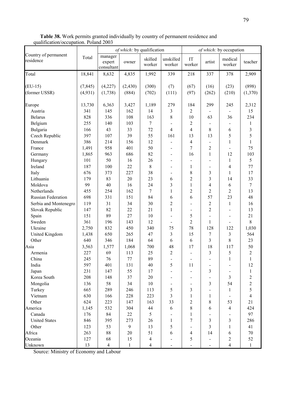Table 38. Work permits granted individually by country of permanent residence and qualification/occupation. Poland 2003

|                                   |                     |                                 | of which: by qualification |                   |                          |                              |                          | of which: by occupation  |                  |
|-----------------------------------|---------------------|---------------------------------|----------------------------|-------------------|--------------------------|------------------------------|--------------------------|--------------------------|------------------|
| Country of permanent<br>residence | Total               | manager<br>expert<br>consultant | owner                      | skilled<br>worker | unskilled<br>worker      | IT<br>worker                 | artist                   | medical<br>worker        | teacher          |
| Total                             | 18,841              | 8,632                           | 4,835                      | 1,992             | 339                      | 218                          | 337                      | 378                      | 2,909            |
| $(EU-15)$<br>(former USSR)        | (7, 845)<br>(4,931) | (4,227)<br>(1,738)              | (2, 430)<br>(884)          | (300)<br>(702)    | (7)<br>(111)             | (67)<br>(97)                 | (16)<br>(262)            | (23)<br>(210)            | (898)<br>(1,370) |
| Europe                            | 13,730              | 6,363                           | 3,427                      | 1,189             | 279                      | 184                          | 299                      | 245                      | 2,312            |
| Austria                           | 341                 | 145                             | 162                        | 14                | 3                        | $\overline{2}$               |                          |                          | 15               |
| <b>Belarus</b>                    | 828                 | 336                             | 108                        | 163               | 8                        | 10                           | 63                       | 36                       | 234              |
| Belgium                           | 255                 | 140                             | 103                        | $\boldsymbol{7}$  |                          | 2                            |                          |                          | 1                |
| Bulgaria                          | 166                 | 43                              | 33                         | 72                | 4                        | $\overline{4}$               | 8                        | 6                        | 3                |
| Czech Republic                    | 397                 | 107                             | 39                         | 55                | 161                      | 13                           | 13                       | 5                        | 5                |
| Denmark                           | 386                 | 214                             | 156                        | 12                |                          | $\overline{\mathcal{A}}$     |                          | $\mathbf{1}$             | $\mathbf{1}$     |
| France                            | 1,491               | 958                             | 401                        | 50                | $\overline{\phantom{a}}$ | 7                            | $\overline{2}$           | $\blacksquare$           | 75               |
| Germany                           | 1,865               | 963                             | 686                        | 82                | $\overline{\phantom{a}}$ | 16                           | $\mathbf{1}$             | 12                       | 103              |
| Hungary                           | 101                 | 50                              | 16                         | 26                |                          |                              |                          | $\mathbf{1}$             | 5                |
| Ireland                           | 187                 | 100                             | 22                         | $\,8\,$           | $\blacksquare$           | 1                            | $\blacksquare$           | $\overline{4}$           | 77               |
| Italy                             | 676                 | 373                             | 227                        | 38                |                          | 8                            | 3                        | $\mathbf{1}$             | 17               |
| Lithuania                         | 179                 | 83                              | 20                         | 23                | 6                        | $\overline{2}$               | 3                        | 14                       | 33               |
| Moldova                           | 99                  | 40                              | 16                         | 24                | 3                        | $\mathbf{1}$                 | $\overline{\mathcal{L}}$ | 6                        | $\overline{7}$   |
| Netherlands                       | 455                 | 254                             | 162                        | 7                 | 1                        | $\overline{c}$               | $\overline{2}$           | $\overline{2}$           | 13               |
| Russian Federation                | 698                 | 331                             | 151                        | 84                | 6                        | 6                            | 57                       | 23                       | 48               |
| Serbia and Montenegro             | 119                 | 31                              | 34                         | 30                | $\overline{c}$           | $\overline{\phantom{0}}$     | $\sqrt{2}$               | $\mathbf{1}$             | 16               |
| Slovak Republic                   | 147                 | 82                              | 22                         | 21                | $\mathbf{1}$             | $\overline{a}$               | $\overline{c}$           |                          | 13               |
| Spain                             | 151                 | 89                              | 27                         | 10                |                          | 5                            | $\overline{a}$           | $\overline{\phantom{a}}$ | 21               |
| Sweden                            | 361                 | 196                             | 143                        | 12                | $\overline{\phantom{a}}$ | 2                            | $\mathbf{1}$             | $\overline{\phantom{a}}$ | $8\,$            |
| Ukraine                           | 2,750               | 832                             | 450                        | 340               | 75                       | 78                           | 128                      | 122                      | 1,030            |
| United Kingdom                    | 1,438               | 650                             | 265                        | 47                | 3                        | 15                           | 7                        | 3                        | 564              |
| Other                             | 640                 | 346                             | 184                        | 64                | 6                        | 6                            | 3                        | 8                        | 23               |
| Asia                              | 3,563               | 1,577                           | 1,068                      | 700               | 48                       | 17                           | 18                       | 117                      | 50               |
| Armenia                           | 227                 | 69                              | 113                        | 25                | $\overline{c}$           | $\overline{a}$               | 3                        | 5                        | $\sqrt{2}$       |
| China                             | 245                 | 76                              | $77$                       | 89                |                          | $\qquad \qquad \blacksquare$ |                          | $\mathbf{1}$             | $\mathbf{1}$     |
| India                             | 597                 | 401                             | 131                        | 40                | 5                        | 11                           |                          |                          | 12               |
| Japan                             | 231                 | 147                             | 55                         | 17                |                          |                              | 3                        |                          | $\mathbf{1}$     |
| Korea South                       | 208                 | 148                             | 37                         | $20\,$            |                          |                              |                          | $\overline{3}$           | $\overline{c}$   |
| Mongolia                          | 136                 | 58                              | 34                         | 10                |                          |                              | $\mathfrak{Z}$           | 54                       | $\overline{2}$   |
| Turkey                            | 665                 | 289                             | 246                        | 113               | 5                        | 3                            |                          | $\mathbf{1}$             | 5                |
| Vietnam                           | 630                 | 166                             | 228                        | 223               | 3                        | $\mathbf{1}$                 | $\mathbf{1}$             |                          | $\overline{4}$   |
| Other                             | 624                 | 223                             | 147                        | 163               | 33                       | $\overline{2}$               | $8\,$                    | 53                       | 21               |
| America                           | 1,145               | 532                             | 304                        | 44                | 6                        | 8                            | 6                        | $\overline{4}$           | 424              |
| Canada                            | 176                 | 84                              | 22                         | 5                 |                          | 1                            |                          |                          | 97               |
| <b>United States</b>              | 846                 | 395                             | 273                        | 26                | 1                        | 7                            | 3                        | $\overline{3}$           | 286              |
| Other                             | 123                 | 53                              | $\mathbf{9}$               | 13                | 5                        |                              | 3                        | $\mathbf{1}$             | 41               |
| Africa                            | 263                 | 88                              | 20                         | 51                | 6                        | $\overline{\mathcal{A}}$     | 14                       | 6                        | 70               |
| Oceania                           | 127                 | 68                              | 15                         | $\overline{4}$    |                          | 5                            |                          | $\overline{2}$           | 52               |
| Unknown                           | 13                  | $\overline{4}$                  | $\mathbf{1}$               | $\overline{4}$    | $\overline{\phantom{a}}$ |                              |                          | $\overline{4}$           | $\mathbf{1}$     |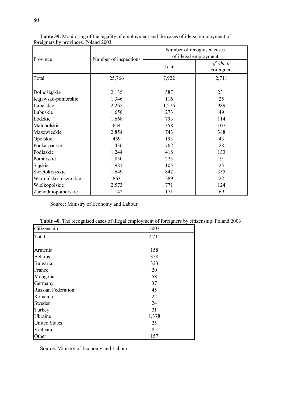| Province            | Number of inspections |     | Number of recognised cases<br>of illegal employment<br>of which:<br>Total<br>Foreigners<br>7,922<br>2,711<br>587<br>231<br>25<br>116<br>1,276<br>989<br>49<br>273<br>793<br>114<br>358<br>107<br>743<br>388<br>43<br>193<br>762<br>28<br>418<br>133<br>9<br>225 |  |  |  |
|---------------------|-----------------------|-----|-----------------------------------------------------------------------------------------------------------------------------------------------------------------------------------------------------------------------------------------------------------------|--|--|--|
|                     |                       |     |                                                                                                                                                                                                                                                                 |  |  |  |
| Total               | 25,766                |     |                                                                                                                                                                                                                                                                 |  |  |  |
| Dolnośląskie        | 2,135                 |     |                                                                                                                                                                                                                                                                 |  |  |  |
| Kujawsko-pomorskie  | 1,346                 |     |                                                                                                                                                                                                                                                                 |  |  |  |
| Lubelskie           | 2,262                 |     |                                                                                                                                                                                                                                                                 |  |  |  |
| Lubuskie            | 1,650                 |     |                                                                                                                                                                                                                                                                 |  |  |  |
| Łódzkie             | 1,668                 |     |                                                                                                                                                                                                                                                                 |  |  |  |
| Małopolskie         | 654                   |     |                                                                                                                                                                                                                                                                 |  |  |  |
| Mazowieckie         | 2,854                 |     |                                                                                                                                                                                                                                                                 |  |  |  |
| Opolskie            | 459                   |     |                                                                                                                                                                                                                                                                 |  |  |  |
| Podkarpackie        | 1,436                 |     |                                                                                                                                                                                                                                                                 |  |  |  |
| Podlaskie           | 1,244                 |     |                                                                                                                                                                                                                                                                 |  |  |  |
| Pomorskie           | 1,850                 |     |                                                                                                                                                                                                                                                                 |  |  |  |
| Śląskie             | 1,981                 | 105 | 25                                                                                                                                                                                                                                                              |  |  |  |
| Świętokrzyskie      | 1,649                 | 842 | 355                                                                                                                                                                                                                                                             |  |  |  |
| Warmińsko-mazurskie | 863                   | 289 | 22                                                                                                                                                                                                                                                              |  |  |  |
| Wielkopolskie       | 2,573                 | 771 | 124                                                                                                                                                                                                                                                             |  |  |  |
| Zachodniopomorskie  | 1,142                 | 171 | 69                                                                                                                                                                                                                                                              |  |  |  |

Table 39. Monitoring of the legality of employment and the cases of illegal employment of foreigners by provinces. Poland 2003

Source: Ministry of Economy and Labour

| Citizenship               | 2003  |
|---------------------------|-------|
| Total                     | 2,711 |
|                           |       |
| Armenia                   | 158   |
| <b>Belarus</b>            | 358   |
| Bulgaria                  | 323   |
| France                    | 20    |
| Mongolia                  | 58    |
| Germany                   | 37    |
| <b>Russian Federation</b> | 45    |
| Romania                   | 22    |
| Sweden                    | 24    |
| Turkey                    | 21    |
| Ukraine                   | 1,378 |
| <b>United States</b>      | 25    |
| Vietnam                   | 85    |
| Other                     | 157   |

| Table 40. The recognised cases of illegal employment of foreigners by citizenship. Poland 2003 |  |  |  |
|------------------------------------------------------------------------------------------------|--|--|--|
|------------------------------------------------------------------------------------------------|--|--|--|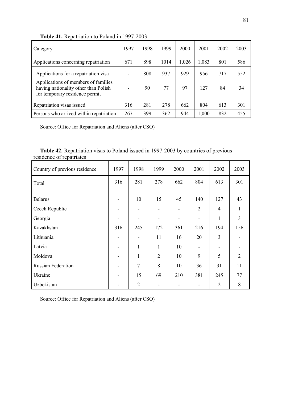| Category                                                                                                      | 1997 | 1998 | 1999 | 2000  | 2001  | 2002 | 2003 |
|---------------------------------------------------------------------------------------------------------------|------|------|------|-------|-------|------|------|
| Applications concerning repatriation                                                                          | 671  | 898  | 1014 | 1,026 | 1,083 | 801  | 586  |
| Applications for a repatriation visa                                                                          |      | 808  | 937  | 929   | 956   | 717  | 552  |
| Applications of members of families<br>having nationality other than Polish<br>for temporary residence permit |      | 90   | 77   | 97    | 127   | 84   | 34   |
| Repatriation visas issued                                                                                     | 316  | 281  | 278  | 662   | 804   | 613  | 301  |
| Persons who arrived within repatriation                                                                       | 267  | 399  | 362  | 944   | 1,000 | 832  | 455  |

Table 41. Repatriation to Poland in 1997-2003

Source: Office for Repatriation and Aliens (after CSO)

| <b>Table 42.</b> Repatriation visas to Poland issued in 1997-2003 by countries of previous |  |  |
|--------------------------------------------------------------------------------------------|--|--|
| residence of repatriates                                                                   |  |  |

| Country of previous residence | 1997 | 1998           | 1999           | 2000 | 2001           | 2002           | 2003           |
|-------------------------------|------|----------------|----------------|------|----------------|----------------|----------------|
| Total                         | 316  | 281            | 278            | 662  | 804            | 613            | 301            |
| <b>Belarus</b>                |      | 10             | 15             | 45   | 140            | 127            | 43             |
| Czech Republic                |      |                |                |      | $\overline{2}$ | $\overline{4}$ | 1              |
| Georgia                       |      |                |                |      |                | $\mathbf{1}$   | $\overline{3}$ |
| Kazakhstan                    | 316  | 245            | 172            | 361  | 216            | 194            | 156            |
| Lithuania                     |      |                | 11             | 16   | 20             | 3              |                |
| Latvia                        |      | 1              | $\mathbf{1}$   | 10   |                |                |                |
| Moldova                       |      | 1              | $\overline{2}$ | 10   | 9              | 5              | $\overline{2}$ |
| <b>Russian Federation</b>     |      | $\overline{7}$ | 8              | 10   | 36             | 31             | 11             |
| Ukraine                       |      | 15             | 69             | 210  | 381            | 245            | 77             |
| Uzbekistan                    |      | $\overline{2}$ |                |      |                | $\overline{2}$ | 8              |

Source: Office for Repatriation and Aliens (after CSO)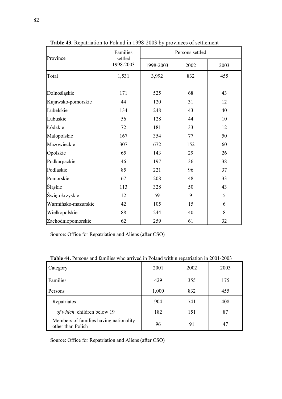| Province            | Families             |           | Persons settled |      |
|---------------------|----------------------|-----------|-----------------|------|
|                     | settled<br>1998-2003 | 1998-2003 | 2002            | 2003 |
| Total               | 1,531                | 3,992     | 832             | 455  |
|                     |                      |           |                 |      |
| Dolnośląskie        | 171                  | 525       | 68              | 43   |
| Kujawsko-pomorskie  | 44                   | 120       | 31              | 12   |
| Lubelskie           | 134                  | 248       | 43              | 40   |
| Lubuskie            | 56                   | 128       | 44              | 10   |
| Łódzkie             | 72                   | 181       | 33              | 12   |
| Małopolskie         | 167                  | 354       | 77              | 50   |
| Mazowieckie         | 307                  | 672       | 152             | 60   |
| Opolskie            | 65                   | 143       | 29              | 26   |
| Podkarpackie        | 46                   | 197       | 36              | 38   |
| Podlaskie           | 85                   | 221       | 96              | 37   |
| Pomorskie           | 67                   | 208       | 48              | 33   |
| Śląskie             | 113                  | 328       | 50              | 43   |
| Świętokrzyskie      | 12                   | 59        | 9               | 5    |
| Warmińsko-mazurskie | 42                   | 105       | 15              | 6    |
| Wielkopolskie       | 88                   | 244       | 40              | 8    |
| Zachodniopomorskie  | 62                   | 259       | 61              | 32   |

Table 43. Repatriation to Poland in 1998-2003 by provinces of settlement

Source: Office for Repatriation and Aliens (after CSO)

| Category                                                    | 2001  | 2002 | 2003 |
|-------------------------------------------------------------|-------|------|------|
| Families                                                    | 429   | 355  | 175  |
| Persons                                                     | 1,000 | 832  | 455  |
| Repatriates                                                 | 904   | 741  | 408  |
| of which: children below 19                                 | 182   | 151  | 87   |
| Members of families having nationality<br>other than Polish | 96    | 91   | 47   |

Table 44. Persons and families who arrived in Poland within repatriation in 2001-2003

Source: Office for Repatriation and Aliens (after CSO)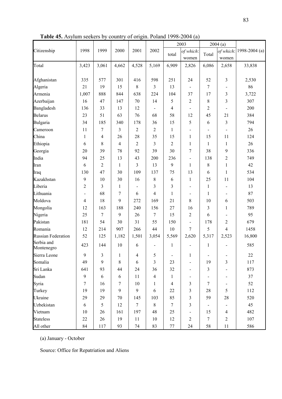Table 45. Asylum seekers by country of origin. Poland 1998-2004 (a)

|                           |                |                |              |                 |                |                | 2003                         |                              | 2004(a)                      |               |
|---------------------------|----------------|----------------|--------------|-----------------|----------------|----------------|------------------------------|------------------------------|------------------------------|---------------|
| Citizenship               | 1998           | 1999           | 2000         | 2001            | 2002           |                | of which:                    | Total                        | of which:                    | 1998-2004 (a) |
|                           |                |                |              |                 |                | total          | women                        |                              | women                        |               |
| Total                     | 3,423          | 3,061          | 4,662        | 4,528           | 5,169          | 6,909          | 2,826                        | 6,086                        | 2,658                        | 33,838        |
| Afghanistan               | 335            | 577            | 301          | 416             | 598            | 251            | 24                           | 52                           | 3                            | 2,530         |
| Algeria                   | 21             | 19             | 15           | 8               | 3              | 13             | $\blacksquare$               | $\tau$                       | $\blacksquare$               | 86            |
| Armenia                   | 1,007          | 888            | 844          | 638             | 224            | 104            | 37                           | 17                           | 3                            | 3,722         |
| Azerbaijan                | 16             | 47             | 147          | 70              | 14             | 5              | $\overline{c}$               | $8\,$                        | 3                            | 307           |
| Bangladesh                | 136            | 33             | 13           | 12              | $\blacksquare$ | 4              | $\overline{\phantom{0}}$     | $\overline{2}$               | $\qquad \qquad \blacksquare$ | 200           |
| Belarus                   | 23             | 51             | 63           | 76              | 68             | 58             | 12                           | 45                           | 21                           | 384           |
| Bulgaria                  | 34             | 185            | 340          | 178             | 36             | 15             | 5                            | 6                            | 3                            | 794           |
| Cameroon                  | 11             | 7              | 3            | $\overline{2}$  | 2              | 1              | $\overline{\phantom{0}}$     | $\overline{\phantom{a}}$     | $\overline{\phantom{m}}$     | 26            |
| China                     | 1              | 4              | 26           | 28              | 35             | 15             | $\mathbf{1}$                 | 15                           | 11                           | 124           |
| Ethiopia                  | 6              | 8              | 4            | $\overline{2}$  | 3              | $\overline{2}$ | 1                            | $\mathbf{1}$                 | $\mathbf{1}$                 | 26            |
| Georgia                   | 20             | 39             | 78           | 92              | 39             | 30             | $\tau$                       | 38                           | 9                            | 336           |
| India                     | 94             | 25             | 13           | 43              | 200            | 236            | $\qquad \qquad \blacksquare$ | 138                          | $\overline{c}$               | 749           |
| Iran                      | 6              | $\overline{2}$ | $\mathbf{1}$ | 3               | 13             | 9              | $\mathbf{1}$                 | $8\,$                        | $\mathbf{1}$                 | 42            |
| Iraq                      | 130            | 47             | 30           | 109             | 137            | 75             | 13                           | 6                            | $\mathbf{1}$                 | 534           |
| Kazakhstan                | 9              | 10             | 30           | 16              | $\,8\,$        | 6              | $\mathbf{1}$                 | 25                           | 11                           | 104           |
| Liberia                   | $\overline{2}$ | 3              | $\mathbf{1}$ | $\blacksquare$  | 3              | 3              | -                            | $\mathbf{1}$                 | $\blacksquare$               | 13            |
| Lithuania                 |                | 68             | 7            | 6               | $\overline{4}$ | $\mathbf{1}$   | $\qquad \qquad \blacksquare$ | $\mathbf{1}$                 | $\blacksquare$               | 87            |
| Moldova                   | $\overline{4}$ | 18             | 9            | 272             | 169            | 21             | 8                            | 10                           | 6                            | 503           |
| Mongolia                  | 12             | 163            | 188          | 240             | 156            | 27             | 16                           | 3                            | $\mathbf{1}$                 | 789           |
| Nigeria                   | 25             | 7              | 9            | 26              | 7              | 15             | $\overline{2}$               | 6                            | $\blacksquare$               | 95            |
| Pakistan                  | 181            | 54             | 30           | 31              | 55             | 150            | $\qquad \qquad \blacksquare$ | 178                          | $\mathfrak{2}$               | 679           |
| Romania                   | 12             | 214            | 907          | 266             | 44             | 10             | $\overline{7}$               | 5                            | 4                            | 1458          |
| <b>Russian Federation</b> | 52             | 125            | 1,182        | 1,501           | 3,054          | 5,569          | 2,620                        | 5,317                        | 2,523                        | 16,800        |
| Serbia and<br>Montenegro  | 423            | 144            | 10           | 6               |                | 1              | $\blacksquare$               | $\mathbf{1}$                 |                              | 585           |
| Sierra Leone              | 9              | 3              | 1            | $\overline{4}$  | 5              | $\blacksquare$ | 1                            | $\qquad \qquad \blacksquare$ | $\qquad \qquad \blacksquare$ | 22            |
| Somalia                   | 49             | 9              | 8            | 6               | $\overline{3}$ | 23             |                              | 19                           | 3                            | 117           |
| Sri Lanka                 | 641            | 93             | 44           | 24              | 36             | 32             | $\blacksquare$               | $\mathfrak{Z}$               | $\blacksquare$               | 873           |
| Sudan                     | 9              | 6              | 6            | 11              | $\overline{4}$ | 1              | $\blacksquare$               | $\qquad \qquad \blacksquare$ | $\blacksquare$               | 37            |
| Syria                     | $\tau$         | 16             | $\tau$       | 10              | $\mathbf{1}$   | $\overline{4}$ | 3                            | $\overline{7}$               | $\blacksquare$               | 52            |
| Turkey                    | 19             | 19             | 9            | 9               | 6              | 22             | 3                            | 28                           | 5                            | 112           |
| Ukraine                   | 29             | 29             | 70           | 145             | 103            | 85             | 3                            | 59                           | 28                           | 520           |
| Uzbekistan                | 6              | 5              | 12           | $7\phantom{.0}$ | 8              | $\tau$         | $\mathfrak{Z}$               | $\overline{\phantom{0}}$     | $\blacksquare$               | 45            |
| Vietnam                   | 10             | 26             | 161          | 197             | 48             | 25             |                              | 15                           | $\overline{4}$               | 482           |
| <b>Stateless</b>          | 22             | 26             | 19           | 11              | 10             | 12             | $\overline{2}$               | $\boldsymbol{7}$             | $\sqrt{2}$                   | 107           |
| All other                 | 84             | 117            | 93           | 74              | 83             | 77             | 24                           | 58                           | 11                           | 586           |

(a) January - October

Source: Office for Repatriation and Aliens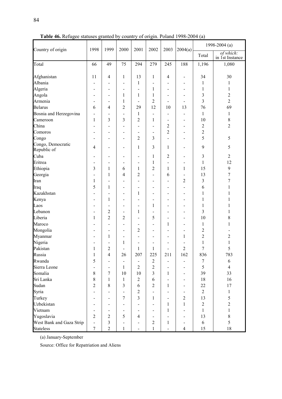| Country of origin                | 1998                         | 1999                     | 2000                         | 2001                         | 2002                         | 2003                         | 2004(a)                      |                | 1998-2004 (a)                |
|----------------------------------|------------------------------|--------------------------|------------------------------|------------------------------|------------------------------|------------------------------|------------------------------|----------------|------------------------------|
|                                  |                              |                          |                              |                              |                              |                              |                              | Total          | of which:<br>in 1st Instance |
| Total                            | 66                           | 49                       | 75                           | 294                          | 279                          | 245                          | 188                          | 1,196          | 1,080                        |
| Afghanistan                      | 11                           | 4                        | 1                            | 13                           | 1                            | 4                            | $\overline{\phantom{a}}$     | 34             | 30                           |
| Albania                          | -                            |                          | $\overline{\phantom{0}}$     | 1                            |                              |                              | $\blacksquare$               | 1              | 1                            |
| Algeria                          | $\qquad \qquad \blacksquare$ | $\overline{\phantom{0}}$ | $\blacksquare$               | $\qquad \qquad \blacksquare$ | 1                            | $\qquad \qquad \blacksquare$ | $\overline{\phantom{a}}$     | $\mathbf{1}$   | 1                            |
| Angola                           | $\qquad \qquad \blacksquare$ | $\overline{a}$           | 1                            | 1                            | 1                            | $\qquad \qquad \blacksquare$ | $\blacksquare$               | 3              | 2                            |
| Armenia                          | $\qquad \qquad \blacksquare$ | $\overline{a}$           | $\mathbf{1}$                 | $\qquad \qquad \blacksquare$ | $\sqrt{2}$                   | -                            | $\qquad \qquad \blacksquare$ | 3              | $\overline{2}$               |
| <b>Belarus</b>                   | 6                            | $\overline{4}$           | $\overline{c}$               | 29                           | 12                           | 10                           | 13                           | 76             | 69                           |
| Bosnia and Herzegovina           | $\overline{a}$               | $\overline{a}$           | $\qquad \qquad \blacksquare$ | $\mathbf{1}$                 | $\overline{a}$               | -                            | $\overline{\phantom{a}}$     | $\mathbf{1}$   | 1                            |
| Cameroon                         | $\mathbf{1}$                 | $\mathfrak{Z}$           | 3                            | $\overline{c}$               | 1                            | $\qquad \qquad \blacksquare$ | $\qquad \qquad \blacksquare$ | 10             | $\,$ $\,$                    |
| China                            | $\overline{a}$               | $\blacksquare$           | $\blacksquare$               | $\blacksquare$               | $\overline{a}$               | 2                            | $\blacksquare$               | $\overline{c}$ | $\overline{2}$               |
| Comoros                          | $\overline{a}$               |                          | $\overline{\phantom{0}}$     | $\blacksquare$               | $\qquad \qquad \blacksquare$ | $\overline{c}$               | $\blacksquare$               | $\overline{c}$ |                              |
| Congo                            | $\qquad \qquad \blacksquare$ | $\overline{a}$           | $\overline{\phantom{0}}$     | $\overline{2}$               | 3                            | -                            | $\overline{\phantom{0}}$     | 5              | 5                            |
| Congo, Democratic<br>Republic of | 4                            | $\overline{a}$           | $\overline{\phantom{0}}$     | 1                            | 3                            | $\mathbf{1}$                 | $\overline{\phantom{0}}$     | 9              | 5                            |
| Cuba                             | $\qquad \qquad \blacksquare$ | $\overline{\phantom{0}}$ | $\overline{\phantom{0}}$     | $\frac{1}{2}$                | 1                            | 2                            | $\overline{\phantom{0}}$     | 3              | $\overline{2}$               |
| Eritrea                          | -                            | -                        |                              | $\qquad \qquad \blacksquare$ | $\mathbf{1}$                 | -                            | $\blacksquare$               | $\mathbf{1}$   | 12                           |
| Ethiopia                         | 3                            | 1                        | 6                            | 1                            | $\sqrt{2}$                   | $\mathbf{1}$                 | $\mathbf{1}$                 | 15             | 9                            |
| Georgia                          | $\overline{a}$               | $\mathbf{1}$             | 4                            | 2                            | $\qquad \qquad \blacksquare$ | 6                            | $\blacksquare$               | 13             | $\boldsymbol{7}$             |
| Iran                             | $\mathbf{1}$                 |                          |                              | $\qquad \qquad \blacksquare$ | $\overline{a}$               | $\qquad \qquad \blacksquare$ | $\overline{2}$               | 3              | 7                            |
| Iraq                             | 5                            | $\mathbf{1}$             | $\blacksquare$               | $\overline{\phantom{0}}$     | $\blacksquare$               | $\overline{a}$               | $\blacksquare$               | 6              | 1                            |
| Kazakhstan                       | $\overline{a}$               | ۰                        | $\blacksquare$               | 1                            | $\overline{a}$               | $\qquad \qquad \blacksquare$ | $\overline{\phantom{0}}$     | $\mathbf{1}$   | 1                            |
| Kenya                            | $\qquad \qquad \blacksquare$ | 1                        | $\overline{\phantom{0}}$     | $\overline{\phantom{0}}$     | $\qquad \qquad \blacksquare$ | -                            | $\blacksquare$               | 1              | 1                            |
| Laos                             | $\qquad \qquad \blacksquare$ | $\overline{\phantom{0}}$ | $\overline{\phantom{0}}$     | $\qquad \qquad \blacksquare$ | 1                            | -                            | $\overline{\phantom{0}}$     | $\mathbf{1}$   | 1                            |
| Lebanon                          | $\qquad \qquad \blacksquare$ | $\overline{2}$           | $\blacksquare$               | 1                            |                              | $\blacksquare$               | $\blacksquare$               | 3              | 1                            |
| Liberia                          | 1                            | $\overline{2}$           | $\overline{2}$               | $\frac{1}{2}$                | 5                            | -                            | $\blacksquare$               | 10             | 8                            |
| Maroco                           | $\overline{a}$               | $\blacksquare$           | $\overline{\phantom{0}}$     | $\overline{\phantom{0}}$     | $\overline{\phantom{a}}$     | 1                            | $\blacksquare$               | $\mathbf{1}$   | 1                            |
| Mongolia                         | $\overline{a}$               | $\blacksquare$           | $\blacksquare$               | 2                            | $\blacksquare$               | -                            | $\overline{a}$               | $\overline{c}$ |                              |
| Myanmar                          | $\qquad \qquad \blacksquare$ | 1                        | -                            | $\qquad \qquad \blacksquare$ | $\overline{a}$               | -                            | 1                            | $\overline{c}$ | 2                            |
| Nigeria                          | $\qquad \qquad \blacksquare$ | $\overline{\phantom{0}}$ | $\mathbf{1}$                 | $\overline{\phantom{0}}$     | $\qquad \qquad \blacksquare$ | $\qquad \qquad \blacksquare$ | $\overline{\phantom{0}}$     | $\,1\,$        | 1                            |
| Pakistan                         | 1                            | $\overline{2}$           | $\overline{a}$               | 1                            | $\mathbf{1}$                 | $\overline{\phantom{a}}$     | $\overline{2}$               | $\overline{7}$ | 5                            |
| Russia                           | 1                            | $\overline{4}$           | 26                           | 207                          | 225                          | 211                          | 162                          | 836            | 783                          |
| Rwanda                           | 5                            |                          |                              |                              | $\mathbf{2}$                 |                              |                              | 7              | 6                            |
| Sierra Leone                     |                              |                          | $\mathbf{1}$                 | $\overline{2}$               | $\sqrt{2}$                   |                              |                              | 5              | $\overline{4}$               |
| Somalia                          | 8                            | $\overline{7}$           | 10                           | 10                           | $\overline{3}$               | $\mathbf{1}$                 |                              | 39             | 33                           |
| Sri Lanka                        | 8                            | $\mathbf{1}$             | $\mathbf{1}$                 | $\overline{2}$               | 6                            | ۰                            | $\overline{\phantom{a}}$     | 18             | 16                           |
| Sudan                            | $\overline{2}$               | 8                        | $\mathfrak{Z}$               | 6                            | $\sqrt{2}$                   | $\mathbf{1}$                 | $\overline{\phantom{a}}$     | 22             | 17                           |
| Syria                            |                              |                          |                              | $\overline{2}$               |                              |                              |                              | $\overline{2}$ | $\mathbf{1}$                 |
| Turkey                           |                              |                          | $\overline{7}$               | $\overline{3}$               | $\mathbf{1}$                 | -                            | $\overline{2}$               | 13             | 5                            |
| Uzbekistan                       |                              |                          |                              |                              |                              | $\mathbf{1}$                 | $\mathbf{1}$                 | $\overline{2}$ | $\overline{2}$               |
| Vietnam                          |                              |                          |                              |                              |                              | $\mathbf{1}$                 |                              | $\mathbf{1}$   | $\mathbf{1}$                 |
| Yugoslavia                       | $\overline{2}$               | $\overline{2}$           | 5                            | $\overline{4}$               | $\blacksquare$               | $\qquad \qquad \blacksquare$ | $\overline{\phantom{0}}$     | 13             | $8\,$                        |
| West Bank and Gaza Strip         |                              | $\mathfrak{Z}$           | $\overline{\phantom{0}}$     |                              | $\overline{2}$               | 1                            | $\blacksquare$               | 6              | 5                            |
| <b>Stateless</b>                 | $\overline{7}$               | $\overline{2}$           | $\mathbf{1}$                 |                              | $\mathbf{1}$                 |                              | $\overline{4}$               | 15             | 18                           |

Table 46. Refugee statuses granted by country of origin. Poland 1998-2004 (a)

(a) January-September

Source: Office for Repatriation and Aliens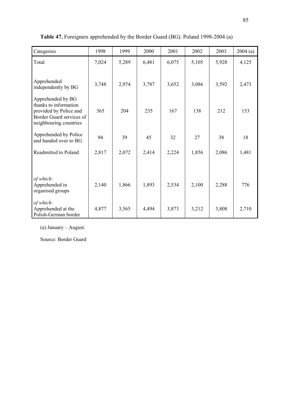| Categories                                                                                                                 | 1998  | 1999  | 2000  | 2001  | 2002  | 2003  | 2004(a) |
|----------------------------------------------------------------------------------------------------------------------------|-------|-------|-------|-------|-------|-------|---------|
| Total                                                                                                                      | 7,024 | 5,289 | 6,481 | 6,075 | 5,105 | 5,928 | 4,125   |
| Apprehended<br>independently by BG                                                                                         | 3,748 | 2,974 | 3,787 | 3,652 | 3,086 | 3,592 | 2,473   |
| Apprehended by BG<br>thanks to information<br>provided by Police and<br>Border Guard services of<br>neighbouring countries | 365   | 204   | 235   | 167   | 138   | 212   | 153     |
| Apprehended by Police<br>and handed over to BG                                                                             | 94    | 39    | 45    | 32    | 27    | 38    | 18      |
| Readmitted to Poland                                                                                                       | 2,817 | 2,072 | 2,414 | 2,224 | 1,856 | 2,086 | 1,481   |
| of which:<br>Apprehended in<br>organised groups                                                                            | 2,140 | 1,866 | 1,893 | 2,534 | 2,100 | 2,288 | 776     |
| of which:<br>Apprehended at the<br>Polish-German border                                                                    | 4,877 | 3,565 | 4,494 | 3,873 | 3,212 | 3,808 | 2,710   |

Table 47. Foreigners apprehended by the Border Guard (BG). Poland 1998-2004 (a)

(a) January – August.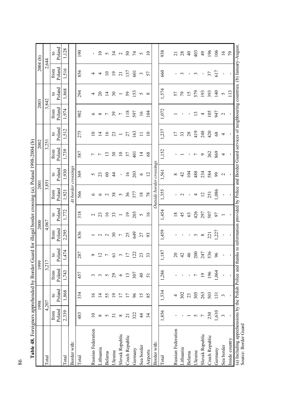| Table 48. Foreigners apprehended by Border Guard for illegal border crossing (a). Poland 1998-2004 (b)                                                                                         |                       |                    |                          |                          |                          |                          |                     |                          |                    |                        |                 |                          |                     |                          |
|------------------------------------------------------------------------------------------------------------------------------------------------------------------------------------------------|-----------------------|--------------------|--------------------------|--------------------------|--------------------------|--------------------------|---------------------|--------------------------|--------------------|------------------------|-----------------|--------------------------|---------------------|--------------------------|
|                                                                                                                                                                                                |                       | 1998               |                          | 1999                     | 2000                     |                          | 2001                |                          |                    | 2002                   | 2003            |                          | 2004 <sub>(b)</sub> |                          |
| Total                                                                                                                                                                                          |                       | 4,207              |                          | 3,217                    | 4,067                    |                          | 3,851               |                          | 3,251              |                        | 3,842           |                          | 2,644               |                          |
|                                                                                                                                                                                                | Poland<br>from        | Poland<br>$\Omega$ | Poland<br>from           | Poland<br>$\overline{a}$ | Poland<br>from           | Poland<br>$\mathbf{Q}$   | Poland<br>from      | Poland<br>$\mathbf{c}$   | Poland<br>from     | Poland<br>$\mathbf{c}$ | Poland<br>from  | Poland<br>$\mathbf{c}$   | Poland<br>from      | Poland<br>$\overline{c}$ |
| Total                                                                                                                                                                                          | 2,339                 | 1,868              | 1,743                    | 1,474                    | 2,295                    | 1,772                    | 1,921               | 1,930                    | 1,739              | 1,512                  | 1,974           | 1,868                    | 1,516               | 1,128                    |
| Border with:                                                                                                                                                                                   |                       |                    |                          |                          |                          |                          | At border crossings |                          |                    |                        |                 |                          |                     |                          |
|                                                                                                                                                                                                |                       |                    |                          |                          |                          |                          |                     |                          |                    |                        |                 |                          |                     |                          |
| Total                                                                                                                                                                                          | 483                   | 334                | 457                      | 287                      | 836                      | 318                      | 566                 | 369                      | 587                | 275                    | 902             | 294                      | 856                 | 190                      |
| Russian Federation                                                                                                                                                                             | $\overline{10}$       | $\overline{16}$    | 3                        | ç                        | $\overline{\phantom{0}}$ | $\mathbf{\sim}$          | $\circ$             | 5                        | 7                  | $\overline{10}$        | $\circ$         | 4                        | 4                   | $\mathbf{I}$             |
| Lithuania                                                                                                                                                                                      | $\infty$              | $\overline{1}$     | $\epsilon$               | $\overline{c}$           |                          |                          | $\circ$             | 23                       | $\overline{ }$     | $\overline{1}$         | $\infty$        | $\Omega$                 | 4                   | $\overline{10}$          |
| <b>Belarus</b>                                                                                                                                                                                 | $\sim$                | 55                 | 50000                    | $\overline{ }$           | $\sim$ $\sim$            | $23$ 16                  | $\sim$              | $\infty$                 | 13                 | $\overline{16}$        | $\overline{ }$  | $\overline{4}$           | $\overline{10}$     | $\mathbf{c}$             |
| Ukraine                                                                                                                                                                                        | $\overline{31}$       | $\overline{19}$    |                          | $\overline{5}$           | 50                       |                          | 38                  | $\overline{4}$           | 30                 | 23                     | 39              | $\overline{\mathcal{E}}$ | $\overline{19}$     | $\mathcal{L}$            |
| Slovak Republic                                                                                                                                                                                | $\infty$              | 17                 |                          | $\tilde{\phantom{a}}$    | $\overline{r}$           | $\overline{\phantom{a}}$ | $\sigma$            | $\mathbf I$              | $\overline{10}$    | $\overline{ }$         | $\overline{ }$  | $\overline{ }$           | $\overline{21}$     | $\mathbf{z}$             |
| Czech Republic                                                                                                                                                                                 | $\overline{c}$        | 17                 | $13\,$                   | 17                       | 25                       | $19$                     | 36                  | $\overline{16}$          | 37                 | 27                     | 118             | 59                       | 137                 | $50\,$                   |
| Germany                                                                                                                                                                                        | 322                   | 96                 | 307                      | 22                       | 649                      | 203                      | 377                 | 203                      | $\overline{40}$    | 163                    | 597             | 153                      | 601                 | $\overline{7}$           |
| Sea border                                                                                                                                                                                     | $\overline{4}$        | $\overline{15}$    | $\overline{4}$           | 23                       | 27                       | $\mathbf{\hat{z}}$       | $18\,$              | $\circ$                  | $\overline{1}$     | $\Box$                 | $\overline{16}$ | $\sim$ $\infty$          | $\sim$              | $\sim$                   |
| Airports                                                                                                                                                                                       | 34                    | 85                 | 51                       | 33                       | 93                       | $\overline{16}$          | 78                  | 12                       | 68                 | $\overline{10}$        | 104             |                          | 57                  | $\overline{10}$          |
| Border with:                                                                                                                                                                                   |                       |                    |                          |                          |                          |                          |                     | Outside border crossings |                    |                        |                 |                          |                     |                          |
| Total                                                                                                                                                                                          | 1,856                 | 1,534              | 1,286                    | 187<br>$\overline{-}$    | 1,459                    | 1,454                    | 1,355               | 1,561                    | 1,152              | 1,237                  | 1,072           | 1,574                    | 660                 | 938                      |
| Russian Federation                                                                                                                                                                             |                       | 4                  | $\mathbf{I}$             | $\overline{c}$           |                          | 18                       |                     | $\infty$                 |                    | 17                     |                 | 57                       | п.                  | $\overline{c}$           |
| Lithuania                                                                                                                                                                                      |                       | 302                | $\mathbf I$              | $\vec{C}$                | т.                       | 45                       | $\overline{2}$      | 42                       |                    | 33                     | $\mathbf I$     | 56                       | $\epsilon$          | 28                       |
| <b>Belarus</b>                                                                                                                                                                                 |                       | 23                 | $\mathbf I$              | 46                       |                          | 63                       |                     | 104                      |                    | 28                     | $\blacksquare$  | 15                       | $\sim 1$            | $\overline{4}$           |
| Ukraine                                                                                                                                                                                        | 5                     | 305                | $\overline{\phantom{a}}$ | $200\,$                  | $\sim$                   | 426                      | 4                   | 488                      | $\overline{ }$     | 419                    | $\mathbf{r}$    | 579                      | $\epsilon$          | 403                      |
| Slovak Republic                                                                                                                                                                                | $\overline{ }$        | 263                | $\overline{19}$          | 247<br>536               | $\infty$                 | 297                      | 12                  | 234                      | $\mathbf{\hat{c}}$ | 248                    | 4               | 193                      | $\mathbf I$         | $\overline{6}$           |
| Czech Republic                                                                                                                                                                                 | 230                   | 503                | 196                      |                          | 221                      | 507                      | 251                 | 584                      | 262                | 420                    | 105             | 393                      | 37                  | 196                      |
| Germany                                                                                                                                                                                        | 1,610                 | 131                | 1,064                    | 96                       | .227                     | 97                       | 1,086               | 66                       | 869                | 68                     | 947             | 140                      | 617                 | 106                      |
| Sea border                                                                                                                                                                                     | $\tilde{\mathcal{E}}$ | $\epsilon$         | $\mathbf{I}$             | $\mathbf{I}$             |                          | $\overline{ }$           | f,                  | $\mathbf{C}$             | 4                  | 4                      | $\sim$          | $\sim$                   | $\mathbf{I}$        | $\overline{16}$          |
| Inside country                                                                                                                                                                                 |                       |                    | $\mathbf{I}$             | $\blacksquare$           |                          |                          |                     |                          |                    |                        | $\blacksquare$  | 113                      | $\blacksquare$      | 79                       |
| (a) Including apprehensions by the Polish Police and thanks to information provided by Police and Border Guard services of neighbouring countries. (b) January-August.<br>Source: Border Guard |                       |                    |                          |                          |                          |                          |                     |                          |                    |                        |                 |                          |                     |                          |

86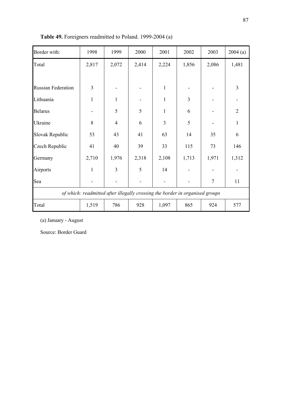| Border with:              | 1998           | 1999           | 2000  | 2001           | 2002                                                                         | 2003           | 2004(a)        |
|---------------------------|----------------|----------------|-------|----------------|------------------------------------------------------------------------------|----------------|----------------|
| Total                     | 2,817          | 2,072          | 2,414 | 2,224          | 1,856                                                                        | 2,086          | 1,481          |
|                           |                |                |       |                |                                                                              |                |                |
| <b>Russian Federation</b> | $\overline{3}$ |                |       | $\mathbf{1}$   |                                                                              |                | 3              |
| Lithuania                 | $\mathbf{1}$   | $\mathbf{1}$   |       | 1              | 3                                                                            |                |                |
| <b>Belarus</b>            |                | 5              | 5     | 1              | 6                                                                            |                | $\overline{2}$ |
| Ukraine                   | 8              | $\overline{4}$ | 6     | $\overline{3}$ | 5                                                                            |                | $\mathbf{1}$   |
| Slovak Republic           | 53             | 43             | 41    | 63             | 14                                                                           | 35             | 6              |
| Czech Republic            | 41             | 40             | 39    | 33             | 115                                                                          | 73             | 146            |
| Germany                   | 2,710          | 1,976          | 2,318 | 2,108          | 1,713                                                                        | 1,971          | 1,312          |
| Airports                  | $\mathbf{1}$   | $\overline{3}$ | 5     | 14             |                                                                              |                |                |
| Sea                       |                |                |       |                |                                                                              | $\overline{7}$ | 11             |
|                           |                |                |       |                | of which: readmitted after illegally crossing the border in organised groups |                |                |
| Total                     | 1,519          | 786            | 928   | 1,097          | 865                                                                          | 924            | 577            |

Table 49. Foreigners readmitted to Poland. 1999-2004 (a)

(a) January - August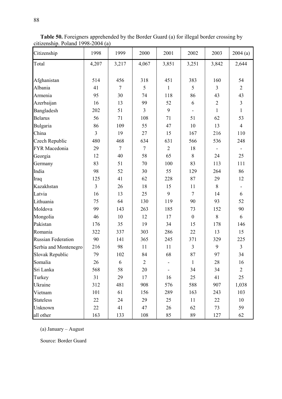| Citizenship               | 1998           | 1999           | 2000           | 2001           | 2002                         | 2003           | 2004(a)        |
|---------------------------|----------------|----------------|----------------|----------------|------------------------------|----------------|----------------|
| Total                     | 4,207          | 3,217          | 4,067          | 3,851          | 3,251                        | 3,842          | 2,644          |
|                           |                |                |                |                |                              |                |                |
| Afghanistan               | 514            | 456            | 318            | 451            | 383                          | 160            | 54             |
| Albania                   | 41             | $\overline{7}$ | 5              | $\mathbf{1}$   | 5                            | 3              | $\overline{2}$ |
| Armenia                   | 95             | 30             | 74             | 118            | 86                           | 43             | 43             |
| Azerbaijan                | 16             | 13             | 99             | 52             | 6                            | $\overline{2}$ | $\overline{3}$ |
| Bangladesh                | 202            | 51             | $\overline{3}$ | 9              | $\qquad \qquad \blacksquare$ | $\mathbf{1}$   | $\mathbf{1}$   |
| <b>Belarus</b>            | 56             | 71             | 108            | 71             | 51                           | 62             | 53             |
| Bulgaria                  | 86             | 109            | 55             | 47             | 10                           | 13             | $\overline{4}$ |
| China                     | $\overline{3}$ | 19             | 27             | 15             | 167                          | 216            | 110            |
| Czech Republic            | 480            | 468            | 634            | 631            | 566                          | 536            | 248            |
| FYR Macedonia             | 29             | $\overline{7}$ | $\overline{7}$ | $\overline{2}$ | 18                           |                |                |
| Georgia                   | 12             | 40             | 58             | 65             | 8                            | 24             | 25             |
| Germany                   | 83             | 51             | 70             | 100            | 83                           | 113            | 111            |
| India                     | 98             | 52             | 30             | 55             | 129                          | 264            | 86             |
| Iraq                      | 125            | 41             | 62             | 228            | 87                           | 29             | 12             |
| Kazakhstan                | $\overline{3}$ | 26             | 18             | 15             | 11                           | 8              |                |
| Latvia                    | 16             | 13             | 25             | 9              | $\overline{7}$               | 14             | 6              |
| Lithuania                 | 75             | 64             | 130            | 119            | 90                           | 93             | 52             |
| Moldova                   | 99             | 143            | 263            | 185            | 73                           | 152            | 90             |
| Mongolia                  | 46             | 10             | 12             | 17             | $\boldsymbol{0}$             | 8              | 6              |
| Pakistan                  | 176            | 35             | 19             | 34             | 15                           | 178            | 146            |
| Romania                   | 322            | 337            | 303            | 286            | 22                           | 13             | 15             |
| <b>Russian Federation</b> | 90             | 141            | 365            | 245            | 371                          | 329            | 225            |
| Serbia and Montenegro     | 216            | 98             | 11             | 11             | 3                            | 9              | $\overline{3}$ |
| Slovak Republic           | 79             | 102            | 84             | 68             | 87                           | 97             | 34             |
| Somalia                   | 26             | 6              | $\overline{2}$ |                | 1                            | 28             | 16             |
| Sri Lanka                 | 568            | 58             | 20             |                | 34                           | 34             | $\overline{2}$ |
| Turkey                    | 31             | 29             | 17             | 16             | 25                           | 41             | 25             |
| Ukraine                   | 312            | 481            | 908            | 576            | 588                          | 907            | 1,038          |
| Vietnam                   | 101            | 61             | 156            | 289            | 163                          | 243            | 103            |
| <b>Stateless</b>          | 22             | 24             | 29             | 25             | 11                           | 22             | 10             |
| Unknown                   | 22             | 41             | 47             | 26             | 62                           | 73             | 59             |
| all other                 | 163            | 133            | 108            | 85             | 89                           | 127            | 62             |

Table 50. Foreigners apprehended by the Border Guard (a) for illegal border crossing by citizenship. Poland 1998-2004 (a)

(a) January – August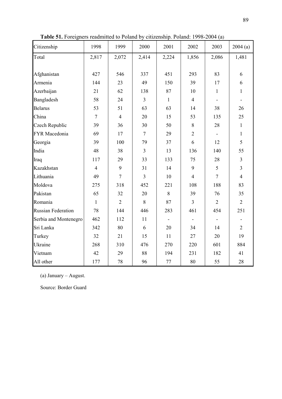| Citizenship               | 1998           | 1999           | 2000           | 2001         | 2002           | 2003           | 2004(a)        |
|---------------------------|----------------|----------------|----------------|--------------|----------------|----------------|----------------|
| Total                     | 2,817          | 2,072          | 2,414          | 2,224        | 1,856          | 2,086          | 1,481          |
|                           |                |                |                |              |                |                |                |
| Afghanistan               | 427            | 546            | 337            | 451          | 293            | 83             | 6              |
| Armenia                   | 144            | 23             | 49             | 150          | 39             | 17             | 6              |
| Azerbaijan                | 21             | 62             | 138            | 87           | 10             | $\mathbf{1}$   | $\mathbf{1}$   |
| Bangladesh                | 58             | 24             | $\overline{3}$ | $\mathbf{1}$ | $\overline{4}$ |                |                |
| <b>Belarus</b>            | 53             | 51             | 63             | 63           | 14             | 38             | 26             |
| China                     | $\overline{7}$ | $\overline{4}$ | 20             | 15           | 53             | 135            | 25             |
| Czech Republic            | 39             | 36             | 30             | 50           | 8              | 28             | $\mathbf{1}$   |
| FYR Macedonia             | 69             | 17             | $\tau$         | 29           | $\overline{2}$ |                | $\mathbf{1}$   |
| Georgia                   | 39             | 100            | 79             | 37           | 6              | 12             | 5              |
| India                     | 48             | 38             | $\overline{3}$ | 13           | 136            | 140            | 55             |
| Iraq                      | 117            | 29             | 33             | 133          | 75             | 28             | $\mathfrak{Z}$ |
| Kazakhstan                | $\overline{4}$ | 9              | 31             | 14           | 9              | 5              | $\overline{3}$ |
| Lithuania                 | 49             | $\overline{7}$ | $\overline{3}$ | 10           | $\overline{4}$ | $\overline{7}$ | $\overline{4}$ |
| Moldova                   | 275            | 318            | 452            | 221          | 108            | 188            | 83             |
| Pakistan                  | 65             | 32             | 20             | 8            | 39             | 76             | 35             |
| Romania                   | $\mathbf{1}$   | $\overline{2}$ | 8              | 87           | 3              | $\overline{2}$ | $\overline{2}$ |
| <b>Russian Federation</b> | 78             | 144            | 446            | 283          | 461            | 454            | 251            |
| Serbia and Montenegro     | 462            | 112            | 11             |              |                |                |                |
| Sri Lanka                 | 342            | 80             | 6              | 20           | 34             | 14             | $\overline{2}$ |
| Turkey                    | 32             | 21             | 15             | 11           | 27             | 20             | 19             |
| Ukraine                   | 268            | 310            | 476            | 270          | 220            | 601            | 884            |
| Vietnam                   | 42             | 29             | 88             | 194          | 231            | 182            | 41             |
| All other                 | 177            | 78             | 96             | $77 \,$      | 80             | 55             | 28             |

Table 51. Foreigners readmitted to Poland by citizenship. Poland: 1998-2004 (a)

(a) January – August.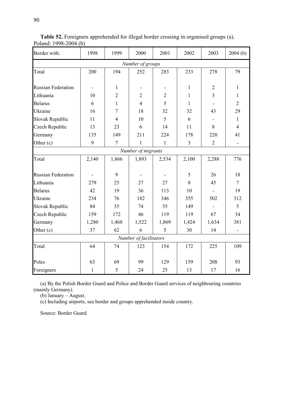| Border with:              | 1998                         | 1999           | 2000                   | 2001           | 2002         | 2003                     | 2004(b)                      |
|---------------------------|------------------------------|----------------|------------------------|----------------|--------------|--------------------------|------------------------------|
|                           |                              |                | Number of groups       |                |              |                          |                              |
| Total                     | 200                          | 194            | 252                    | 283            | 233          | 278                      | 79                           |
|                           |                              |                |                        |                |              |                          |                              |
| <b>Russian Federation</b> | $\qquad \qquad \blacksquare$ | $\mathbf{1}$   |                        |                | $\mathbf{1}$ | $\overline{2}$           | $\mathbf{1}$                 |
| Lithuania                 | 10                           | $\overline{2}$ | $\overline{2}$         | $\overline{2}$ | $\mathbf{1}$ | $\overline{\mathbf{3}}$  | $\mathbf{1}$                 |
| <b>Belarus</b>            | 6                            | $\mathbf{1}$   | $\overline{4}$         | 5              | $\mathbf{1}$ | $\overline{\phantom{a}}$ | $\overline{2}$               |
| Ukraine                   | 16                           | $\tau$         | 18                     | 32             | 32           | 43                       | 29                           |
| Slovak Republic           | 11                           | $\overline{4}$ | 10                     | 5              | 6            |                          | $\mathbf{1}$                 |
| Czech Republic            | 13                           | 23             | 6                      | 14             | 11           | 8                        | $\overline{4}$               |
| Germany                   | 135                          | 149            | 211                    | 224            | 178          | 220                      | 41                           |
| Other (c)                 | $\boldsymbol{9}$             | $\overline{7}$ | 1                      | $\mathbf{1}$   | 3            | $\overline{2}$           | $\blacksquare$               |
|                           |                              |                | Number of migrants     |                |              |                          |                              |
| Total                     | 2,140                        | 1,866          | 1,893                  | 2,534          | 2,100        | 2,288                    | 776                          |
|                           |                              |                |                        |                |              |                          |                              |
| <b>Russian Federation</b> |                              | 9              |                        |                | 5            | 26                       | 18                           |
| Lithuania                 | 279                          | 25             | 27                     | 27             | 8            | 45                       | $\tau$                       |
| <b>Belarus</b>            | 42                           | 19             | 36                     | 113            | 10           |                          | 19                           |
| Ukraine                   | 234                          | 76             | 182                    | 346            | 355          | 502                      | 312                          |
| Slovak Republic           | 84                           | 35             | 74                     | 55             | 149          |                          | 5                            |
| Czech Republic            | 159                          | 172            | 46                     | 119            | 119          | 67                       | 34                           |
| Germany                   | 1,280                        | 1,468          | 1,522                  | 1,869          | 1,424        | 1,634                    | 381                          |
| Other (c)                 | 37                           | 62             | 6                      | 5              | 30           | 14                       | $\qquad \qquad \blacksquare$ |
|                           |                              |                | Number of facilitators |                |              |                          |                              |
| Total                     | 64                           | 74             | 123                    | 154            | 172          | 225                      | 109                          |
|                           |                              |                |                        |                |              |                          |                              |
| Poles                     | 63                           | 69             | 99                     | 129            | 159          | 208                      | 93                           |
| Foreigners                | $\mathbf{1}$                 | 5              | 24                     | 25             | 13           | 17                       | 16                           |

Table 52. Foreigners apprehended for illegal border crossing in organised groups (a). Poland: 1998-2004 (b)

(a) By the Polish Border Guard and Police and Border Guard services of neighbouring countries (mainly Germany).

(b) January – August.

(c) Including airports, sea border and groups apprehended inside country.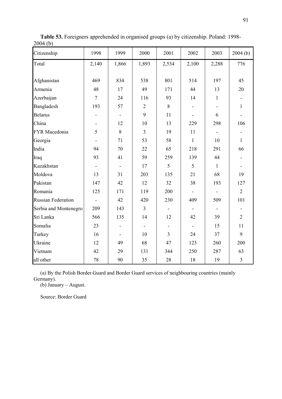| $\cdots$<br>Citizenship   | 1998                     | 1999                     | 2000           | 2001                     | 2002                     | 2003                     | 2004(b)                  |
|---------------------------|--------------------------|--------------------------|----------------|--------------------------|--------------------------|--------------------------|--------------------------|
| Total                     | 2,140                    | 1,866                    | 1,893          | 2,534                    | 2,100                    | 2,288                    | 776                      |
|                           |                          |                          |                |                          |                          |                          |                          |
| Afghanistan               | 469                      | 834                      | 538            | 801                      | 514                      | 197                      | 45                       |
| Armenia                   | 48                       | 17                       | 49             | 171                      | 44                       | 13                       | 20                       |
| Azerbaijan                | $\overline{7}$           | 24                       | 116            | 93                       | 14                       | $\mathbf{1}$             | $\overline{\phantom{a}}$ |
| Bangladesh                | 193                      | 57                       | $\overline{2}$ | $8\,$                    |                          |                          | $\,1\,$                  |
| <b>Belarus</b>            |                          |                          | 9              | $11\,$                   |                          | 6                        |                          |
| China                     |                          | 12                       | 10             | 13                       | 229                      | 298                      | 106                      |
| FYR Macedonia             | 5                        | 8                        | $\mathfrak{Z}$ | 19                       | 11                       | $\overline{\phantom{a}}$ |                          |
| Georgia                   | $\overline{\phantom{a}}$ | 71                       | 53             | 58                       | $\mathbf{1}$             | 10                       | $\mathbf{1}$             |
| India                     | 94                       | 70                       | 22             | 65                       | 218                      | 291                      | 66                       |
| Iraq                      | 93                       | 41                       | 59             | 259                      | 139                      | 44                       | $\overline{\phantom{0}}$ |
| Kazakhstan                |                          |                          | 17             | 5                        | 5                        | $\mathbf{1}$             | $\overline{\phantom{a}}$ |
| Moldova                   | 13                       | 31                       | 203            | 135                      | 21                       | 68                       | 19                       |
| Pakistan                  | 147                      | 42                       | 12             | 32                       | 38                       | 193                      | 127                      |
| Romania                   | 125                      | 171                      | 119            | 200                      |                          |                          | $\overline{2}$           |
| <b>Russian Federation</b> | ÷,                       | 42                       | 420            | 230                      | 409                      | 509                      | 101                      |
| Serbia and Montenegro     | 209                      | 143                      | $\overline{3}$ | $\overline{\phantom{a}}$ | $\overline{\phantom{a}}$ | $\overline{\phantom{a}}$ |                          |
| Sri Lanka                 | 566                      | 135                      | 14             | 12                       | 42                       | 39                       | $\overline{2}$           |
| Somalia                   | 23                       |                          |                |                          |                          | 15                       | 11                       |
| Turkey                    | 16                       | $\overline{\phantom{a}}$ | 10             | $\overline{3}$           | 24                       | 37                       | 9                        |
| Ukraine                   | 12                       | 49                       | 68             | 47                       | 123                      | 260                      | 200                      |
| Vietnam                   | 42                       | 29                       | 131            | 344                      | 250                      | 287                      | 63                       |
| all other                 | 78                       | 90                       | 35             | $28\,$                   | 18                       | 19                       | $\mathfrak{Z}$           |

Table 53. Foreigners apprehended in organised groups (a) by citizenship. Poland: 1998- 2004 (b)

(a) By the Polish Border Guard and Border Guard services of neighbouring countries (mainly Germany).

(b) January – August.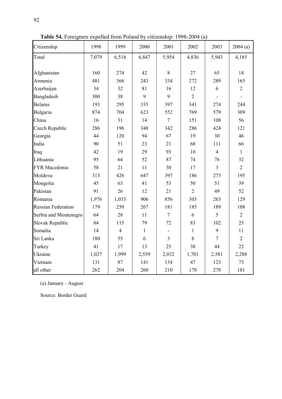| Citizenship               | 1998  | 1999           | 2000         | 2001                    | 2002           | 2003           | 2004(a)        |
|---------------------------|-------|----------------|--------------|-------------------------|----------------|----------------|----------------|
| Total                     | 7,079 | 6,518          | 6,847        | 5,954                   | 4,836          | 5,943          | 4,185          |
|                           |       |                |              |                         |                |                |                |
| Afghanistan               | 160   | 274            | 42           | $8\,$                   | 27             | 65             | 14             |
| Armenia                   | 481   | 366            | 243          | 334                     | 272            | 289            | 165            |
| Azerbaijan                | 34    | 32             | 81           | 16                      | 12             | 6              | $\overline{2}$ |
| Bangladesh                | 300   | 38             | 9            | 9                       | $\overline{2}$ |                |                |
| <b>Belarus</b>            | 193   | 295            | 335          | 397                     | 341            | 274            | 244            |
| Bulgaria                  | 874   | 704            | 623          | 552                     | 769            | 579            | 309            |
| China                     | 16    | 31             | 14           | $\overline{7}$          | 151            | 108            | 56             |
| Czech Republic            | 286   | 196            | 348          | 342                     | 286            | 424            | 121            |
| Georgia                   | 44    | 120            | 94           | 67                      | 19             | 30             | 46             |
| India                     | 90    | 51             | 23           | 21                      | 68             | 111            | 66             |
| Iraq                      | 42    | 19             | 29           | 93                      | 10             | $\overline{4}$ | $\mathbf{1}$   |
| Lithuania                 | 95    | 64             | 52           | 87                      | 74             | 76             | 32             |
| FYR Macedonia             | 58    | 21             | 11           | 30                      | 17             | $\overline{3}$ | $\overline{2}$ |
| Moldova                   | 313   | 426            | 647          | 397                     | 186            | 273            | 195            |
| Mongolia                  | 45    | 63             | 41           | 53                      | 50             | 51             | 39             |
| Pakistan                  | 91    | 26             | 12           | 21                      | $\overline{2}$ | 49             | 52             |
| Romania                   | 1,976 | 1,033          | 906          | 856                     | 303            | 263            | 129            |
| <b>Russian Federation</b> | 179   | 250            | 267          | 181                     | 185            | 189            | 108            |
| Serbia and Montenegro     | 64    | 28             | 11           | $\tau$                  | 6              | 5              | $\overline{2}$ |
| Slovak Republic           | 84    | 115            | 79           | 72                      | 83             | 102            | 25             |
| Somalia                   | 14    | $\overline{4}$ | $\mathbf{1}$ |                         | $\mathbf{1}$   | 9              | 11             |
| Sri Lanka                 | 180   | 55             | 6            | $\overline{\mathbf{3}}$ | 8              | $\overline{7}$ | $\overline{2}$ |
| Turkey                    | 41    | 17             | 13           | 25                      | 38             | 44             | 22             |
| Ukraine                   | 1,027 | 1,999          | 2,559        | 2,032                   | 1,701          | 2,581          | 2,288          |
| Vietnam                   | 131   | 87             | 141          | 134                     | 47             | 123            | 73             |
| all other                 | 262   | 204            | 260          | 210                     | 178            | 278            | 181            |

Table 54. Foreigners expelled from Poland by citizenship: 1998-2004 (a)

(a) January - August